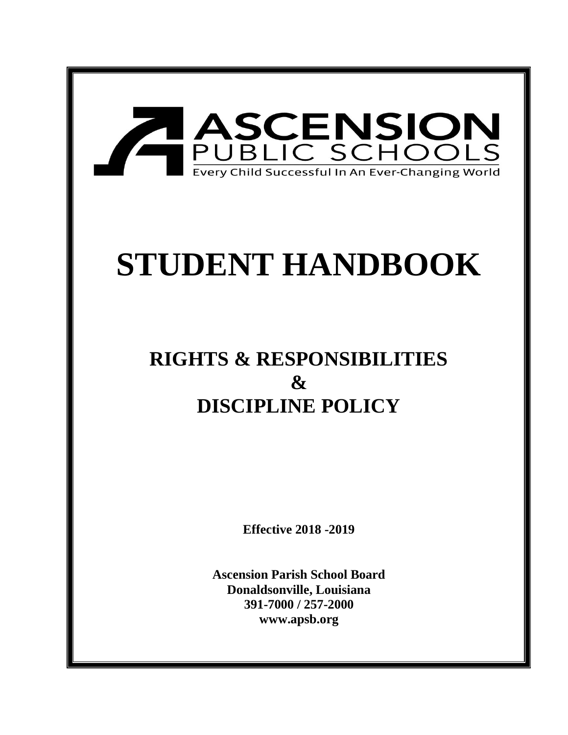

# **STUDENT HANDBOOK**

## **RIGHTS & RESPONSIBILITIES**   $\mathbf{x}$ **DISCIPLINE POLICY**

**Effective 2018 -2019**

**Ascension Parish School Board Donaldsonville, Louisiana 391-7000 / 257-2000 www.apsb.org**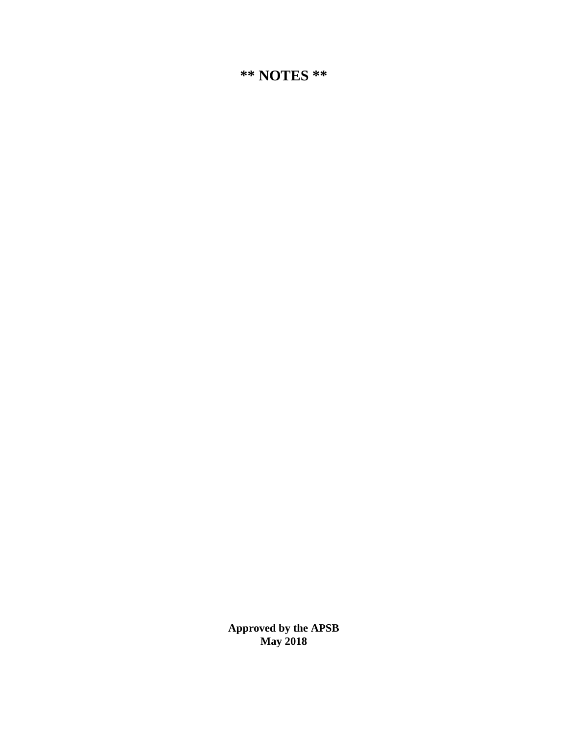**Approved by the APSB May 2018**

**\*\* NOTES \*\***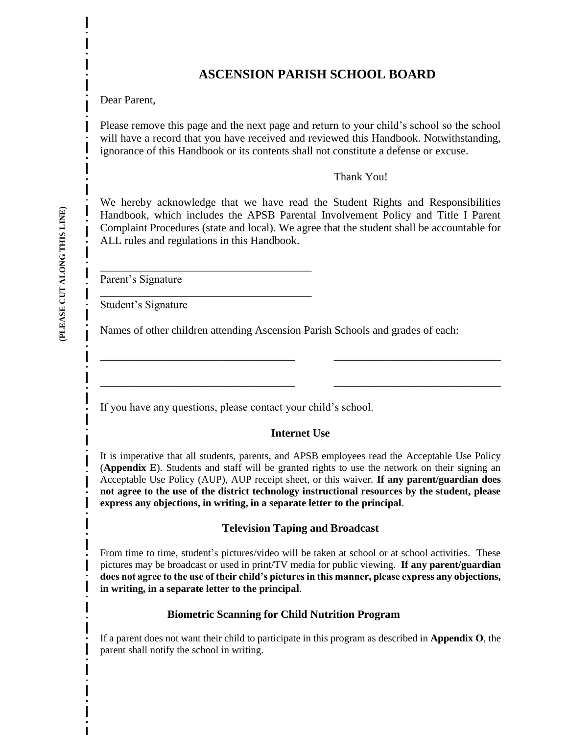## **ASCENSION PARISH SCHOOL BOARD**

Dear Parent,

Please remove this page and the next page and return to your child's school so the school will have a record that you have received and reviewed this Handbook. Notwithstanding, ignorance of this Handbook or its contents shall not constitute a defense or excuse.

Thank You!

We hereby acknowledge that we have read the Student Rights and Responsibilities Handbook, which includes the APSB Parental Involvement Policy and Title I Parent Complaint Procedures (state and local). We agree that the student shall be accountable for ALL rules and regulations in this Handbook.

Parent's Signature

Student's Signature

Names of other children attending Ascension Parish Schools and grades of each:

If you have any questions, please contact your child's school.

\_\_\_\_\_\_\_\_\_\_\_\_\_\_\_\_\_\_\_\_\_\_\_\_\_\_\_\_\_\_\_\_\_\_\_\_\_\_

\_\_\_\_\_\_\_\_\_\_\_\_\_\_\_\_\_\_\_\_\_\_\_\_\_\_\_\_\_\_\_\_\_\_\_\_\_\_

#### **Internet Use**

\_\_\_\_\_\_\_\_\_\_\_\_\_\_\_\_\_\_\_\_\_\_\_\_\_\_\_\_\_\_\_\_\_\_\_ \_\_\_\_\_\_\_\_\_\_\_\_\_\_\_\_\_\_\_\_\_\_\_\_\_\_\_\_\_\_

\_\_\_\_\_\_\_\_\_\_\_\_\_\_\_\_\_\_\_\_\_\_\_\_\_\_\_\_\_\_\_\_\_\_\_ \_\_\_\_\_\_\_\_\_\_\_\_\_\_\_\_\_\_\_\_\_\_\_\_\_\_\_\_\_\_

It is imperative that all students, parents, and APSB employees read the Acceptable Use Policy (**Appendix E**). Students and staff will be granted rights to use the network on their signing an Acceptable Use Policy (AUP), AUP receipt sheet, or this waiver. **If any parent/guardian does not agree to the use of the district technology instructional resources by the student, please express any objections, in writing, in a separate letter to the principal**.

#### **Television Taping and Broadcast**

From time to time, student's pictures/video will be taken at school or at school activities. These pictures may be broadcast or used in print/TV media for public viewing. **If any parent/guardian does not agree to the use of their child's pictures in this manner, please express any objections, in writing, in a separate letter to the principal**.

#### **Biometric Scanning for Child Nutrition Program**

If a parent does not want their child to participate in this program as described in **Appendix O**, the parent shall notify the school in writing.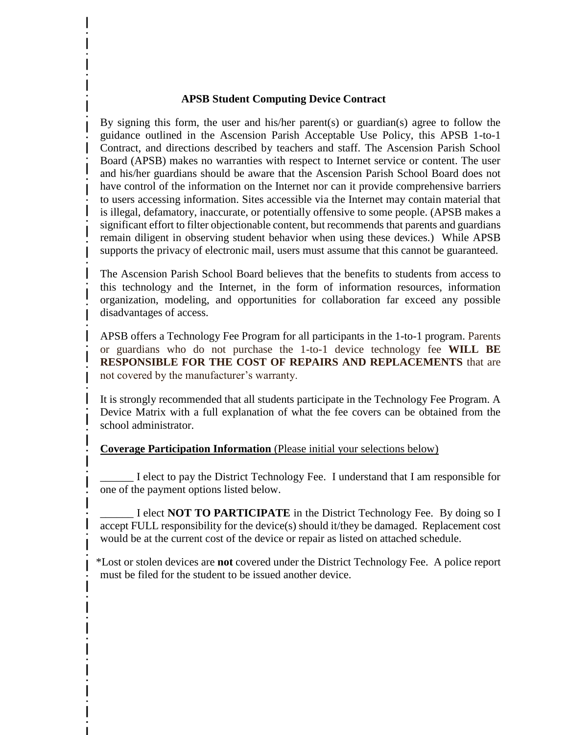#### **APSB Student Computing Device Contract**

By signing this form, the user and his/her parent(s) or guardian(s) agree to follow the guidance outlined in the Ascension Parish Acceptable Use Policy, this APSB 1-to-1 Contract, and directions described by teachers and staff. The Ascension Parish School Board (APSB) makes no warranties with respect to Internet service or content. The user and his/her guardians should be aware that the Ascension Parish School Board does not have control of the information on the Internet nor can it provide comprehensive barriers to users accessing information. Sites accessible via the Internet may contain material that is illegal, defamatory, inaccurate, or potentially offensive to some people. (APSB makes a significant effort to filter objectionable content, but recommends that parents and guardians remain diligent in observing student behavior when using these devices.) While APSB supports the privacy of electronic mail, users must assume that this cannot be guaranteed.

The Ascension Parish School Board believes that the benefits to students from access to this technology and the Internet, in the form of information resources, information organization, modeling, and opportunities for collaboration far exceed any possible disadvantages of access.

APSB offers a Technology Fee Program for all participants in the 1-to-1 program. Parents or guardians who do not purchase the 1-to-1 device technology fee **WILL BE RESPONSIBLE FOR THE COST OF REPAIRS AND REPLACEMENTS** that are not covered by the manufacturer's warranty.

It is strongly recommended that all students participate in the Technology Fee Program. A Device Matrix with a full explanation of what the fee covers can be obtained from the school administrator.

#### **Coverage Participation Information** (Please initial your selections below)

\_\_\_\_\_\_ I elect to pay the District Technology Fee. I understand that I am responsible for one of the payment options listed below.

I elect **NOT TO PARTICIPATE** in the District Technology Fee. By doing so I accept FULL responsibility for the device(s) should it/they be damaged. Replacement cost would be at the current cost of the device or repair as listed on attached schedule.

\*Lost or stolen devices are **not** covered under the District Technology Fee. A police report must be filed for the student to be issued another device.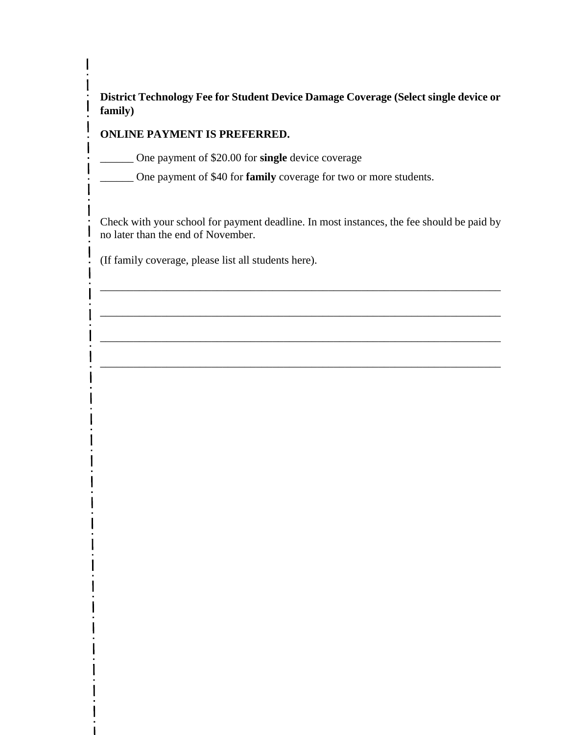**District Technology Fee for Student Device Damage Coverage (Select single device or family)** 

## **ONLINE PAYMENT IS PREFERRED.**

 $\mathsf{l}$ 

 $\mathbf{I}$ 

\_\_\_\_\_\_ One payment of \$20.00 for **single** device coverage

\_\_\_\_\_\_ One payment of \$40 for **family** coverage for two or more students.

Check with your school for payment deadline. In most instances, the fee should be paid by no later than the end of November.

\_\_\_\_\_\_\_\_\_\_\_\_\_\_\_\_\_\_\_\_\_\_\_\_\_\_\_\_\_\_\_\_\_\_\_\_\_\_\_\_\_\_\_\_\_\_\_\_\_\_\_\_\_\_\_\_\_\_\_\_\_\_\_\_\_\_\_\_\_\_\_\_

\_\_\_\_\_\_\_\_\_\_\_\_\_\_\_\_\_\_\_\_\_\_\_\_\_\_\_\_\_\_\_\_\_\_\_\_\_\_\_\_\_\_\_\_\_\_\_\_\_\_\_\_\_\_\_\_\_\_\_\_\_\_\_\_\_\_\_\_\_\_\_\_

\_\_\_\_\_\_\_\_\_\_\_\_\_\_\_\_\_\_\_\_\_\_\_\_\_\_\_\_\_\_\_\_\_\_\_\_\_\_\_\_\_\_\_\_\_\_\_\_\_\_\_\_\_\_\_\_\_\_\_\_\_\_\_\_\_\_\_\_\_\_\_\_

\_\_\_\_\_\_\_\_\_\_\_\_\_\_\_\_\_\_\_\_\_\_\_\_\_\_\_\_\_\_\_\_\_\_\_\_\_\_\_\_\_\_\_\_\_\_\_\_\_\_\_\_\_\_\_\_\_\_\_\_\_\_\_\_\_\_\_\_\_\_\_\_

(If family coverage, please list all students here).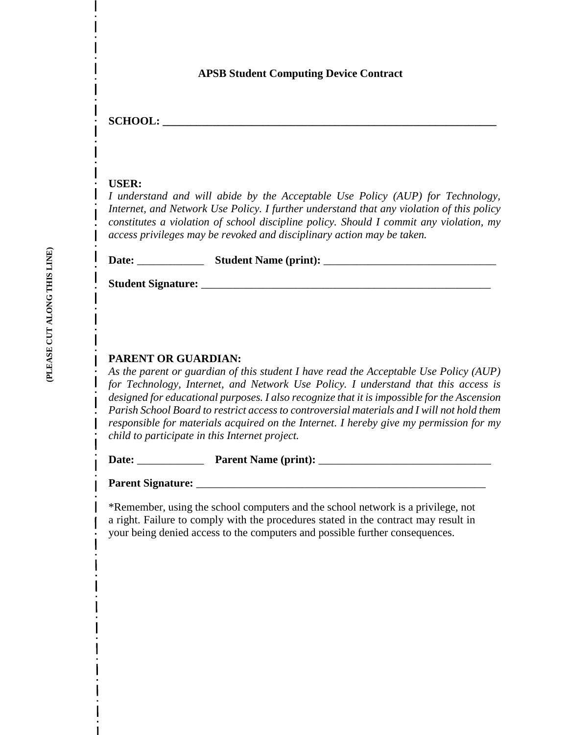#### **APSB Student Computing Device Contract**

 $SCHOOL:$ 

#### **USER:**

*I understand and will abide by the Acceptable Use Policy (AUP) for Technology, Internet, and Network Use Policy. I further understand that any violation of this policy constitutes a violation of school discipline policy. Should I commit any violation, my access privileges may be revoked and disciplinary action may be taken.* 

| Date: | <b>Student Name (print):</b> |  |
|-------|------------------------------|--|
|-------|------------------------------|--|

**Student Signature:** \_\_\_\_\_\_\_\_\_\_\_\_\_\_\_\_\_\_\_\_\_\_\_\_\_\_\_\_\_\_\_\_\_\_\_\_\_\_\_\_\_\_\_\_\_\_\_\_\_\_\_\_

#### **PARENT OR GUARDIAN:**

*As the parent or guardian of this student I have read the Acceptable Use Policy (AUP) for Technology, Internet, and Network Use Policy. I understand that this access is designed for educational purposes. I also recognize that it is impossible for the Ascension Parish School Board to restrict access to controversial materials and I will not hold them responsible for materials acquired on the Internet. I hereby give my permission for my child to participate in this Internet project.* 

**Date:** \_\_\_\_\_\_\_\_\_\_\_\_ **Parent Name (print):** \_\_\_\_\_\_\_\_\_\_\_\_\_\_\_\_\_\_\_\_\_\_\_\_\_\_\_\_\_\_\_

**Parent Signature:** \_\_\_\_\_\_\_\_\_\_\_\_\_\_\_\_\_\_\_\_\_\_\_\_\_\_\_\_\_\_\_\_\_\_\_\_\_\_\_\_\_\_\_\_\_\_\_\_\_\_\_\_

\*Remember, using the school computers and the school network is a privilege, not a right. Failure to comply with the procedures stated in the contract may result in your being denied access to the computers and possible further consequences.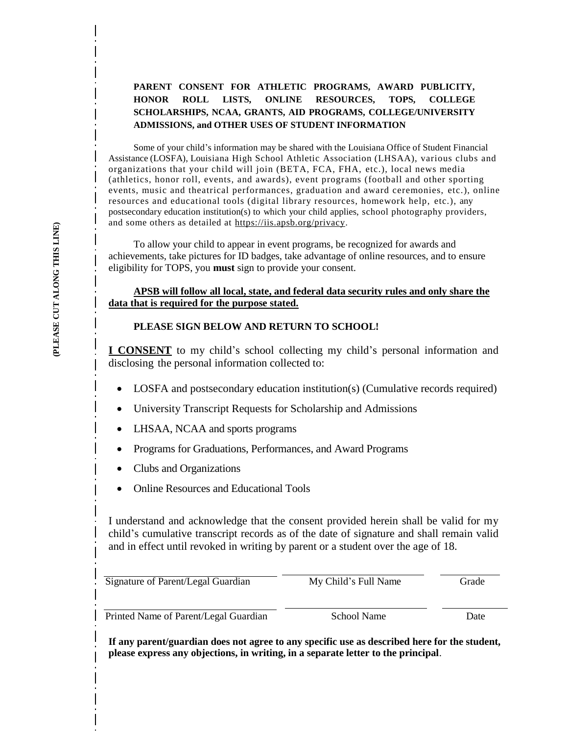#### **PARENT CONSENT FOR ATHLETIC PROGRAMS, AWARD PUBLICITY, HONOR ROLL LISTS, ONLINE RESOURCES, TOPS, COLLEGE SCHOLARSHIPS, NCAA, GRANTS, AID PROGRAMS, COLLEGE/UNIVERSITY ADMISSIONS, and OTHER USES OF STUDENT INFORMATION**

Some of your child's information may be shared with the Louisiana Office of Student Financial Assistance (LOSFA), Louisiana High School Athletic Association (LHSAA), various clubs and organizations that your child will join (BETA, FCA, FHA, etc.), local news media (athletics, honor roll, events, and awards), event programs (football and other sporting events, music and theatrical performances, graduation and award ceremonies, etc.), online resources and educational tools (digital library resources, homework help, etc.), any postsecondary education institution(s) to which your child applies, school photography providers, and some others as detailed at [https://iis.apsb.org/privacy.](https://iis.apsb.org/privacy)

To allow your child to appear in event programs, be recognized for awards and achievements, take pictures for ID badges, take advantage of online resources, and to ensure eligibility for TOPS, you **must** sign to provide your consent.

#### **APSB will follow all local, state, and federal data security rules and only share the data that is required for the purpose stated.**

#### **PLEASE SIGN BELOW AND RETURN TO SCHOOL!**

**I CONSENT** to my child's school collecting my child's personal information and disclosing the personal information collected to:

- LOSFA and postsecondary education institution(s) (Cumulative records required)
- University Transcript Requests for Scholarship and Admissions
- LHSAA, NCAA and sports programs
- Programs for Graduations, Performances, and Award Programs
- Clubs and Organizations
- Online Resources and Educational Tools

I understand and acknowledge that the consent provided herein shall be valid for my child's cumulative transcript records as of the date of signature and shall remain valid and in effect until revoked in writing by parent or a student over the age of 18.

| Signature of Parent/Legal Guardian    | My Child's Full Name | Grade |
|---------------------------------------|----------------------|-------|
|                                       |                      |       |
| Printed Name of Parent/Legal Guardian | School Name          | Date  |

**If any parent/guardian does not agree to any specific use as described here for the student, please express any objections, in writing, in a separate letter to the principal**.

I

I

I

I

 $\mathsf{l}$ 

 $\mathsf{I}$ 

1

I

I

I

 $\mathbf{I}$ 

I

I

I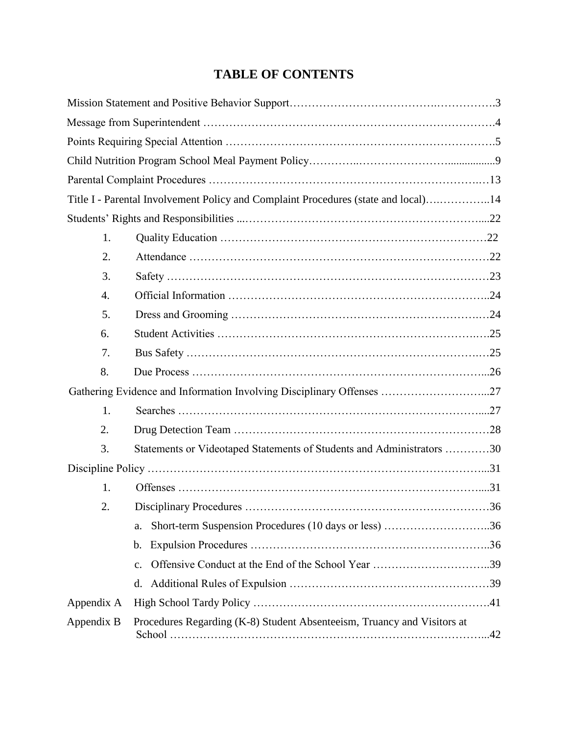## **TABLE OF CONTENTS**

|            | Title I - Parental Involvement Policy and Complaint Procedures (state and local)14 |  |
|------------|------------------------------------------------------------------------------------|--|
|            |                                                                                    |  |
| 1.         |                                                                                    |  |
| 2.         |                                                                                    |  |
| 3.         |                                                                                    |  |
| 4.         |                                                                                    |  |
| 5.         |                                                                                    |  |
| 6.         |                                                                                    |  |
| 7.         |                                                                                    |  |
| 8.         |                                                                                    |  |
|            | Gathering Evidence and Information Involving Disciplinary Offenses 27              |  |
| 1.         |                                                                                    |  |
| 2.         |                                                                                    |  |
| 3.         | Statements or Videotaped Statements of Students and Administrators 30              |  |
|            |                                                                                    |  |
| 1.         |                                                                                    |  |
| 2.         |                                                                                    |  |
|            | Short-term Suspension Procedures (10 days or less) 36<br>a.                        |  |
|            | $\mathbf b$ .                                                                      |  |
|            | c.                                                                                 |  |
|            | d.                                                                                 |  |
| Appendix A |                                                                                    |  |
| Appendix B | Procedures Regarding (K-8) Student Absenteeism, Truancy and Visitors at            |  |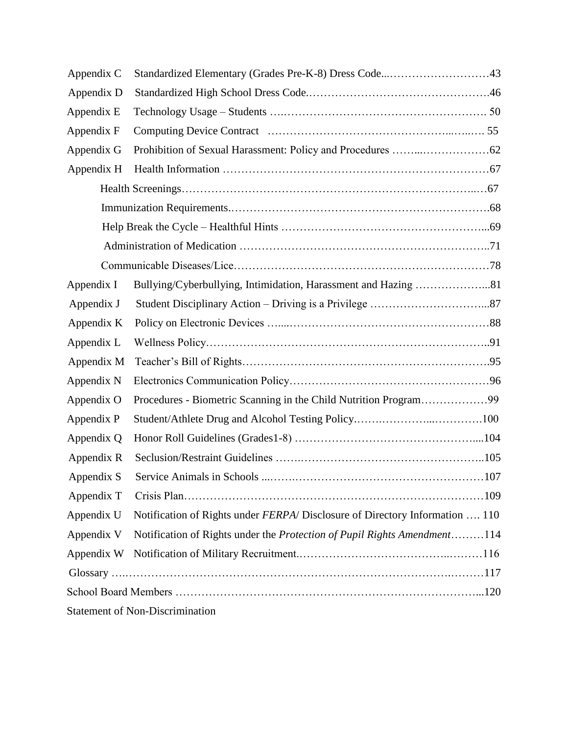| Appendix C |                                                                                     |  |
|------------|-------------------------------------------------------------------------------------|--|
| Appendix D |                                                                                     |  |
| Appendix E |                                                                                     |  |
| Appendix F |                                                                                     |  |
| Appendix G |                                                                                     |  |
| Appendix H |                                                                                     |  |
|            |                                                                                     |  |
|            |                                                                                     |  |
|            |                                                                                     |  |
|            |                                                                                     |  |
|            |                                                                                     |  |
| Appendix I |                                                                                     |  |
| Appendix J |                                                                                     |  |
| Appendix K |                                                                                     |  |
| Appendix L |                                                                                     |  |
| Appendix M |                                                                                     |  |
| Appendix N |                                                                                     |  |
| Appendix O | Procedures - Biometric Scanning in the Child Nutrition Program99                    |  |
| Appendix P |                                                                                     |  |
| Appendix Q |                                                                                     |  |
| Appendix R |                                                                                     |  |
| Appendix S |                                                                                     |  |
| Appendix T |                                                                                     |  |
| Appendix U | Notification of Rights under <i>FERPA</i> /Disclosure of Directory Information  110 |  |
| Appendix V | Notification of Rights under the Protection of Pupil Rights Amendment114            |  |
| Appendix W |                                                                                     |  |
|            |                                                                                     |  |
|            |                                                                                     |  |
|            | <b>Statement of Non-Discrimination</b>                                              |  |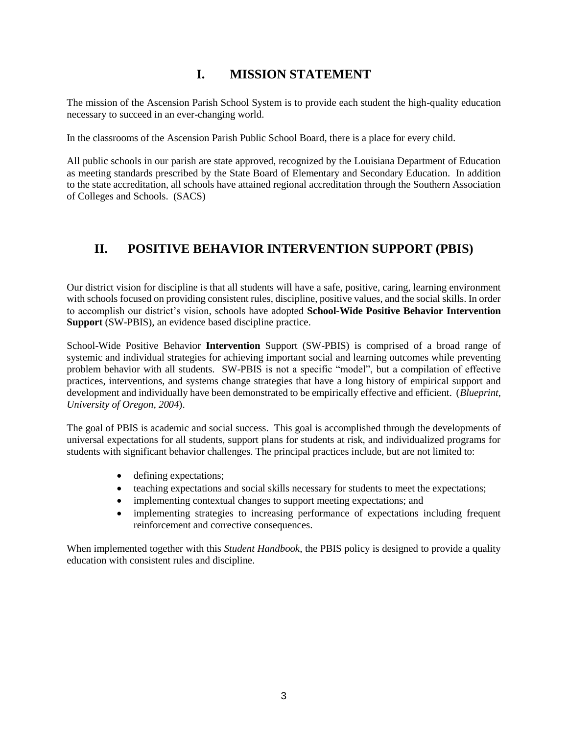## **I. MISSION STATEMENT**

The mission of the Ascension Parish School System is to provide each student the high-quality education necessary to succeed in an ever-changing world.

In the classrooms of the Ascension Parish Public School Board, there is a place for every child.

All public schools in our parish are state approved, recognized by the Louisiana Department of Education as meeting standards prescribed by the State Board of Elementary and Secondary Education. In addition to the state accreditation, all schools have attained regional accreditation through the Southern Association of Colleges and Schools. (SACS)

## **II. POSITIVE BEHAVIOR INTERVENTION SUPPORT (PBIS)**

Our district vision for discipline is that all students will have a safe, positive, caring, learning environment with schools focused on providing consistent rules, discipline, positive values, and the social skills. In order to accomplish our district's vision, schools have adopted **School-Wide Positive Behavior Intervention Support** (SW-PBIS), an evidence based discipline practice.

School-Wide Positive Behavior **Intervention** Support (SW-PBIS) is comprised of a broad range of systemic and individual strategies for achieving important social and learning outcomes while preventing problem behavior with all students. SW-PBIS is not a specific "model", but a compilation of effective practices, interventions, and systems change strategies that have a long history of empirical support and development and individually have been demonstrated to be empirically effective and efficient. (*Blueprint, University of Oregon, 2004*).

The goal of PBIS is academic and social success. This goal is accomplished through the developments of universal expectations for all students, support plans for students at risk, and individualized programs for students with significant behavior challenges. The principal practices include, but are not limited to:

- defining expectations;
- teaching expectations and social skills necessary for students to meet the expectations;
- implementing contextual changes to support meeting expectations; and
- implementing strategies to increasing performance of expectations including frequent reinforcement and corrective consequences.

When implemented together with this *Student Handbook*, the PBIS policy is designed to provide a quality education with consistent rules and discipline.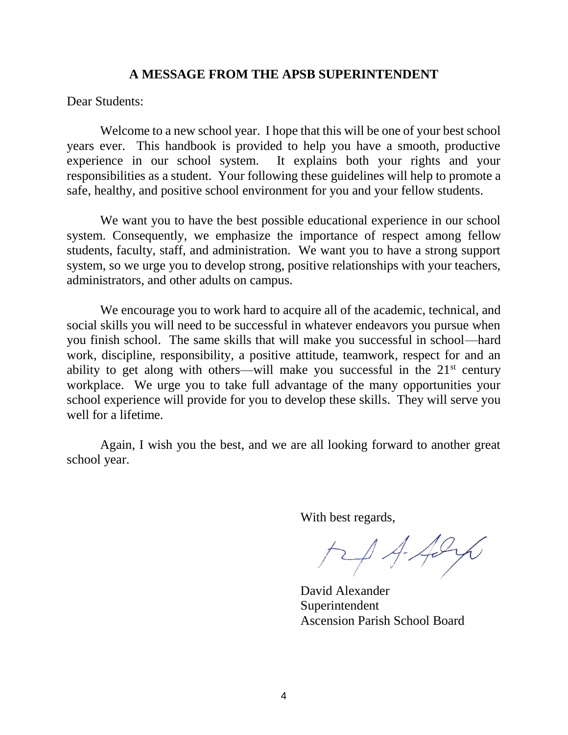#### **A MESSAGE FROM THE APSB SUPERINTENDENT**

Dear Students:

Welcome to a new school year. I hope that this will be one of your best school years ever. This handbook is provided to help you have a smooth, productive experience in our school system. It explains both your rights and your responsibilities as a student. Your following these guidelines will help to promote a safe, healthy, and positive school environment for you and your fellow students.

We want you to have the best possible educational experience in our school system. Consequently, we emphasize the importance of respect among fellow students, faculty, staff, and administration. We want you to have a strong support system, so we urge you to develop strong, positive relationships with your teachers, administrators, and other adults on campus.

We encourage you to work hard to acquire all of the academic, technical, and social skills you will need to be successful in whatever endeavors you pursue when you finish school. The same skills that will make you successful in school—hard work, discipline, responsibility, a positive attitude, teamwork, respect for and an ability to get along with others—will make you successful in the  $21<sup>st</sup>$  century workplace. We urge you to take full advantage of the many opportunities your school experience will provide for you to develop these skills. They will serve you well for a lifetime.

Again, I wish you the best, and we are all looking forward to another great school year.

With best regards,

 $H4426$ 

David Alexander Superintendent Ascension Parish School Board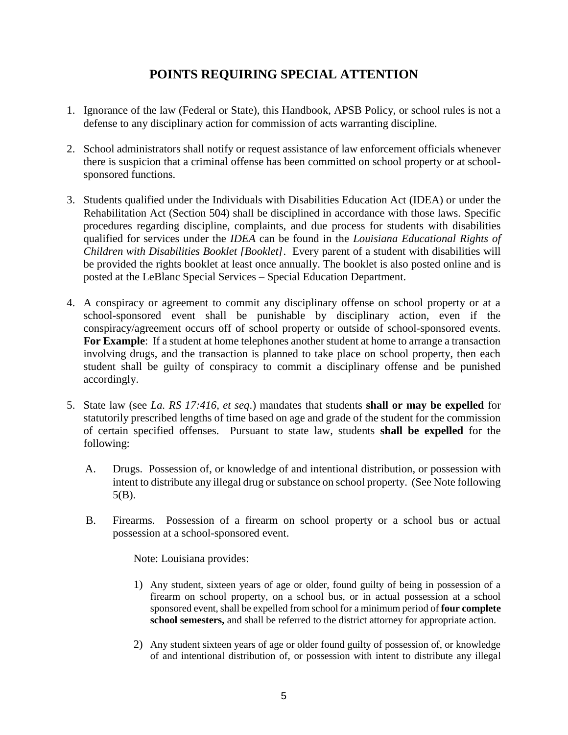## **POINTS REQUIRING SPECIAL ATTENTION**

- 1. Ignorance of the law (Federal or State), this Handbook, APSB Policy, or school rules is not a defense to any disciplinary action for commission of acts warranting discipline.
- 2. School administrators shall notify or request assistance of law enforcement officials whenever there is suspicion that a criminal offense has been committed on school property or at schoolsponsored functions.
- 3. Students qualified under the Individuals with Disabilities Education Act (IDEA) or under the Rehabilitation Act (Section 504) shall be disciplined in accordance with those laws. Specific procedures regarding discipline, complaints, and due process for students with disabilities qualified for services under the *IDEA* can be found in the *Louisiana Educational Rights of Children with Disabilities Booklet [Booklet]*. Every parent of a student with disabilities will be provided the rights booklet at least once annually. The booklet is also posted online and is posted at the LeBlanc Special Services – Special Education Department.
- 4. A conspiracy or agreement to commit any disciplinary offense on school property or at a school-sponsored event shall be punishable by disciplinary action, even if the conspiracy/agreement occurs off of school property or outside of school-sponsored events. For **Example**: If a student at home telephones another student at home to arrange a transaction involving drugs, and the transaction is planned to take place on school property, then each student shall be guilty of conspiracy to commit a disciplinary offense and be punished accordingly.
- 5. State law (see *La. RS 17:416, et seq*.) mandates that students **shall or may be expelled** for statutorily prescribed lengths of time based on age and grade of the student for the commission of certain specified offenses. Pursuant to state law, students **shall be expelled** for the following:
	- A. Drugs. Possession of, or knowledge of and intentional distribution, or possession with intent to distribute any illegal drug or substance on school property. (See Note following 5(B).
	- B. Firearms. Possession of a firearm on school property or a school bus or actual possession at a school-sponsored event.

Note: Louisiana provides:

- 1) Any student, sixteen years of age or older, found guilty of being in possession of a firearm on school property, on a school bus, or in actual possession at a school sponsored event, shall be expelled from school for a minimum period of **four complete school semesters,** and shall be referred to the district attorney for appropriate action.
- 2) Any student sixteen years of age or older found guilty of possession of, or knowledge of and intentional distribution of, or possession with intent to distribute any illegal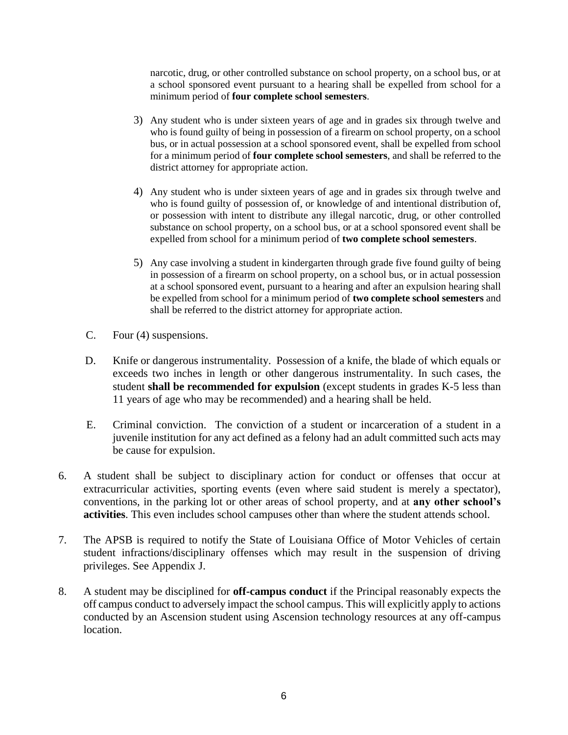narcotic, drug, or other controlled substance on school property, on a school bus, or at a school sponsored event pursuant to a hearing shall be expelled from school for a minimum period of **four complete school semesters**.

- 3) Any student who is under sixteen years of age and in grades six through twelve and who is found guilty of being in possession of a firearm on school property, on a school bus, or in actual possession at a school sponsored event, shall be expelled from school for a minimum period of **four complete school semesters**, and shall be referred to the district attorney for appropriate action.
- 4) Any student who is under sixteen years of age and in grades six through twelve and who is found guilty of possession of, or knowledge of and intentional distribution of, or possession with intent to distribute any illegal narcotic, drug, or other controlled substance on school property, on a school bus, or at a school sponsored event shall be expelled from school for a minimum period of **two complete school semesters**.
- 5) Any case involving a student in kindergarten through grade five found guilty of being in possession of a firearm on school property, on a school bus, or in actual possession at a school sponsored event, pursuant to a hearing and after an expulsion hearing shall be expelled from school for a minimum period of **two complete school semesters** and shall be referred to the district attorney for appropriate action.
- C. Four (4) suspensions.
- D. Knife or dangerous instrumentality. Possession of a knife, the blade of which equals or exceeds two inches in length or other dangerous instrumentality. In such cases, the student **shall be recommended for expulsion** (except students in grades K-5 less than 11 years of age who may be recommended) and a hearing shall be held.
- E. Criminal conviction. The conviction of a student or incarceration of a student in a juvenile institution for any act defined as a felony had an adult committed such acts may be cause for expulsion.
- 6. A student shall be subject to disciplinary action for conduct or offenses that occur at extracurricular activities, sporting events (even where said student is merely a spectator), conventions, in the parking lot or other areas of school property, and at **any other school's activities**. This even includes school campuses other than where the student attends school.
- 7. The APSB is required to notify the State of Louisiana Office of Motor Vehicles of certain student infractions/disciplinary offenses which may result in the suspension of driving privileges. See Appendix J.
- 8. A student may be disciplined for **off-campus conduct** if the Principal reasonably expects the off campus conduct to adversely impact the school campus. This will explicitly apply to actions conducted by an Ascension student using Ascension technology resources at any off-campus location.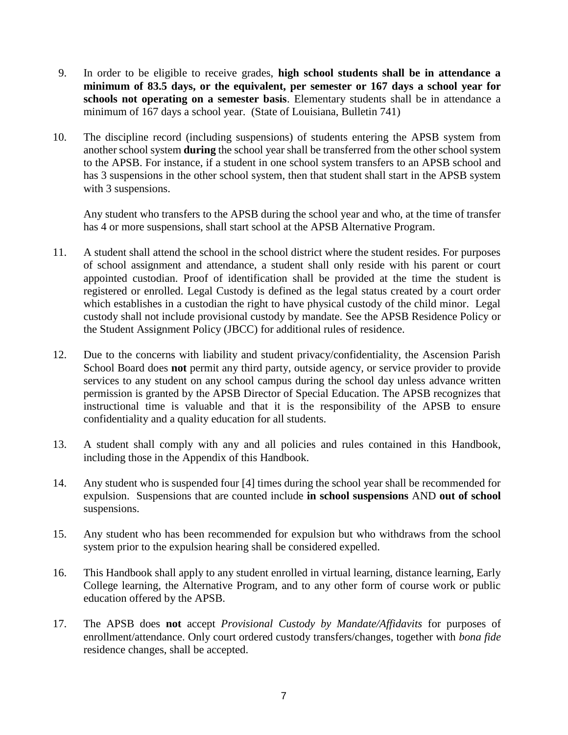- 9. In order to be eligible to receive grades, **high school students shall be in attendance a minimum of 83.5 days, or the equivalent, per semester or 167 days a school year for schools not operating on a semester basis**. Elementary students shall be in attendance a minimum of 167 days a school year. (State of Louisiana, Bulletin 741)
- 10. The discipline record (including suspensions) of students entering the APSB system from another school system **during** the school year shall be transferred from the other school system to the APSB. For instance, if a student in one school system transfers to an APSB school and has 3 suspensions in the other school system, then that student shall start in the APSB system with 3 suspensions.

Any student who transfers to the APSB during the school year and who, at the time of transfer has 4 or more suspensions, shall start school at the APSB Alternative Program.

- 11. A student shall attend the school in the school district where the student resides. For purposes of school assignment and attendance, a student shall only reside with his parent or court appointed custodian. Proof of identification shall be provided at the time the student is registered or enrolled. Legal Custody is defined as the legal status created by a court order which establishes in a custodian the right to have physical custody of the child minor. Legal custody shall not include provisional custody by mandate. See the APSB Residence Policy or the Student Assignment Policy (JBCC) for additional rules of residence.
- 12. Due to the concerns with liability and student privacy/confidentiality, the Ascension Parish School Board does **not** permit any third party, outside agency, or service provider to provide services to any student on any school campus during the school day unless advance written permission is granted by the APSB Director of Special Education. The APSB recognizes that instructional time is valuable and that it is the responsibility of the APSB to ensure confidentiality and a quality education for all students.
- 13. A student shall comply with any and all policies and rules contained in this Handbook, including those in the Appendix of this Handbook.
- 14. Any student who is suspended four [4] times during the school year shall be recommended for expulsion. Suspensions that are counted include **in school suspensions** AND **out of school** suspensions.
- 15. Any student who has been recommended for expulsion but who withdraws from the school system prior to the expulsion hearing shall be considered expelled.
- 16. This Handbook shall apply to any student enrolled in virtual learning, distance learning, Early College learning, the Alternative Program, and to any other form of course work or public education offered by the APSB.
- 17. The APSB does **not** accept *Provisional Custody by Mandate/Affidavits* for purposes of enrollment/attendance. Only court ordered custody transfers/changes, together with *bona fide* residence changes, shall be accepted.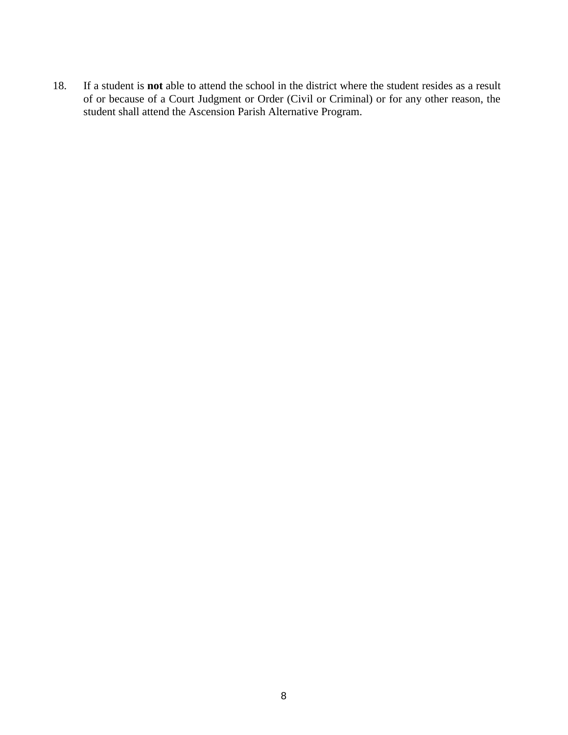18. If a student is **not** able to attend the school in the district where the student resides as a result of or because of a Court Judgment or Order (Civil or Criminal) or for any other reason, the student shall attend the Ascension Parish Alternative Program.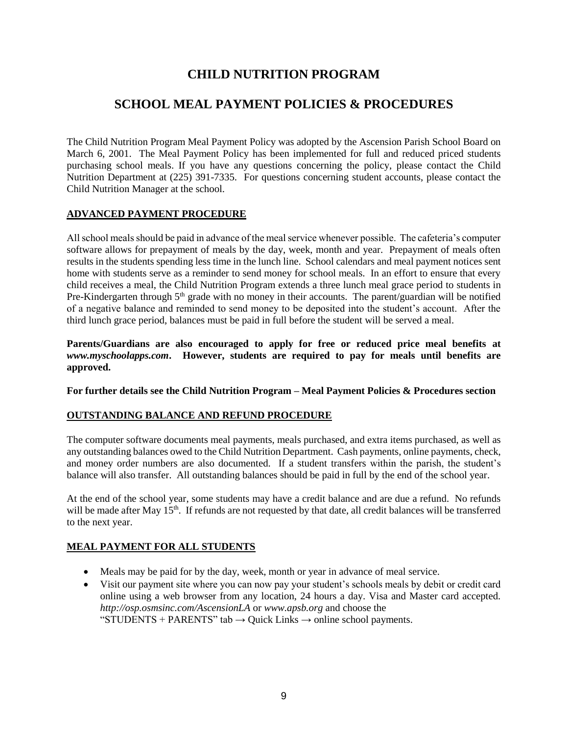## **CHILD NUTRITION PROGRAM**

## **SCHOOL MEAL PAYMENT POLICIES & PROCEDURES**

The Child Nutrition Program Meal Payment Policy was adopted by the Ascension Parish School Board on March 6, 2001. The Meal Payment Policy has been implemented for full and reduced priced students purchasing school meals. If you have any questions concerning the policy, please contact the Child Nutrition Department at (225) 391-7335. For questions concerning student accounts, please contact the Child Nutrition Manager at the school.

#### **ADVANCED PAYMENT PROCEDURE**

All school meals should be paid in advance of the meal service whenever possible. The cafeteria's computer software allows for prepayment of meals by the day, week, month and year. Prepayment of meals often results in the students spending less time in the lunch line. School calendars and meal payment notices sent home with students serve as a reminder to send money for school meals. In an effort to ensure that every child receives a meal, the Child Nutrition Program extends a three lunch meal grace period to students in Pre-Kindergarten through  $5<sup>th</sup>$  grade with no money in their accounts. The parent/guardian will be notified of a negative balance and reminded to send money to be deposited into the student's account. After the third lunch grace period, balances must be paid in full before the student will be served a meal.

**Parents/Guardians are also encouraged to apply for free or reduced price meal benefits at**  *www.myschoolapps.com***. However, students are required to pay for meals until benefits are approved.** 

**For further details see the Child Nutrition Program – Meal Payment Policies & Procedures section** 

#### **OUTSTANDING BALANCE AND REFUND PROCEDURE**

The computer software documents meal payments, meals purchased, and extra items purchased, as well as any outstanding balances owed to the Child Nutrition Department. Cash payments, online payments, check, and money order numbers are also documented. If a student transfers within the parish, the student's balance will also transfer. All outstanding balances should be paid in full by the end of the school year.

At the end of the school year, some students may have a credit balance and are due a refund. No refunds will be made after May 15<sup>th</sup>. If refunds are not requested by that date, all credit balances will be transferred to the next year.

#### **MEAL PAYMENT FOR ALL STUDENTS**

- Meals may be paid for by the day, week, month or year in advance of meal service.
- Visit our payment site where you can now pay your student's schools meals by debit or credit card online using a web browser from any location, 24 hours a day. Visa and Master card accepted. *http://osp.osmsinc.com/AscensionLA* or *www.apsb.org* and choose the "STUDENTS + PARENTS" tab  $\rightarrow$  Quick Links  $\rightarrow$  online school payments.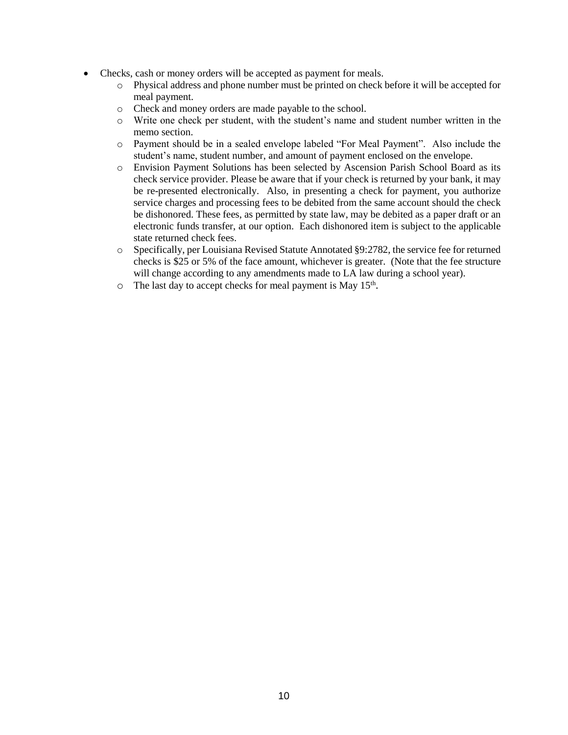- Checks, cash or money orders will be accepted as payment for meals.
	- o Physical address and phone number must be printed on check before it will be accepted for meal payment.
	- o Check and money orders are made payable to the school.
	- o Write one check per student, with the student's name and student number written in the memo section.
	- o Payment should be in a sealed envelope labeled "For Meal Payment". Also include the student's name, student number, and amount of payment enclosed on the envelope.
	- o Envision Payment Solutions has been selected by Ascension Parish School Board as its check service provider. Please be aware that if your check is returned by your bank, it may be re-presented electronically. Also, in presenting a check for payment, you authorize service charges and processing fees to be debited from the same account should the check be dishonored. These fees, as permitted by state law, may be debited as a paper draft or an electronic funds transfer, at our option. Each dishonored item is subject to the applicable state returned check fees.
	- o Specifically, per Louisiana Revised Statute Annotated §9:2782, the service fee for returned checks is \$25 or 5% of the face amount, whichever is greater. (Note that the fee structure will change according to any amendments made to LA law during a school year).
	- $\circ$  The last day to accept checks for meal payment is May 15<sup>th</sup>.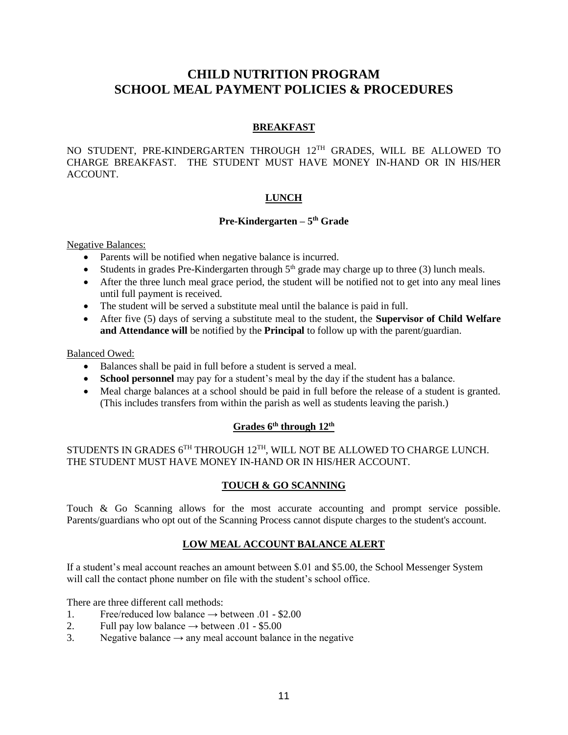## **CHILD NUTRITION PROGRAM SCHOOL MEAL PAYMENT POLICIES & PROCEDURES**

#### **BREAKFAST**

NO STUDENT, PRE-KINDERGARTEN THROUGH 12TH GRADES, WILL BE ALLOWED TO CHARGE BREAKFAST. THE STUDENT MUST HAVE MONEY IN-HAND OR IN HIS/HER ACCOUNT.

#### **LUNCH**

#### **Pre-Kindergarten – 5 th Grade**

Negative Balances:

- Parents will be notified when negative balance is incurred.
- Students in grades Pre-Kindergarten through  $5<sup>th</sup>$  grade may charge up to three (3) lunch meals.
- After the three lunch meal grace period, the student will be notified not to get into any meal lines until full payment is received.
- The student will be served a substitute meal until the balance is paid in full.
- After five (5) days of serving a substitute meal to the student, the **Supervisor of Child Welfare and Attendance will** be notified by the **Principal** to follow up with the parent/guardian.

#### Balanced Owed:

- Balances shall be paid in full before a student is served a meal.
- **School personnel** may pay for a student's meal by the day if the student has a balance.
- Meal charge balances at a school should be paid in full before the release of a student is granted. (This includes transfers from within the parish as well as students leaving the parish.)

#### **Grades 6th through 12th**

#### STUDENTS IN GRADES  $6^{TH}$  THROUGH  $12^{TH}$ , WILL NOT BE ALLOWED TO CHARGE LUNCH. THE STUDENT MUST HAVE MONEY IN-HAND OR IN HIS/HER ACCOUNT.

#### **TOUCH & GO SCANNING**

Touch & Go Scanning allows for the most accurate accounting and prompt service possible. Parents/guardians who opt out of the Scanning Process cannot dispute charges to the student's account.

#### **LOW MEAL ACCOUNT BALANCE ALERT**

If a student's meal account reaches an amount between \$.01 and \$5.00, the School Messenger System will call the contact phone number on file with the student's school office.

There are three different call methods:

- 1. Free/reduced low balance  $\rightarrow$  between 01 \$2.00
- 2. Full pay low balance  $\rightarrow$  between .01 \$5.00
- 3. Negative balance  $\rightarrow$  any meal account balance in the negative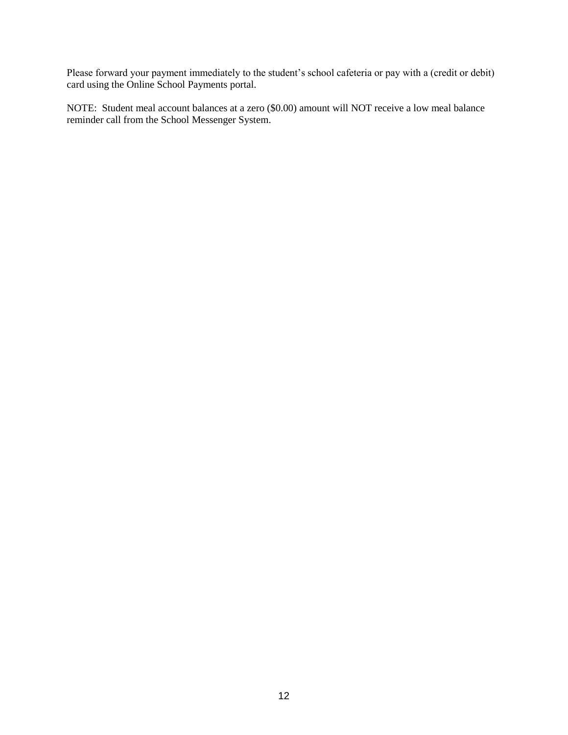Please forward your payment immediately to the student's school cafeteria or pay with a (credit or debit) card using the Online School Payments portal.

NOTE: Student meal account balances at a zero (\$0.00) amount will NOT receive a low meal balance reminder call from the School Messenger System.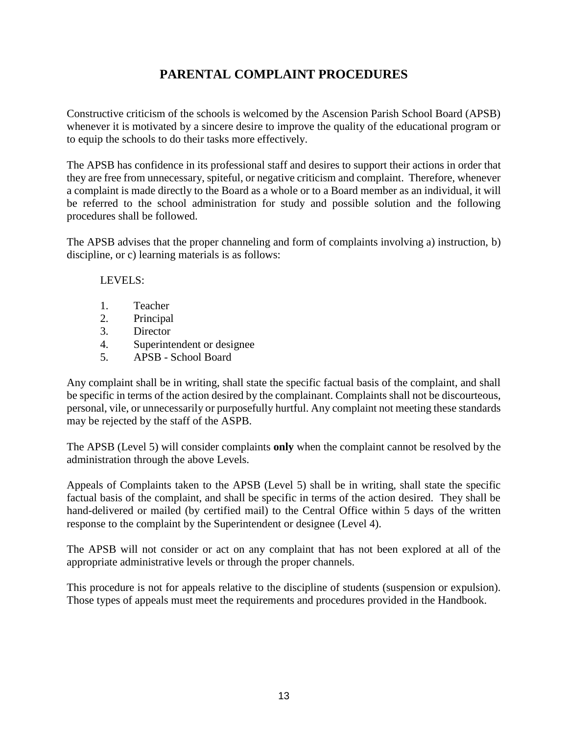## **PARENTAL COMPLAINT PROCEDURES**

Constructive criticism of the schools is welcomed by the Ascension Parish School Board (APSB) whenever it is motivated by a sincere desire to improve the quality of the educational program or to equip the schools to do their tasks more effectively.

The APSB has confidence in its professional staff and desires to support their actions in order that they are free from unnecessary, spiteful, or negative criticism and complaint. Therefore, whenever a complaint is made directly to the Board as a whole or to a Board member as an individual, it will be referred to the school administration for study and possible solution and the following procedures shall be followed.

The APSB advises that the proper channeling and form of complaints involving a) instruction, b) discipline, or c) learning materials is as follows:

LEVELS:

- 1. Teacher
- 2. Principal
- 3. Director
- 4. Superintendent or designee
- 5. APSB School Board

Any complaint shall be in writing, shall state the specific factual basis of the complaint, and shall be specific in terms of the action desired by the complainant. Complaints shall not be discourteous, personal, vile, or unnecessarily or purposefully hurtful. Any complaint not meeting these standards may be rejected by the staff of the ASPB.

The APSB (Level 5) will consider complaints **only** when the complaint cannot be resolved by the administration through the above Levels.

Appeals of Complaints taken to the APSB (Level 5) shall be in writing, shall state the specific factual basis of the complaint, and shall be specific in terms of the action desired. They shall be hand-delivered or mailed (by certified mail) to the Central Office within 5 days of the written response to the complaint by the Superintendent or designee (Level 4).

The APSB will not consider or act on any complaint that has not been explored at all of the appropriate administrative levels or through the proper channels.

This procedure is not for appeals relative to the discipline of students (suspension or expulsion). Those types of appeals must meet the requirements and procedures provided in the Handbook.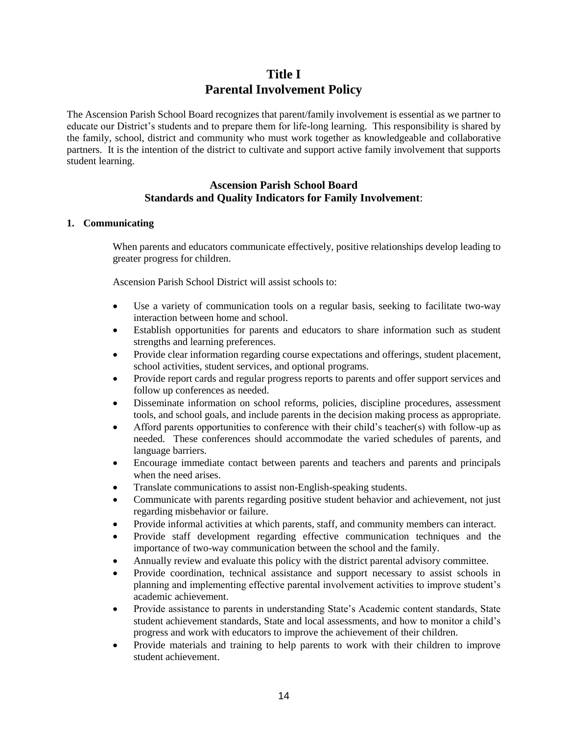## **Title I Parental Involvement Policy**

The Ascension Parish School Board recognizes that parent/family involvement is essential as we partner to educate our District's students and to prepare them for life-long learning. This responsibility is shared by the family, school, district and community who must work together as knowledgeable and collaborative partners. It is the intention of the district to cultivate and support active family involvement that supports student learning.

#### **Ascension Parish School Board Standards and Quality Indicators for Family Involvement**:

#### **1. Communicating**

When parents and educators communicate effectively, positive relationships develop leading to greater progress for children.

Ascension Parish School District will assist schools to:

- Use a variety of communication tools on a regular basis, seeking to facilitate two-way interaction between home and school.
- Establish opportunities for parents and educators to share information such as student strengths and learning preferences.
- Provide clear information regarding course expectations and offerings, student placement, school activities, student services, and optional programs.
- Provide report cards and regular progress reports to parents and offer support services and follow up conferences as needed.
- Disseminate information on school reforms, policies, discipline procedures, assessment tools, and school goals, and include parents in the decision making process as appropriate.
- Afford parents opportunities to conference with their child's teacher(s) with follow-up as needed. These conferences should accommodate the varied schedules of parents, and language barriers.
- Encourage immediate contact between parents and teachers and parents and principals when the need arises.
- Translate communications to assist non-English-speaking students.
- Communicate with parents regarding positive student behavior and achievement, not just regarding misbehavior or failure.
- Provide informal activities at which parents, staff, and community members can interact.
- Provide staff development regarding effective communication techniques and the importance of two-way communication between the school and the family.
- Annually review and evaluate this policy with the district parental advisory committee.
- Provide coordination, technical assistance and support necessary to assist schools in planning and implementing effective parental involvement activities to improve student's academic achievement.
- Provide assistance to parents in understanding State's Academic content standards, State student achievement standards, State and local assessments, and how to monitor a child's progress and work with educators to improve the achievement of their children.
- Provide materials and training to help parents to work with their children to improve student achievement.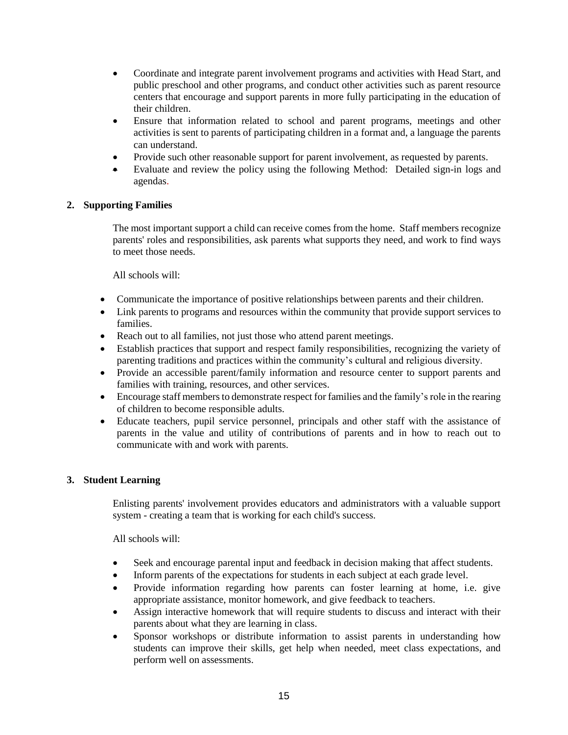- Coordinate and integrate parent involvement programs and activities with Head Start, and public preschool and other programs, and conduct other activities such as parent resource centers that encourage and support parents in more fully participating in the education of their children.
- Ensure that information related to school and parent programs, meetings and other activities is sent to parents of participating children in a format and, a language the parents can understand.
- Provide such other reasonable support for parent involvement, as requested by parents.
- Evaluate and review the policy using the following Method: Detailed sign-in logs and agendas.

#### **2. Supporting Families**

The most important support a child can receive comes from the home. Staff members recognize parents' roles and responsibilities, ask parents what supports they need, and work to find ways to meet those needs.

All schools will:

- Communicate the importance of positive relationships between parents and their children.
- Link parents to programs and resources within the community that provide support services to families.
- Reach out to all families, not just those who attend parent meetings.
- Establish practices that support and respect family responsibilities, recognizing the variety of parenting traditions and practices within the community's cultural and religious diversity.
- Provide an accessible parent/family information and resource center to support parents and families with training, resources, and other services.
- Encourage staff members to demonstrate respect for families and the family's role in the rearing of children to become responsible adults.
- Educate teachers, pupil service personnel, principals and other staff with the assistance of parents in the value and utility of contributions of parents and in how to reach out to communicate with and work with parents.

#### **3. Student Learning**

Enlisting parents' involvement provides educators and administrators with a valuable support system - creating a team that is working for each child's success.

All schools will:

- Seek and encourage parental input and feedback in decision making that affect students.
- Inform parents of the expectations for students in each subject at each grade level.
- Provide information regarding how parents can foster learning at home, i.e. give appropriate assistance, monitor homework, and give feedback to teachers.
- Assign interactive homework that will require students to discuss and interact with their parents about what they are learning in class.
- Sponsor workshops or distribute information to assist parents in understanding how students can improve their skills, get help when needed, meet class expectations, and perform well on assessments.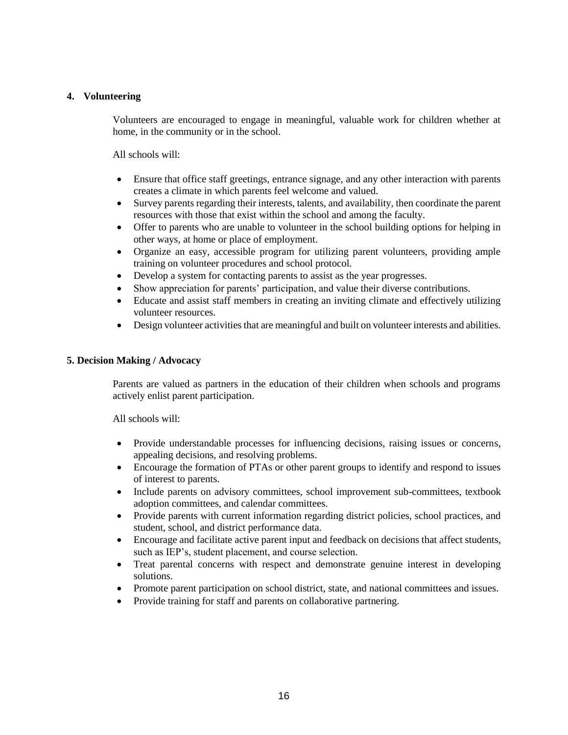#### **4. Volunteering**

Volunteers are encouraged to engage in meaningful, valuable work for children whether at home, in the community or in the school.

All schools will:

- Ensure that office staff greetings, entrance signage, and any other interaction with parents creates a climate in which parents feel welcome and valued.
- Survey parents regarding their interests, talents, and availability, then coordinate the parent resources with those that exist within the school and among the faculty.
- Offer to parents who are unable to volunteer in the school building options for helping in other ways, at home or place of employment.
- Organize an easy, accessible program for utilizing parent volunteers, providing ample training on volunteer procedures and school protocol.
- Develop a system for contacting parents to assist as the year progresses.
- Show appreciation for parents' participation, and value their diverse contributions.
- Educate and assist staff members in creating an inviting climate and effectively utilizing volunteer resources.
- Design volunteer activities that are meaningful and built on volunteer interests and abilities.

#### **5. Decision Making / Advocacy**

Parents are valued as partners in the education of their children when schools and programs actively enlist parent participation.

All schools will:

- Provide understandable processes for influencing decisions, raising issues or concerns, appealing decisions, and resolving problems.
- Encourage the formation of PTAs or other parent groups to identify and respond to issues of interest to parents.
- Include parents on advisory committees, school improvement sub-committees, textbook adoption committees, and calendar committees.
- Provide parents with current information regarding district policies, school practices, and student, school, and district performance data.
- Encourage and facilitate active parent input and feedback on decisions that affect students, such as IEP's, student placement, and course selection.
- Treat parental concerns with respect and demonstrate genuine interest in developing solutions.
- Promote parent participation on school district, state, and national committees and issues.
- Provide training for staff and parents on collaborative partnering.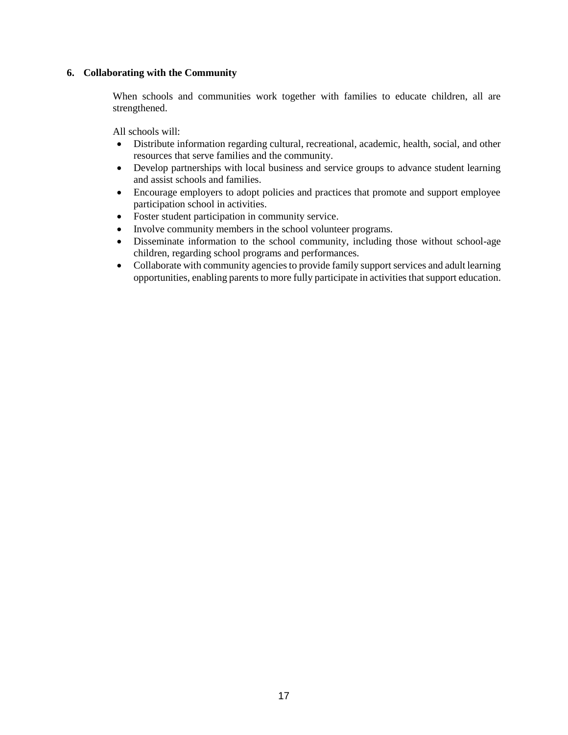#### **6. Collaborating with the Community**

When schools and communities work together with families to educate children, all are strengthened.

All schools will:

- Distribute information regarding cultural, recreational, academic, health, social, and other resources that serve families and the community.
- Develop partnerships with local business and service groups to advance student learning and assist schools and families.
- Encourage employers to adopt policies and practices that promote and support employee participation school in activities.
- Foster student participation in community service.
- Involve community members in the school volunteer programs.
- Disseminate information to the school community, including those without school-age children, regarding school programs and performances.
- Collaborate with community agencies to provide family support services and adult learning opportunities, enabling parents to more fully participate in activities that support education.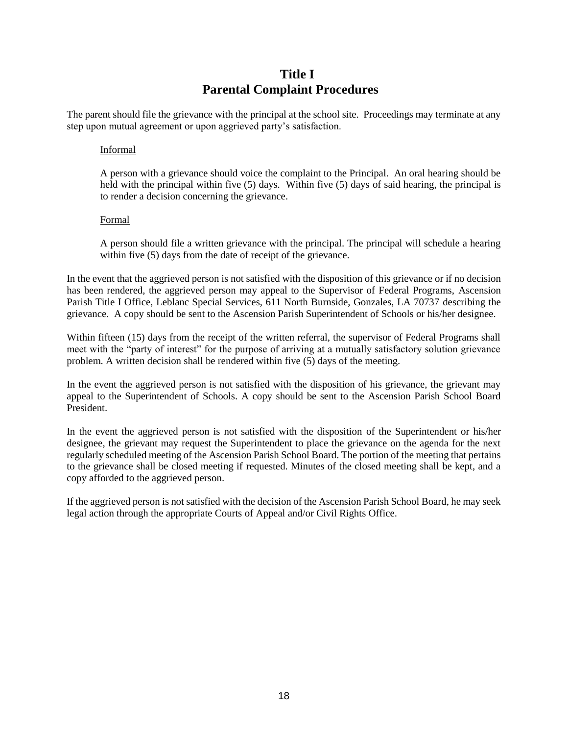## **Title I Parental Complaint Procedures**

The parent should file the grievance with the principal at the school site. Proceedings may terminate at any step upon mutual agreement or upon aggrieved party's satisfaction.

#### Informal

A person with a grievance should voice the complaint to the Principal. An oral hearing should be held with the principal within five (5) days. Within five (5) days of said hearing, the principal is to render a decision concerning the grievance.

#### Formal

A person should file a written grievance with the principal. The principal will schedule a hearing within five (5) days from the date of receipt of the grievance.

In the event that the aggrieved person is not satisfied with the disposition of this grievance or if no decision has been rendered, the aggrieved person may appeal to the Supervisor of Federal Programs, Ascension Parish Title I Office, Leblanc Special Services, 611 North Burnside, Gonzales, LA 70737 describing the grievance. A copy should be sent to the Ascension Parish Superintendent of Schools or his/her designee.

Within fifteen (15) days from the receipt of the written referral, the supervisor of Federal Programs shall meet with the "party of interest" for the purpose of arriving at a mutually satisfactory solution grievance problem. A written decision shall be rendered within five (5) days of the meeting.

In the event the aggrieved person is not satisfied with the disposition of his grievance, the grievant may appeal to the Superintendent of Schools. A copy should be sent to the Ascension Parish School Board President.

In the event the aggrieved person is not satisfied with the disposition of the Superintendent or his/her designee, the grievant may request the Superintendent to place the grievance on the agenda for the next regularly scheduled meeting of the Ascension Parish School Board. The portion of the meeting that pertains to the grievance shall be closed meeting if requested. Minutes of the closed meeting shall be kept, and a copy afforded to the aggrieved person.

If the aggrieved person is not satisfied with the decision of the Ascension Parish School Board, he may seek legal action through the appropriate Courts of Appeal and/or Civil Rights Office.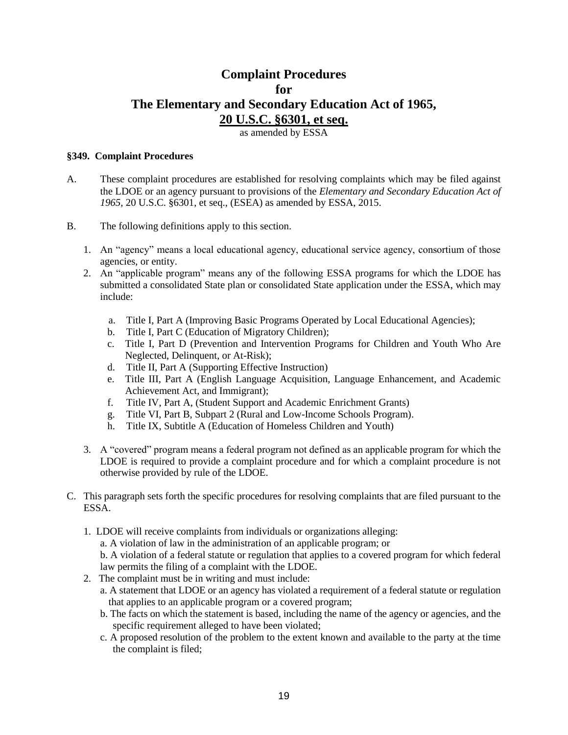## **Complaint Procedures for The Elementary and Secondary Education Act of 1965, 20 U.S.C. §6301, et seq.**

as amended by ESSA

#### **§349. Complaint Procedures**

- A. These complaint procedures are established for resolving complaints which may be filed against the LDOE or an agency pursuant to provisions of the *Elementary and Secondary Education Act of 1965*, 20 U.S.C. §6301, et seq., (ESEA) as amended by ESSA, 2015.
- B. The following definitions apply to this section.
	- 1. An "agency" means a local educational agency, educational service agency, consortium of those agencies, or entity.
	- 2. An "applicable program" means any of the following ESSA programs for which the LDOE has submitted a consolidated State plan or consolidated State application under the ESSA, which may include:
		- a. Title I, Part A (Improving Basic Programs Operated by Local Educational Agencies);
		- b. Title I, Part C (Education of Migratory Children);
		- c. Title I, Part D (Prevention and Intervention Programs for Children and Youth Who Are Neglected, Delinquent, or At-Risk);
		- d. Title II, Part A (Supporting Effective Instruction)
		- e. Title III, Part A (English Language Acquisition, Language Enhancement, and Academic Achievement Act, and Immigrant);
		- f. Title IV, Part A, (Student Support and Academic Enrichment Grants)
		- g. Title VI, Part B, Subpart 2 (Rural and Low-Income Schools Program).
		- h. Title IX, Subtitle A (Education of Homeless Children and Youth)
	- 3. A "covered" program means a federal program not defined as an applicable program for which the LDOE is required to provide a complaint procedure and for which a complaint procedure is not otherwise provided by rule of the LDOE.
- C. This paragraph sets forth the specific procedures for resolving complaints that are filed pursuant to the ESSA.
	- 1. LDOE will receive complaints from individuals or organizations alleging:

a. A violation of law in the administration of an applicable program; or

b. A violation of a federal statute or regulation that applies to a covered program for which federal law permits the filing of a complaint with the LDOE.

- 2. The complaint must be in writing and must include:
	- a. A statement that LDOE or an agency has violated a requirement of a federal statute or regulation that applies to an applicable program or a covered program;
	- b. The facts on which the statement is based, including the name of the agency or agencies, and the specific requirement alleged to have been violated;
	- c. A proposed resolution of the problem to the extent known and available to the party at the time the complaint is filed;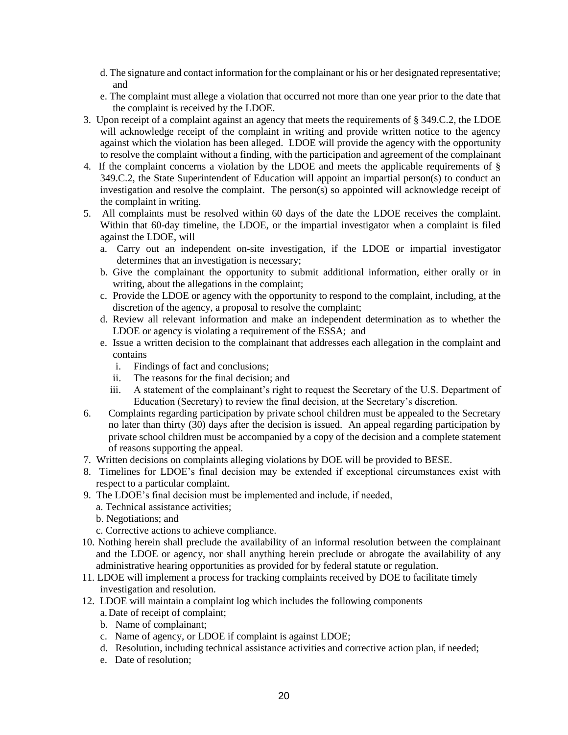- d. The signature and contact information for the complainant or his or her designated representative; and
- e. The complaint must allege a violation that occurred not more than one year prior to the date that the complaint is received by the LDOE.
- 3. Upon receipt of a complaint against an agency that meets the requirements of § 349.C.2, the LDOE will acknowledge receipt of the complaint in writing and provide written notice to the agency against which the violation has been alleged. LDOE will provide the agency with the opportunity to resolve the complaint without a finding, with the participation and agreement of the complainant
- 4. If the complaint concerns a violation by the LDOE and meets the applicable requirements of § 349.C.2, the State Superintendent of Education will appoint an impartial person(s) to conduct an investigation and resolve the complaint. The person(s) so appointed will acknowledge receipt of the complaint in writing.
- 5. All complaints must be resolved within 60 days of the date the LDOE receives the complaint. Within that 60-day timeline, the LDOE, or the impartial investigator when a complaint is filed against the LDOE, will
	- a. Carry out an independent on-site investigation, if the LDOE or impartial investigator determines that an investigation is necessary;
	- b. Give the complainant the opportunity to submit additional information, either orally or in writing, about the allegations in the complaint;
	- c. Provide the LDOE or agency with the opportunity to respond to the complaint, including, at the discretion of the agency, a proposal to resolve the complaint;
	- d. Review all relevant information and make an independent determination as to whether the LDOE or agency is violating a requirement of the ESSA; and
	- e. Issue a written decision to the complainant that addresses each allegation in the complaint and contains
		- i. Findings of fact and conclusions;
		- ii. The reasons for the final decision; and
		- iii. A statement of the complainant's right to request the Secretary of the U.S. Department of Education (Secretary) to review the final decision, at the Secretary's discretion.
- 6. Complaints regarding participation by private school children must be appealed to the Secretary no later than thirty (30) days after the decision is issued. An appeal regarding participation by private school children must be accompanied by a copy of the decision and a complete statement of reasons supporting the appeal.
- 7. Written decisions on complaints alleging violations by DOE will be provided to BESE.
- 8. Timelines for LDOE's final decision may be extended if exceptional circumstances exist with respect to a particular complaint.
- 9. The LDOE's final decision must be implemented and include, if needed,
	- a. Technical assistance activities;
	- b. Negotiations; and
	- c. Corrective actions to achieve compliance.
- 10. Nothing herein shall preclude the availability of an informal resolution between the complainant and the LDOE or agency, nor shall anything herein preclude or abrogate the availability of any administrative hearing opportunities as provided for by federal statute or regulation.
- 11. LDOE will implement a process for tracking complaints received by DOE to facilitate timely investigation and resolution.
- 12. LDOE will maintain a complaint log which includes the following components a.Date of receipt of complaint;
	- b. Name of complainant;
	- c. Name of agency, or LDOE if complaint is against LDOE;
	- d. Resolution, including technical assistance activities and corrective action plan, if needed;
	- e. Date of resolution;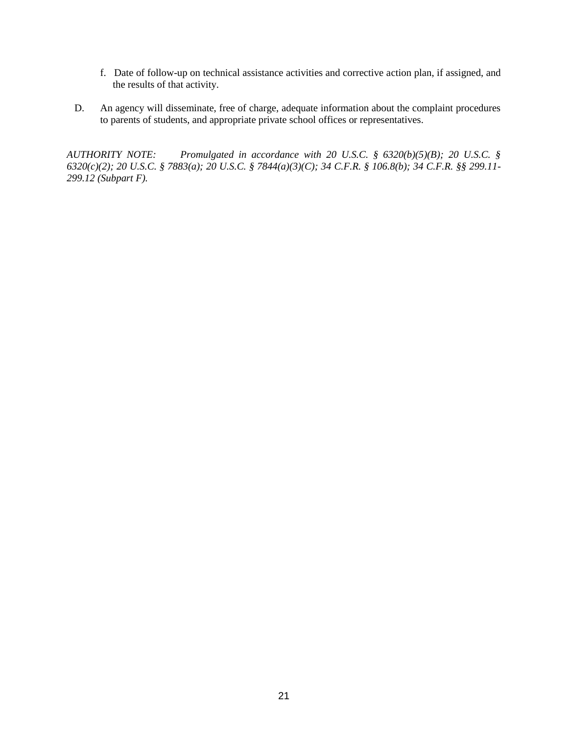- f. Date of follow-up on technical assistance activities and corrective action plan, if assigned, and the results of that activity.
- D. An agency will disseminate, free of charge, adequate information about the complaint procedures to parents of students, and appropriate private school offices or representatives.

*AUTHORITY NOTE: Promulgated in accordance with 20 U.S.C. § 6320(b)(5)(B); 20 U.S.C. § 6320(c)(2); 20 U.S.C. § 7883(a); 20 U.S.C. § 7844(a)(3)(C); 34 C.F.R. § 106.8(b); 34 C.F.R. §§ 299.11- 299.12 (Subpart F).*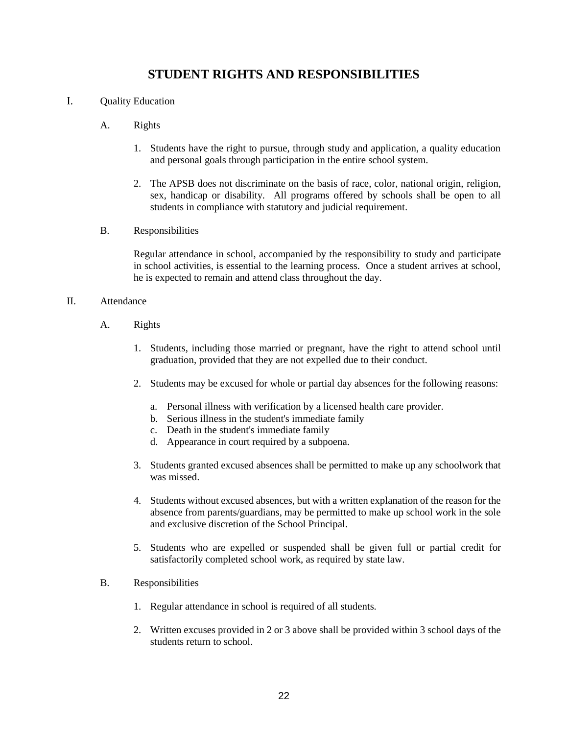## **STUDENT RIGHTS AND RESPONSIBILITIES**

- I. Quality Education
	- A. Rights
		- 1. Students have the right to pursue, through study and application, a quality education and personal goals through participation in the entire school system.
		- 2. The APSB does not discriminate on the basis of race, color, national origin, religion, sex, handicap or disability. All programs offered by schools shall be open to all students in compliance with statutory and judicial requirement.
	- B. Responsibilities

Regular attendance in school, accompanied by the responsibility to study and participate in school activities, is essential to the learning process. Once a student arrives at school, he is expected to remain and attend class throughout the day.

- II. Attendance
	- A. Rights
		- 1. Students, including those married or pregnant, have the right to attend school until graduation, provided that they are not expelled due to their conduct.
		- 2. Students may be excused for whole or partial day absences for the following reasons:
			- a. Personal illness with verification by a licensed health care provider.
			- b. Serious illness in the student's immediate family
			- c. Death in the student's immediate family
			- d. Appearance in court required by a subpoena.
		- 3. Students granted excused absences shall be permitted to make up any schoolwork that was missed.
		- 4. Students without excused absences, but with a written explanation of the reason for the absence from parents/guardians, may be permitted to make up school work in the sole and exclusive discretion of the School Principal.
		- 5. Students who are expelled or suspended shall be given full or partial credit for satisfactorily completed school work, as required by state law.
	- B. Responsibilities
		- 1. Regular attendance in school is required of all students.
		- 2. Written excuses provided in 2 or 3 above shall be provided within 3 school days of the students return to school.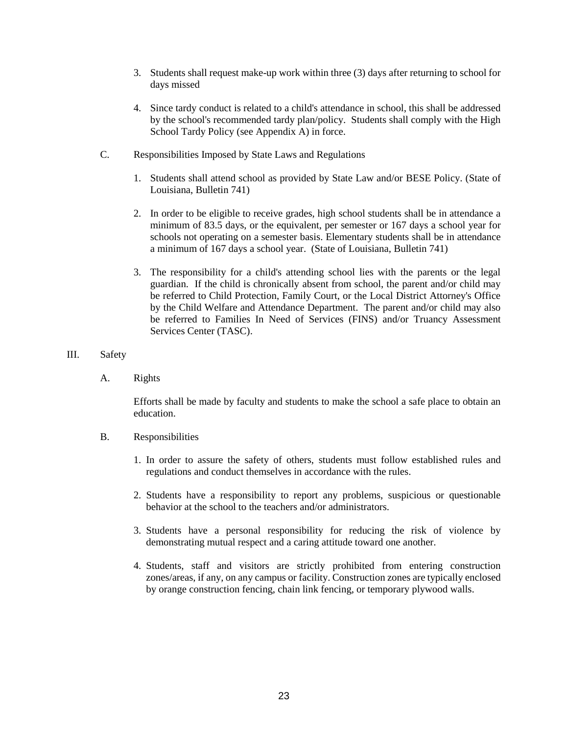- 3. Students shall request make-up work within three (3) days after returning to school for days missed
- 4. Since tardy conduct is related to a child's attendance in school, this shall be addressed by the school's recommended tardy plan/policy. Students shall comply with the High School Tardy Policy (see Appendix A) in force.
- C. Responsibilities Imposed by State Laws and Regulations
	- 1. Students shall attend school as provided by State Law and/or BESE Policy. (State of Louisiana, Bulletin 741)
	- 2. In order to be eligible to receive grades, high school students shall be in attendance a minimum of 83.5 days, or the equivalent, per semester or 167 days a school year for schools not operating on a semester basis. Elementary students shall be in attendance a minimum of 167 days a school year. (State of Louisiana, Bulletin 741)
	- 3. The responsibility for a child's attending school lies with the parents or the legal guardian. If the child is chronically absent from school, the parent and/or child may be referred to Child Protection, Family Court, or the Local District Attorney's Office by the Child Welfare and Attendance Department. The parent and/or child may also be referred to Families In Need of Services (FINS) and/or Truancy Assessment Services Center (TASC).
- III. Safety
	- A. Rights

Efforts shall be made by faculty and students to make the school a safe place to obtain an education.

- B. Responsibilities
	- 1. In order to assure the safety of others, students must follow established rules and regulations and conduct themselves in accordance with the rules.
	- 2. Students have a responsibility to report any problems, suspicious or questionable behavior at the school to the teachers and/or administrators.
	- 3. Students have a personal responsibility for reducing the risk of violence by demonstrating mutual respect and a caring attitude toward one another.
	- 4. Students, staff and visitors are strictly prohibited from entering construction zones/areas, if any, on any campus or facility. Construction zones are typically enclosed by orange construction fencing, chain link fencing, or temporary plywood walls.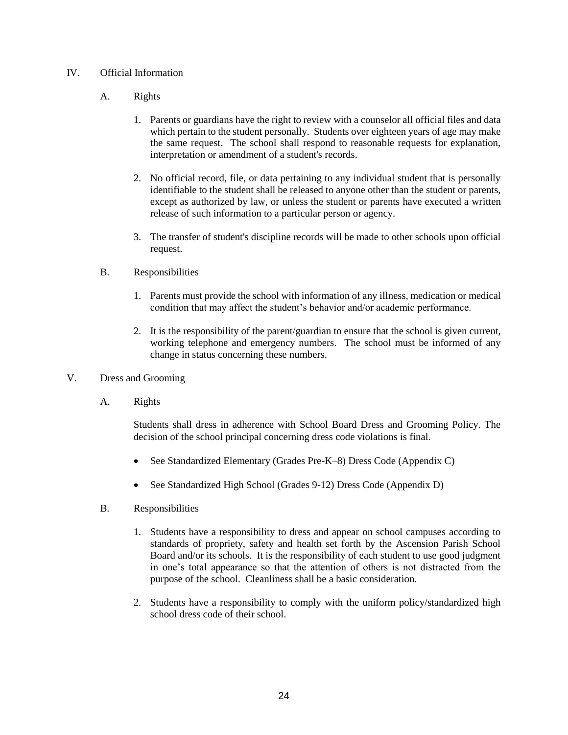#### IV. Official Information

- A. Rights
	- 1. Parents or guardians have the right to review with a counselor all official files and data which pertain to the student personally. Students over eighteen years of age may make the same request. The school shall respond to reasonable requests for explanation, interpretation or amendment of a student's records.
	- 2. No official record, file, or data pertaining to any individual student that is personally identifiable to the student shall be released to anyone other than the student or parents, except as authorized by law, or unless the student or parents have executed a written release of such information to a particular person or agency.
	- 3. The transfer of student's discipline records will be made to other schools upon official request.

#### B. Responsibilities

- 1. Parents must provide the school with information of any illness, medication or medical condition that may affect the student's behavior and/or academic performance.
- 2. It is the responsibility of the parent/guardian to ensure that the school is given current, working telephone and emergency numbers. The school must be informed of any change in status concerning these numbers.
- V. Dress and Grooming
	- A. Rights

Students shall dress in adherence with School Board Dress and Grooming Policy. The decision of the school principal concerning dress code violations is final.

- See Standardized Elementary (Grades Pre-K–8) Dress Code (Appendix C)
- See Standardized High School (Grades 9-12) Dress Code (Appendix D)
- B. Responsibilities
	- 1. Students have a responsibility to dress and appear on school campuses according to standards of propriety, safety and health set forth by the Ascension Parish School Board and/or its schools. It is the responsibility of each student to use good judgment in one's total appearance so that the attention of others is not distracted from the purpose of the school. Cleanliness shall be a basic consideration.
	- 2. Students have a responsibility to comply with the uniform policy/standardized high school dress code of their school.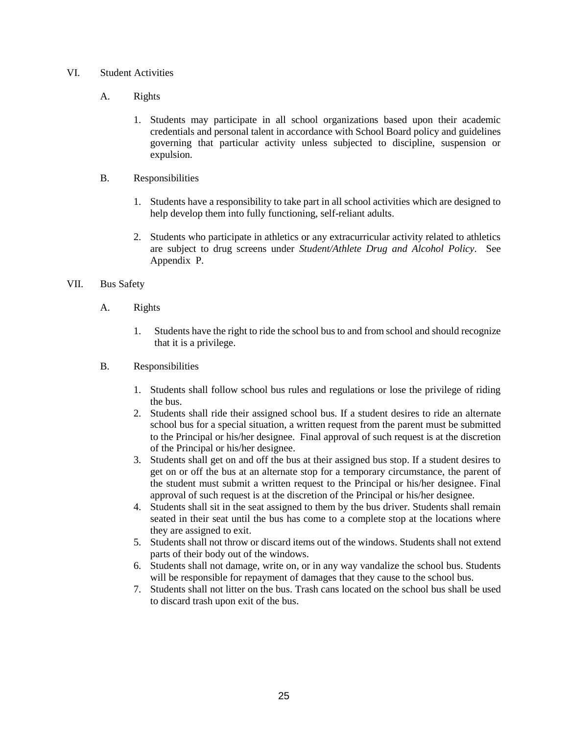- VI. Student Activities
	- A. Rights
		- 1. Students may participate in all school organizations based upon their academic credentials and personal talent in accordance with School Board policy and guidelines governing that particular activity unless subjected to discipline, suspension or expulsion.
	- B. Responsibilities
		- 1. Students have a responsibility to take part in all school activities which are designed to help develop them into fully functioning, self-reliant adults.
		- 2. Students who participate in athletics or any extracurricular activity related to athletics are subject to drug screens under *Student/Athlete Drug and Alcohol Policy.* See Appendix P.

#### VII. Bus Safety

- A. Rights
	- 1. Students have the right to ride the school bus to and from school and should recognize that it is a privilege.

#### B. Responsibilities

- 1. Students shall follow school bus rules and regulations or lose the privilege of riding the bus.
- 2. Students shall ride their assigned school bus. If a student desires to ride an alternate school bus for a special situation, a written request from the parent must be submitted to the Principal or his/her designee. Final approval of such request is at the discretion of the Principal or his/her designee.
- 3. Students shall get on and off the bus at their assigned bus stop. If a student desires to get on or off the bus at an alternate stop for a temporary circumstance, the parent of the student must submit a written request to the Principal or his/her designee. Final approval of such request is at the discretion of the Principal or his/her designee.
- 4. Students shall sit in the seat assigned to them by the bus driver. Students shall remain seated in their seat until the bus has come to a complete stop at the locations where they are assigned to exit.
- 5. Students shall not throw or discard items out of the windows. Students shall not extend parts of their body out of the windows.
- 6. Students shall not damage, write on, or in any way vandalize the school bus. Students will be responsible for repayment of damages that they cause to the school bus.
- 7. Students shall not litter on the bus. Trash cans located on the school bus shall be used to discard trash upon exit of the bus.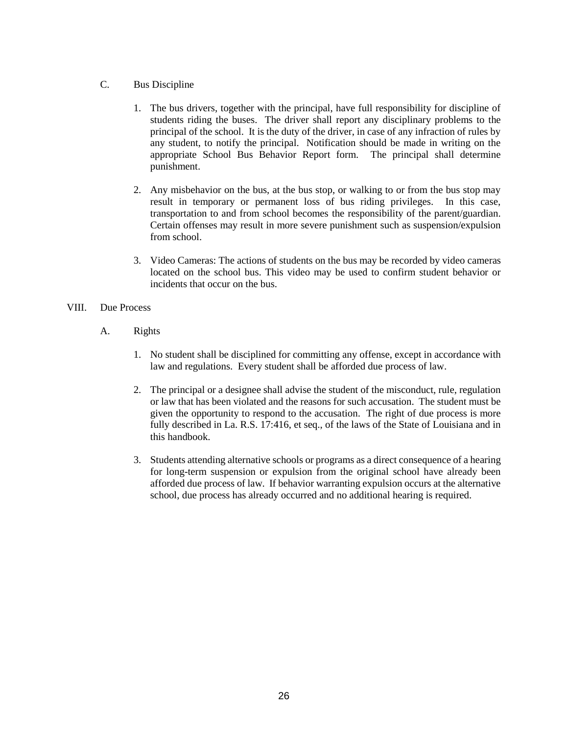- C. Bus Discipline
	- 1. The bus drivers, together with the principal, have full responsibility for discipline of students riding the buses. The driver shall report any disciplinary problems to the principal of the school. It is the duty of the driver, in case of any infraction of rules by any student, to notify the principal. Notification should be made in writing on the appropriate School Bus Behavior Report form. The principal shall determine punishment.
	- 2. Any misbehavior on the bus, at the bus stop, or walking to or from the bus stop may result in temporary or permanent loss of bus riding privileges. In this case, transportation to and from school becomes the responsibility of the parent/guardian. Certain offenses may result in more severe punishment such as suspension/expulsion from school.
	- 3. Video Cameras: The actions of students on the bus may be recorded by video cameras located on the school bus. This video may be used to confirm student behavior or incidents that occur on the bus.

#### VIII. Due Process

- A. Rights
	- 1. No student shall be disciplined for committing any offense, except in accordance with law and regulations. Every student shall be afforded due process of law.
	- 2. The principal or a designee shall advise the student of the misconduct, rule, regulation or law that has been violated and the reasons for such accusation. The student must be given the opportunity to respond to the accusation. The right of due process is more fully described in La. R.S. 17:416, et seq., of the laws of the State of Louisiana and in this handbook.
	- 3. Students attending alternative schools or programs as a direct consequence of a hearing for long-term suspension or expulsion from the original school have already been afforded due process of law. If behavior warranting expulsion occurs at the alternative school, due process has already occurred and no additional hearing is required.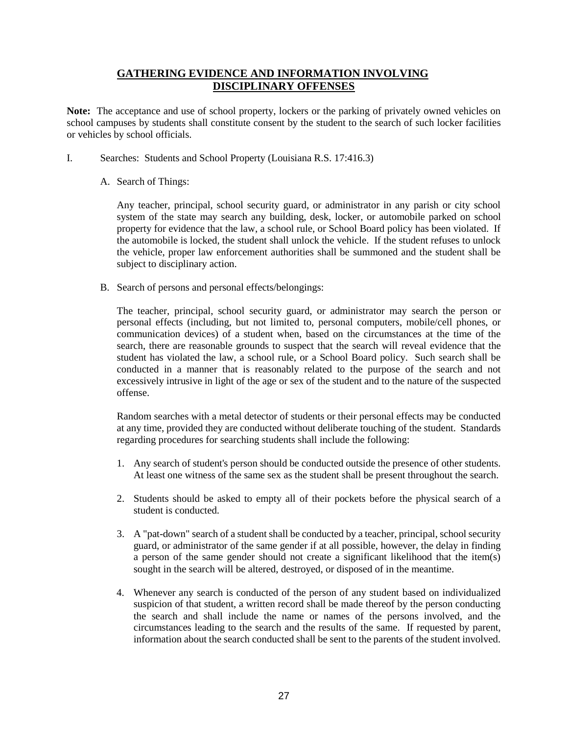#### **GATHERING EVIDENCE AND INFORMATION INVOLVING DISCIPLINARY OFFENSES**

**Note:** The acceptance and use of school property, lockers or the parking of privately owned vehicles on school campuses by students shall constitute consent by the student to the search of such locker facilities or vehicles by school officials.

- I. Searches: Students and School Property (Louisiana R.S. 17:416.3)
	- A. Search of Things:

Any teacher, principal, school security guard, or administrator in any parish or city school system of the state may search any building, desk, locker, or automobile parked on school property for evidence that the law, a school rule, or School Board policy has been violated. If the automobile is locked, the student shall unlock the vehicle. If the student refuses to unlock the vehicle, proper law enforcement authorities shall be summoned and the student shall be subject to disciplinary action.

B. Search of persons and personal effects/belongings:

The teacher, principal, school security guard, or administrator may search the person or personal effects (including, but not limited to, personal computers, mobile/cell phones, or communication devices) of a student when, based on the circumstances at the time of the search, there are reasonable grounds to suspect that the search will reveal evidence that the student has violated the law, a school rule, or a School Board policy. Such search shall be conducted in a manner that is reasonably related to the purpose of the search and not excessively intrusive in light of the age or sex of the student and to the nature of the suspected offense.

Random searches with a metal detector of students or their personal effects may be conducted at any time, provided they are conducted without deliberate touching of the student. Standards regarding procedures for searching students shall include the following:

- 1. Any search of student's person should be conducted outside the presence of other students. At least one witness of the same sex as the student shall be present throughout the search.
- 2. Students should be asked to empty all of their pockets before the physical search of a student is conducted.
- 3. A "pat-down" search of a student shall be conducted by a teacher, principal, school security guard, or administrator of the same gender if at all possible, however, the delay in finding a person of the same gender should not create a significant likelihood that the item(s) sought in the search will be altered, destroyed, or disposed of in the meantime.
- 4. Whenever any search is conducted of the person of any student based on individualized suspicion of that student, a written record shall be made thereof by the person conducting the search and shall include the name or names of the persons involved, and the circumstances leading to the search and the results of the same. If requested by parent, information about the search conducted shall be sent to the parents of the student involved.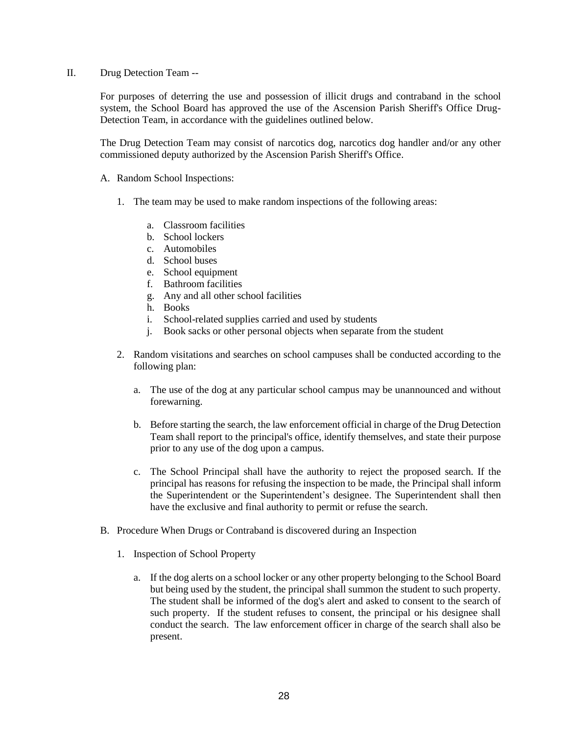II. Drug Detection Team --

For purposes of deterring the use and possession of illicit drugs and contraband in the school system, the School Board has approved the use of the Ascension Parish Sheriff's Office Drug-Detection Team, in accordance with the guidelines outlined below.

The Drug Detection Team may consist of narcotics dog, narcotics dog handler and/or any other commissioned deputy authorized by the Ascension Parish Sheriff's Office.

- A. Random School Inspections:
	- 1. The team may be used to make random inspections of the following areas:
		- a. Classroom facilities
		- b. School lockers
		- c. Automobiles
		- d. School buses
		- e. School equipment
		- f. Bathroom facilities
		- g. Any and all other school facilities
		- h. Books
		- i. School-related supplies carried and used by students
		- j. Book sacks or other personal objects when separate from the student
	- 2. Random visitations and searches on school campuses shall be conducted according to the following plan:
		- a. The use of the dog at any particular school campus may be unannounced and without forewarning.
		- b. Before starting the search, the law enforcement official in charge of the Drug Detection Team shall report to the principal's office, identify themselves, and state their purpose prior to any use of the dog upon a campus.
		- c. The School Principal shall have the authority to reject the proposed search. If the principal has reasons for refusing the inspection to be made, the Principal shall inform the Superintendent or the Superintendent's designee. The Superintendent shall then have the exclusive and final authority to permit or refuse the search.
- B. Procedure When Drugs or Contraband is discovered during an Inspection
	- 1. Inspection of School Property
		- a. If the dog alerts on a school locker or any other property belonging to the School Board but being used by the student, the principal shall summon the student to such property. The student shall be informed of the dog's alert and asked to consent to the search of such property. If the student refuses to consent, the principal or his designee shall conduct the search. The law enforcement officer in charge of the search shall also be present.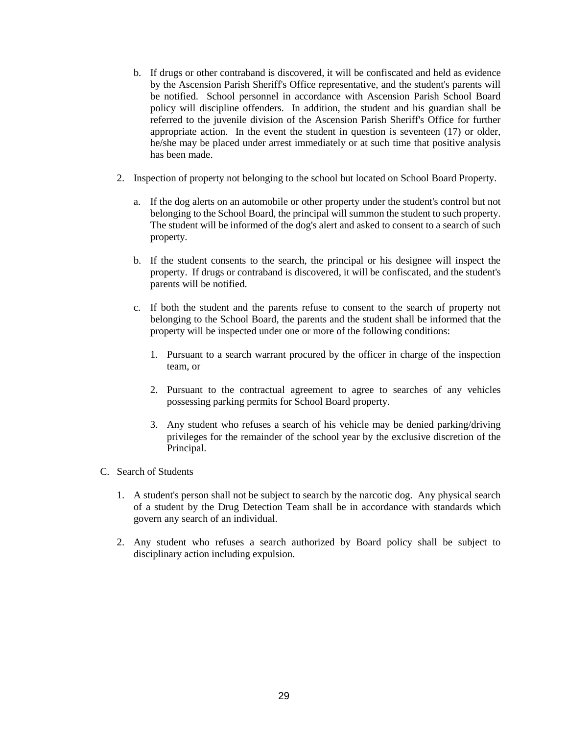- b. If drugs or other contraband is discovered, it will be confiscated and held as evidence by the Ascension Parish Sheriff's Office representative, and the student's parents will be notified. School personnel in accordance with Ascension Parish School Board policy will discipline offenders. In addition, the student and his guardian shall be referred to the juvenile division of the Ascension Parish Sheriff's Office for further appropriate action. In the event the student in question is seventeen (17) or older, he/she may be placed under arrest immediately or at such time that positive analysis has been made.
- 2. Inspection of property not belonging to the school but located on School Board Property.
	- a. If the dog alerts on an automobile or other property under the student's control but not belonging to the School Board, the principal will summon the student to such property. The student will be informed of the dog's alert and asked to consent to a search of such property.
	- b. If the student consents to the search, the principal or his designee will inspect the property. If drugs or contraband is discovered, it will be confiscated, and the student's parents will be notified.
	- c. If both the student and the parents refuse to consent to the search of property not belonging to the School Board, the parents and the student shall be informed that the property will be inspected under one or more of the following conditions:
		- 1. Pursuant to a search warrant procured by the officer in charge of the inspection team, or
		- 2. Pursuant to the contractual agreement to agree to searches of any vehicles possessing parking permits for School Board property.
		- 3. Any student who refuses a search of his vehicle may be denied parking/driving privileges for the remainder of the school year by the exclusive discretion of the Principal.
- C. Search of Students
	- 1. A student's person shall not be subject to search by the narcotic dog. Any physical search of a student by the Drug Detection Team shall be in accordance with standards which govern any search of an individual.
	- 2. Any student who refuses a search authorized by Board policy shall be subject to disciplinary action including expulsion.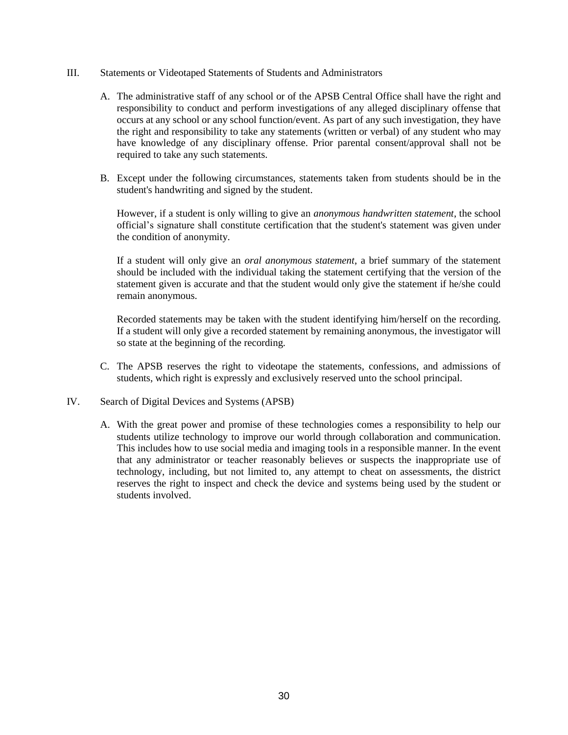- III. Statements or Videotaped Statements of Students and Administrators
	- A. The administrative staff of any school or of the APSB Central Office shall have the right and responsibility to conduct and perform investigations of any alleged disciplinary offense that occurs at any school or any school function/event. As part of any such investigation, they have the right and responsibility to take any statements (written or verbal) of any student who may have knowledge of any disciplinary offense. Prior parental consent/approval shall not be required to take any such statements.
	- B. Except under the following circumstances, statements taken from students should be in the student's handwriting and signed by the student.

However, if a student is only willing to give an *anonymous handwritten statement*, the school official's signature shall constitute certification that the student's statement was given under the condition of anonymity.

If a student will only give an *oral anonymous statement*, a brief summary of the statement should be included with the individual taking the statement certifying that the version of the statement given is accurate and that the student would only give the statement if he/she could remain anonymous.

Recorded statements may be taken with the student identifying him/herself on the recording. If a student will only give a recorded statement by remaining anonymous, the investigator will so state at the beginning of the recording.

- C. The APSB reserves the right to videotape the statements, confessions, and admissions of students, which right is expressly and exclusively reserved unto the school principal.
- IV. Search of Digital Devices and Systems (APSB)
	- A. With the great power and promise of these technologies comes a responsibility to help our students utilize technology to improve our world through collaboration and communication. This includes how to use social media and imaging tools in a responsible manner. In the event that any administrator or teacher reasonably believes or suspects the inappropriate use of technology, including, but not limited to, any attempt to cheat on assessments, the district reserves the right to inspect and check the device and systems being used by the student or students involved.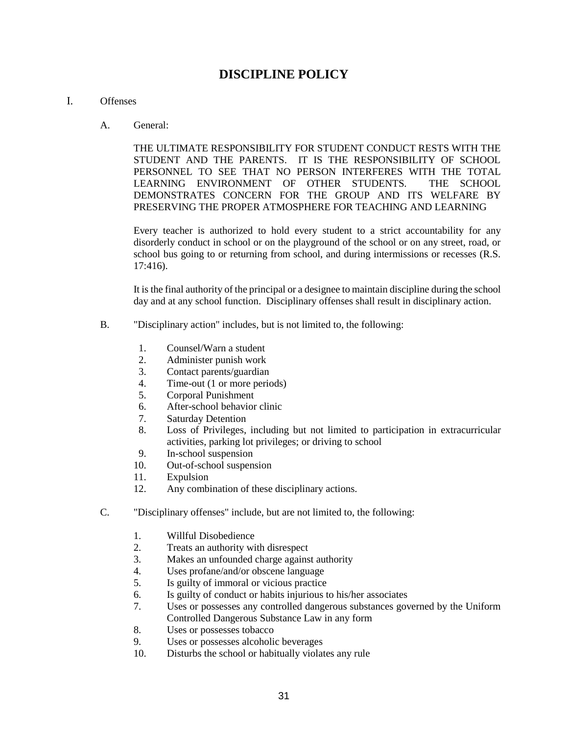# **DISCIPLINE POLICY**

#### I. Offenses

A. General:

THE ULTIMATE RESPONSIBILITY FOR STUDENT CONDUCT RESTS WITH THE STUDENT AND THE PARENTS. IT IS THE RESPONSIBILITY OF SCHOOL PERSONNEL TO SEE THAT NO PERSON INTERFERES WITH THE TOTAL LEARNING ENVIRONMENT OF OTHER STUDENTS. THE SCHOOL DEMONSTRATES CONCERN FOR THE GROUP AND ITS WELFARE BY PRESERVING THE PROPER ATMOSPHERE FOR TEACHING AND LEARNING

Every teacher is authorized to hold every student to a strict accountability for any disorderly conduct in school or on the playground of the school or on any street, road, or school bus going to or returning from school, and during intermissions or recesses (R.S. 17:416).

It is the final authority of the principal or a designee to maintain discipline during the school day and at any school function. Disciplinary offenses shall result in disciplinary action.

- B. "Disciplinary action" includes, but is not limited to, the following:
	- 1. Counsel/Warn a student
	- 2. Administer punish work
	- 3. Contact parents/guardian
	- 4. Time-out (1 or more periods)
	- 5. Corporal Punishment
	- 6. After-school behavior clinic
	- 7. Saturday Detention
	- 8. Loss of Privileges, including but not limited to participation in extracurricular activities, parking lot privileges; or driving to school
	- 9. In-school suspension
	- 10. Out-of-school suspension
	- 11. Expulsion
	- 12. Any combination of these disciplinary actions.
- C. "Disciplinary offenses" include, but are not limited to, the following:
	- 1. Willful Disobedience
	- 2. Treats an authority with disrespect
	- 3. Makes an unfounded charge against authority
	- 4. Uses profane/and/or obscene language<br>5. Is guilty of immoral or vicious practice
	- 5. Is guilty of immoral or vicious practice
	- 6. Is guilty of conduct or habits injurious to his/her associates
	- 7. Uses or possesses any controlled dangerous substances governed by the Uniform Controlled Dangerous Substance Law in any form
	- 8. Uses or possesses tobacco
	- 9. Uses or possesses alcoholic beverages
	- 10. Disturbs the school or habitually violates any rule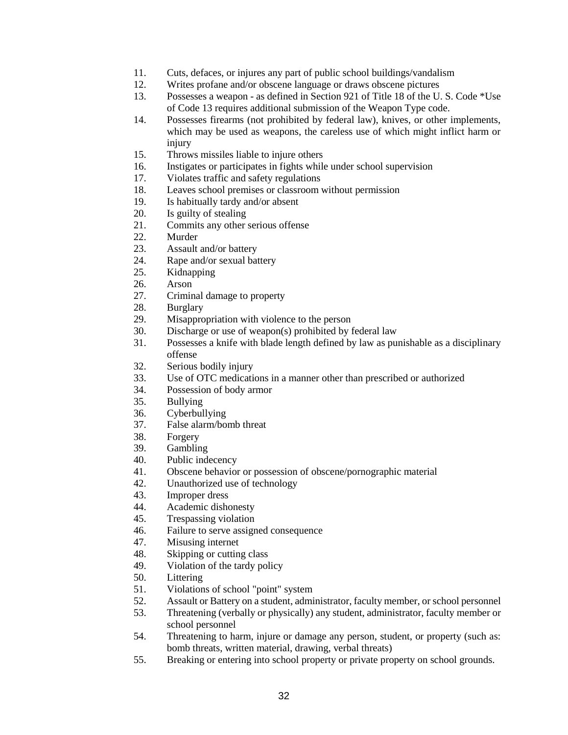- 11. Cuts, defaces, or injures any part of public school buildings/vandalism
- 12. Writes profane and/or obscene language or draws obscene pictures
- 13. Possesses a weapon as defined in Section 921 of Title 18 of the U. S. Code \*Use of Code 13 requires additional submission of the Weapon Type code.
- 14. Possesses firearms (not prohibited by federal law), knives, or other implements, which may be used as weapons, the careless use of which might inflict harm or injury
- 15. Throws missiles liable to injure others
- 16. Instigates or participates in fights while under school supervision
- 17. Violates traffic and safety regulations
- 18. Leaves school premises or classroom without permission
- 19. Is habitually tardy and/or absent
- 20. Is guilty of stealing
- 21. Commits any other serious offense
- 22. Murder
- 23. Assault and/or battery
- 24. Rape and/or sexual battery
- 25. Kidnapping
- 26. Arson
- 27. Criminal damage to property
- 28. Burglary
- 29. Misappropriation with violence to the person
- 30. Discharge or use of weapon(s) prohibited by federal law
- 31. Possesses a knife with blade length defined by law as punishable as a disciplinary offense
- 32. Serious bodily injury
- 33. Use of OTC medications in a manner other than prescribed or authorized
- 34. Possession of body armor
- 35. Bullying
- 36. Cyberbullying
- 37. False alarm/bomb threat
- 38. Forgery
- 39. Gambling
- 40. Public indecency
- 41. Obscene behavior or possession of obscene/pornographic material
- 42. Unauthorized use of technology
- 43. Improper dress
- 44. Academic dishonesty
- 45. Trespassing violation
- 46. Failure to serve assigned consequence
- 47. Misusing internet
- 48. Skipping or cutting class
- 49. Violation of the tardy policy
- 50. Littering
- 51. Violations of school "point" system
- 52. Assault or Battery on a student, administrator, faculty member, or school personnel
- 53. Threatening (verbally or physically) any student, administrator, faculty member or school personnel
- 54. Threatening to harm, injure or damage any person, student, or property (such as: bomb threats, written material, drawing, verbal threats)
- 55. Breaking or entering into school property or private property on school grounds.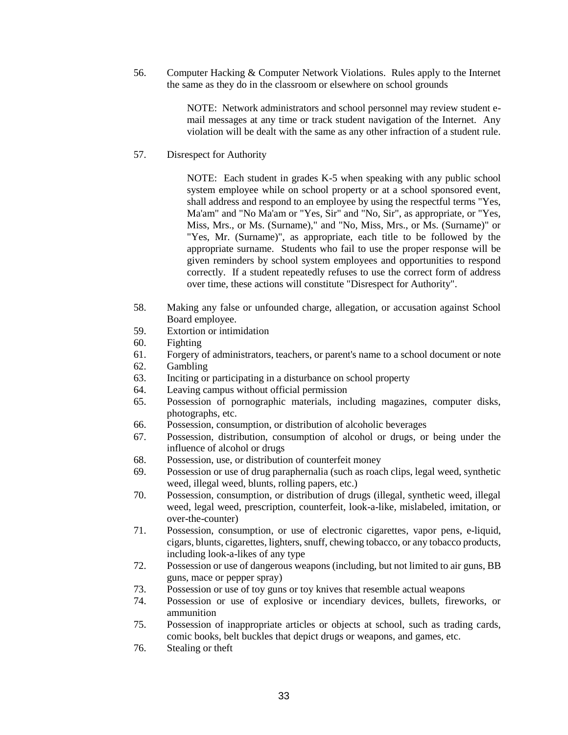56. Computer Hacking & Computer Network Violations. Rules apply to the Internet the same as they do in the classroom or elsewhere on school grounds

> NOTE: Network administrators and school personnel may review student email messages at any time or track student navigation of the Internet. Any violation will be dealt with the same as any other infraction of a student rule.

57. Disrespect for Authority

NOTE: Each student in grades K-5 when speaking with any public school system employee while on school property or at a school sponsored event, shall address and respond to an employee by using the respectful terms "Yes, Ma'am" and "No Ma'am or "Yes, Sir" and "No, Sir", as appropriate, or "Yes, Miss, Mrs., or Ms. (Surname)," and "No, Miss, Mrs., or Ms. (Surname)" or "Yes, Mr. (Surname)", as appropriate, each title to be followed by the appropriate surname. Students who fail to use the proper response will be given reminders by school system employees and opportunities to respond correctly. If a student repeatedly refuses to use the correct form of address over time, these actions will constitute "Disrespect for Authority".

- 58. Making any false or unfounded charge, allegation, or accusation against School Board employee.
- 59. Extortion or intimidation
- 60. Fighting
- 61. Forgery of administrators, teachers, or parent's name to a school document or note
- 62. Gambling
- 63. Inciting or participating in a disturbance on school property
- 64. Leaving campus without official permission
- 65. Possession of pornographic materials, including magazines, computer disks, photographs, etc.
- 66. Possession, consumption, or distribution of alcoholic beverages
- 67. Possession, distribution, consumption of alcohol or drugs, or being under the influence of alcohol or drugs
- 68. Possession, use, or distribution of counterfeit money
- 69. Possession or use of drug paraphernalia (such as roach clips, legal weed, synthetic weed, illegal weed, blunts, rolling papers, etc.)
- 70. Possession, consumption, or distribution of drugs (illegal, synthetic weed, illegal weed, legal weed, prescription, counterfeit, look-a-like, mislabeled, imitation, or over-the-counter)
- 71. Possession, consumption, or use of electronic cigarettes, vapor pens, e-liquid, cigars, blunts, cigarettes, lighters, snuff, chewing tobacco, or any tobacco products, including look-a-likes of any type
- 72. Possession or use of dangerous weapons (including, but not limited to air guns, BB guns, mace or pepper spray)
- 73. Possession or use of toy guns or toy knives that resemble actual weapons
- 74. Possession or use of explosive or incendiary devices, bullets, fireworks, or ammunition
- 75. Possession of inappropriate articles or objects at school, such as trading cards, comic books, belt buckles that depict drugs or weapons, and games, etc.
- 76. Stealing or theft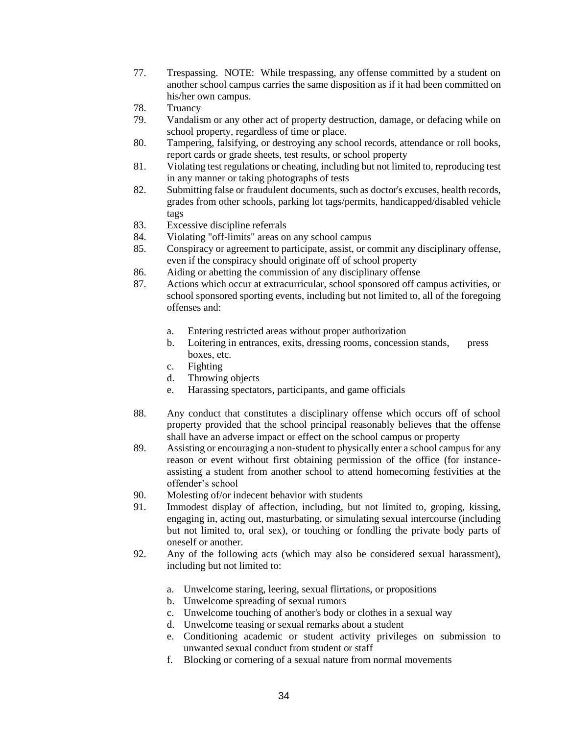- 77. Trespassing. NOTE: While trespassing, any offense committed by a student on another school campus carries the same disposition as if it had been committed on his/her own campus.
- 78. Truancy
- 79. Vandalism or any other act of property destruction, damage, or defacing while on school property, regardless of time or place.
- 80. Tampering, falsifying, or destroying any school records, attendance or roll books, report cards or grade sheets, test results, or school property
- 81. Violating test regulations or cheating, including but not limited to, reproducing test in any manner or taking photographs of tests
- 82. Submitting false or fraudulent documents, such as doctor's excuses, health records, grades from other schools, parking lot tags/permits, handicapped/disabled vehicle tags
- 83. Excessive discipline referrals
- 84. Violating "off-limits" areas on any school campus
- 85. Conspiracy or agreement to participate, assist, or commit any disciplinary offense, even if the conspiracy should originate off of school property
- 86. Aiding or abetting the commission of any disciplinary offense
- 87. Actions which occur at extracurricular, school sponsored off campus activities, or school sponsored sporting events, including but not limited to, all of the foregoing offenses and:
	- a. Entering restricted areas without proper authorization
	- b. Loitering in entrances, exits, dressing rooms, concession stands, press boxes, etc.
	- c. Fighting
	- d. Throwing objects
	- e. Harassing spectators, participants, and game officials
- 88. Any conduct that constitutes a disciplinary offense which occurs off of school property provided that the school principal reasonably believes that the offense shall have an adverse impact or effect on the school campus or property
- 89. Assisting or encouraging a non-student to physically enter a school campus for any reason or event without first obtaining permission of the office (for instanceassisting a student from another school to attend homecoming festivities at the offender's school
- 90. Molesting of/or indecent behavior with students
- 91. Immodest display of affection, including, but not limited to, groping, kissing, engaging in, acting out, masturbating, or simulating sexual intercourse (including but not limited to, oral sex), or touching or fondling the private body parts of oneself or another.
- 92. Any of the following acts (which may also be considered sexual harassment), including but not limited to:
	- a. Unwelcome staring, leering, sexual flirtations, or propositions
	- b. Unwelcome spreading of sexual rumors
	- c. Unwelcome touching of another's body or clothes in a sexual way
	- d. Unwelcome teasing or sexual remarks about a student
	- e. Conditioning academic or student activity privileges on submission to unwanted sexual conduct from student or staff
	- f. Blocking or cornering of a sexual nature from normal movements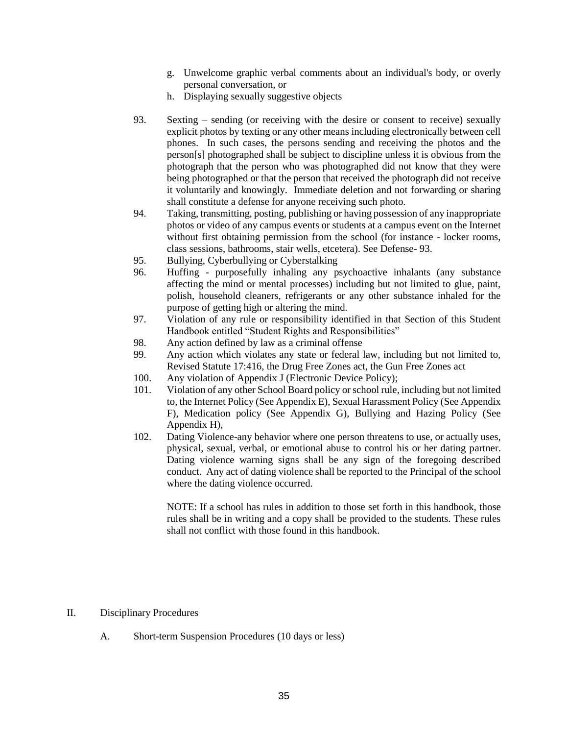- g. Unwelcome graphic verbal comments about an individual's body, or overly personal conversation, or
- h. Displaying sexually suggestive objects
- 93. Sexting sending (or receiving with the desire or consent to receive) sexually explicit photos by texting or any other means including electronically between cell phones. In such cases, the persons sending and receiving the photos and the person[s] photographed shall be subject to discipline unless it is obvious from the photograph that the person who was photographed did not know that they were being photographed or that the person that received the photograph did not receive it voluntarily and knowingly. Immediate deletion and not forwarding or sharing shall constitute a defense for anyone receiving such photo.
- 94. Taking, transmitting, posting, publishing or having possession of any inappropriate photos or video of any campus events or students at a campus event on the Internet without first obtaining permission from the school (for instance - locker rooms, class sessions, bathrooms, stair wells, etcetera). See Defense- 93.
- 95. Bullying, Cyberbullying or Cyberstalking
- 96. Huffing purposefully inhaling any psychoactive inhalants (any substance affecting the mind or mental processes) including but not limited to glue, paint, polish, household cleaners, refrigerants or any other substance inhaled for the purpose of getting high or altering the mind.
- 97. Violation of any rule or responsibility identified in that Section of this Student Handbook entitled "Student Rights and Responsibilities"
- 98. Any action defined by law as a criminal offense
- 99. Any action which violates any state or federal law, including but not limited to, Revised Statute 17:416, the Drug Free Zones act, the Gun Free Zones act
- 100. Any violation of Appendix J (Electronic Device Policy);
- 101. Violation of any other School Board policy or school rule, including but not limited to, the Internet Policy (See Appendix E), Sexual Harassment Policy (See Appendix F), Medication policy (See Appendix G), Bullying and Hazing Policy (See Appendix H),
- 102. Dating Violence-any behavior where one person threatens to use, or actually uses, physical, sexual, verbal, or emotional abuse to control his or her dating partner. Dating violence warning signs shall be any sign of the foregoing described conduct. Any act of dating violence shall be reported to the Principal of the school where the dating violence occurred.

NOTE: If a school has rules in addition to those set forth in this handbook, those rules shall be in writing and a copy shall be provided to the students. These rules shall not conflict with those found in this handbook.

#### II. Disciplinary Procedures

A. Short-term Suspension Procedures (10 days or less)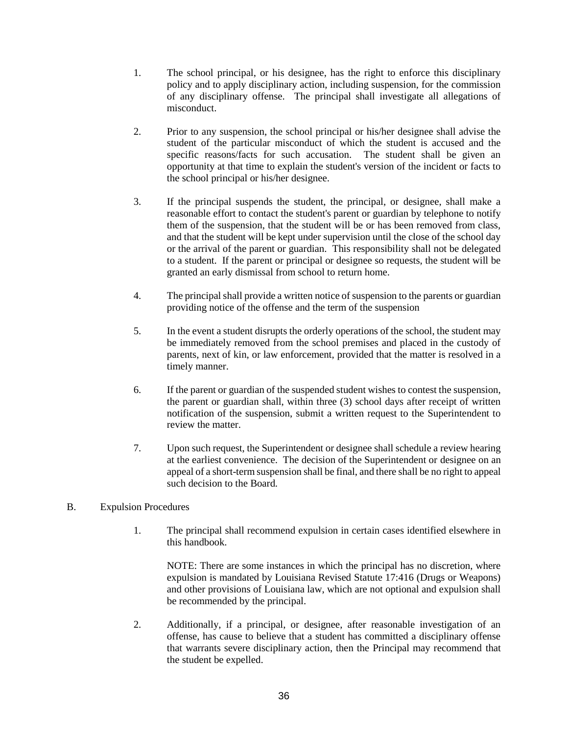- 1. The school principal, or his designee, has the right to enforce this disciplinary policy and to apply disciplinary action, including suspension, for the commission of any disciplinary offense. The principal shall investigate all allegations of misconduct.
- 2. Prior to any suspension, the school principal or his/her designee shall advise the student of the particular misconduct of which the student is accused and the specific reasons/facts for such accusation. The student shall be given an opportunity at that time to explain the student's version of the incident or facts to the school principal or his/her designee.
- 3. If the principal suspends the student, the principal, or designee, shall make a reasonable effort to contact the student's parent or guardian by telephone to notify them of the suspension, that the student will be or has been removed from class, and that the student will be kept under supervision until the close of the school day or the arrival of the parent or guardian. This responsibility shall not be delegated to a student. If the parent or principal or designee so requests, the student will be granted an early dismissal from school to return home.
- 4. The principal shall provide a written notice of suspension to the parents or guardian providing notice of the offense and the term of the suspension
- 5. In the event a student disrupts the orderly operations of the school, the student may be immediately removed from the school premises and placed in the custody of parents, next of kin, or law enforcement, provided that the matter is resolved in a timely manner.
- 6. If the parent or guardian of the suspended student wishes to contest the suspension, the parent or guardian shall, within three (3) school days after receipt of written notification of the suspension, submit a written request to the Superintendent to review the matter.
- 7. Upon such request, the Superintendent or designee shall schedule a review hearing at the earliest convenience. The decision of the Superintendent or designee on an appeal of a short-term suspension shall be final, and there shall be no right to appeal such decision to the Board.

#### B. Expulsion Procedures

1. The principal shall recommend expulsion in certain cases identified elsewhere in this handbook.

NOTE: There are some instances in which the principal has no discretion, where expulsion is mandated by Louisiana Revised Statute 17:416 (Drugs or Weapons) and other provisions of Louisiana law, which are not optional and expulsion shall be recommended by the principal.

2. Additionally, if a principal, or designee, after reasonable investigation of an offense, has cause to believe that a student has committed a disciplinary offense that warrants severe disciplinary action, then the Principal may recommend that the student be expelled.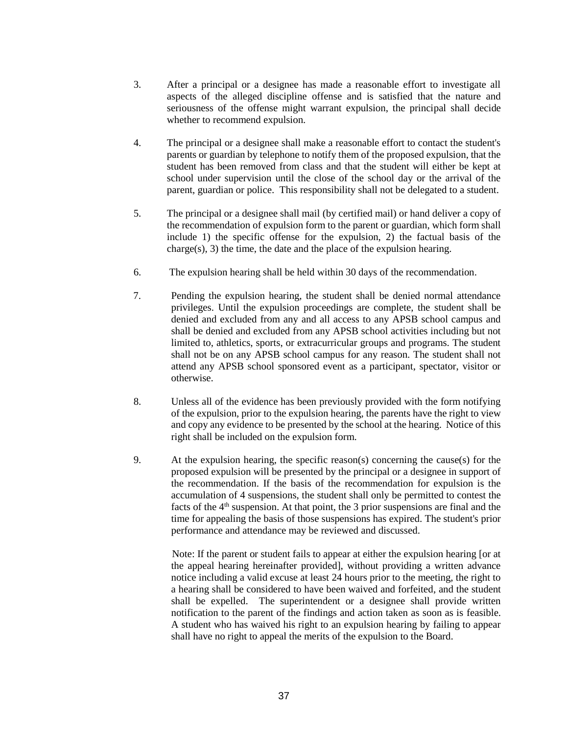- 3. After a principal or a designee has made a reasonable effort to investigate all aspects of the alleged discipline offense and is satisfied that the nature and seriousness of the offense might warrant expulsion, the principal shall decide whether to recommend expulsion.
- 4. The principal or a designee shall make a reasonable effort to contact the student's parents or guardian by telephone to notify them of the proposed expulsion, that the student has been removed from class and that the student will either be kept at school under supervision until the close of the school day or the arrival of the parent, guardian or police. This responsibility shall not be delegated to a student.
- 5. The principal or a designee shall mail (by certified mail) or hand deliver a copy of the recommendation of expulsion form to the parent or guardian, which form shall include 1) the specific offense for the expulsion, 2) the factual basis of the charge(s), 3) the time, the date and the place of the expulsion hearing.
- 6. The expulsion hearing shall be held within 30 days of the recommendation.
- 7. Pending the expulsion hearing, the student shall be denied normal attendance privileges. Until the expulsion proceedings are complete, the student shall be denied and excluded from any and all access to any APSB school campus and shall be denied and excluded from any APSB school activities including but not limited to, athletics, sports, or extracurricular groups and programs. The student shall not be on any APSB school campus for any reason. The student shall not attend any APSB school sponsored event as a participant, spectator, visitor or otherwise.
- 8. Unless all of the evidence has been previously provided with the form notifying of the expulsion, prior to the expulsion hearing, the parents have the right to view and copy any evidence to be presented by the school at the hearing. Notice of this right shall be included on the expulsion form.
- 9. At the expulsion hearing, the specific reason(s) concerning the cause(s) for the proposed expulsion will be presented by the principal or a designee in support of the recommendation. If the basis of the recommendation for expulsion is the accumulation of 4 suspensions, the student shall only be permitted to contest the facts of the  $4<sup>th</sup>$  suspension. At that point, the 3 prior suspensions are final and the time for appealing the basis of those suspensions has expired. The student's prior performance and attendance may be reviewed and discussed.

 Note: If the parent or student fails to appear at either the expulsion hearing [or at the appeal hearing hereinafter provided], without providing a written advance notice including a valid excuse at least 24 hours prior to the meeting, the right to a hearing shall be considered to have been waived and forfeited, and the student shall be expelled. The superintendent or a designee shall provide written notification to the parent of the findings and action taken as soon as is feasible. A student who has waived his right to an expulsion hearing by failing to appear shall have no right to appeal the merits of the expulsion to the Board.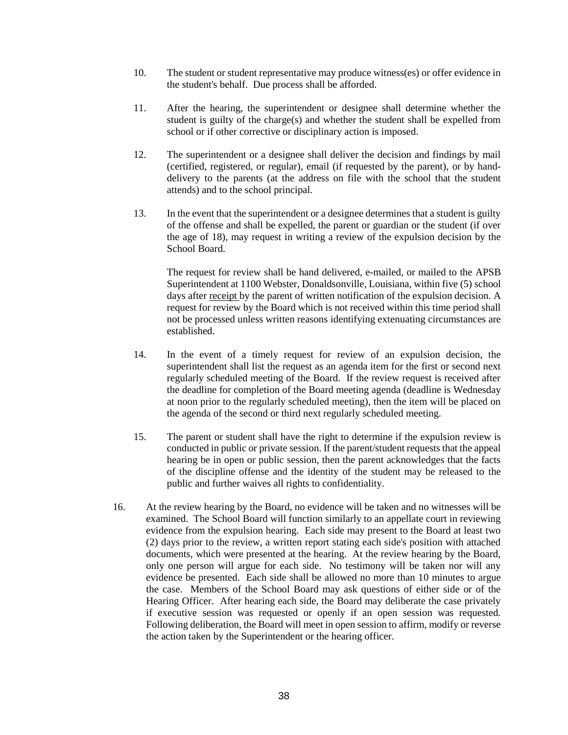- 10. The student or student representative may produce witness(es) or offer evidence in the student's behalf. Due process shall be afforded.
- 11. After the hearing, the superintendent or designee shall determine whether the student is guilty of the charge(s) and whether the student shall be expelled from school or if other corrective or disciplinary action is imposed.
- 12. The superintendent or a designee shall deliver the decision and findings by mail (certified, registered, or regular), email (if requested by the parent), or by handdelivery to the parents (at the address on file with the school that the student attends) and to the school principal.
- 13. In the event that the superintendent or a designee determines that a student is guilty of the offense and shall be expelled, the parent or guardian or the student (if over the age of 18), may request in writing a review of the expulsion decision by the School Board.

The request for review shall be hand delivered, e-mailed, or mailed to the APSB Superintendent at 1100 Webster, Donaldsonville, Louisiana, within five (5) school days after receipt by the parent of written notification of the expulsion decision. A request for review by the Board which is not received within this time period shall not be processed unless written reasons identifying extenuating circumstances are established.

- 14. In the event of a timely request for review of an expulsion decision, the superintendent shall list the request as an agenda item for the first or second next regularly scheduled meeting of the Board. If the review request is received after the deadline for completion of the Board meeting agenda (deadline is Wednesday at noon prior to the regularly scheduled meeting), then the item will be placed on the agenda of the second or third next regularly scheduled meeting.
- 15. The parent or student shall have the right to determine if the expulsion review is conducted in public or private session. If the parent/student requests that the appeal hearing be in open or public session, then the parent acknowledges that the facts of the discipline offense and the identity of the student may be released to the public and further waives all rights to confidentiality.
- 16. At the review hearing by the Board, no evidence will be taken and no witnesses will be examined. The School Board will function similarly to an appellate court in reviewing evidence from the expulsion hearing. Each side may present to the Board at least two (2) days prior to the review, a written report stating each side's position with attached documents, which were presented at the hearing. At the review hearing by the Board, only one person will argue for each side. No testimony will be taken nor will any evidence be presented. Each side shall be allowed no more than 10 minutes to argue the case. Members of the School Board may ask questions of either side or of the Hearing Officer. After hearing each side, the Board may deliberate the case privately if executive session was requested or openly if an open session was requested. Following deliberation, the Board will meet in open session to affirm, modify or reverse the action taken by the Superintendent or the hearing officer.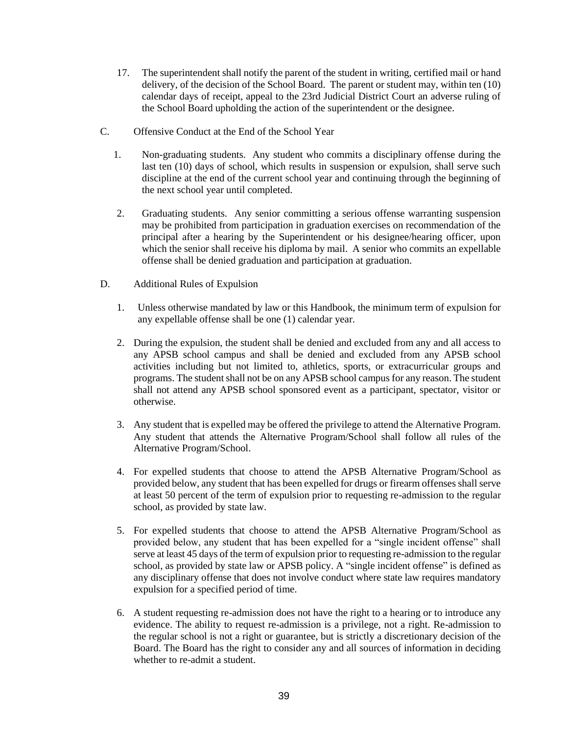- 17. The superintendent shall notify the parent of the student in writing, certified mail or hand delivery, of the decision of the School Board. The parent or student may, within ten (10) calendar days of receipt, appeal to the 23rd Judicial District Court an adverse ruling of the School Board upholding the action of the superintendent or the designee.
- C. Offensive Conduct at the End of the School Year
	- 1. Non-graduating students. Any student who commits a disciplinary offense during the last ten (10) days of school, which results in suspension or expulsion, shall serve such discipline at the end of the current school year and continuing through the beginning of the next school year until completed.
	- 2. Graduating students. Any senior committing a serious offense warranting suspension may be prohibited from participation in graduation exercises on recommendation of the principal after a hearing by the Superintendent or his designee/hearing officer, upon which the senior shall receive his diploma by mail. A senior who commits an expellable offense shall be denied graduation and participation at graduation.
- D. Additional Rules of Expulsion
	- 1. Unless otherwise mandated by law or this Handbook, the minimum term of expulsion for any expellable offense shall be one (1) calendar year.
	- 2. During the expulsion, the student shall be denied and excluded from any and all access to any APSB school campus and shall be denied and excluded from any APSB school activities including but not limited to, athletics, sports, or extracurricular groups and programs. The student shall not be on any APSB school campus for any reason. The student shall not attend any APSB school sponsored event as a participant, spectator, visitor or otherwise.
	- 3. Any student that is expelled may be offered the privilege to attend the Alternative Program. Any student that attends the Alternative Program/School shall follow all rules of the Alternative Program/School.
	- 4. For expelled students that choose to attend the APSB Alternative Program/School as provided below, any student that has been expelled for drugs or firearm offenses shall serve at least 50 percent of the term of expulsion prior to requesting re-admission to the regular school, as provided by state law.
	- 5. For expelled students that choose to attend the APSB Alternative Program/School as provided below, any student that has been expelled for a "single incident offense" shall serve at least 45 days of the term of expulsion prior to requesting re-admission to the regular school, as provided by state law or APSB policy. A "single incident offense" is defined as any disciplinary offense that does not involve conduct where state law requires mandatory expulsion for a specified period of time.
	- 6. A student requesting re-admission does not have the right to a hearing or to introduce any evidence. The ability to request re-admission is a privilege, not a right. Re-admission to the regular school is not a right or guarantee, but is strictly a discretionary decision of the Board. The Board has the right to consider any and all sources of information in deciding whether to re-admit a student.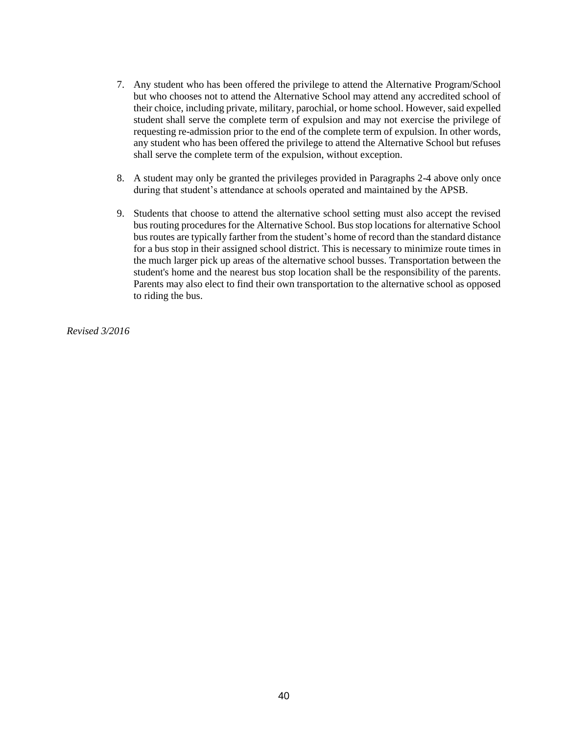- 7. Any student who has been offered the privilege to attend the Alternative Program/School but who chooses not to attend the Alternative School may attend any accredited school of their choice, including private, military, parochial, or home school. However, said expelled student shall serve the complete term of expulsion and may not exercise the privilege of requesting re-admission prior to the end of the complete term of expulsion. In other words, any student who has been offered the privilege to attend the Alternative School but refuses shall serve the complete term of the expulsion, without exception.
- 8. A student may only be granted the privileges provided in Paragraphs 2-4 above only once during that student's attendance at schools operated and maintained by the APSB.
- 9. Students that choose to attend the alternative school setting must also accept the revised bus routing procedures for the Alternative School. Bus stop locations for alternative School bus routes are typically farther from the student's home of record than the standard distance for a bus stop in their assigned school district. This is necessary to minimize route times in the much larger pick up areas of the alternative school busses. Transportation between the student's home and the nearest bus stop location shall be the responsibility of the parents. Parents may also elect to find their own transportation to the alternative school as opposed to riding the bus.

*Revised 3/2016*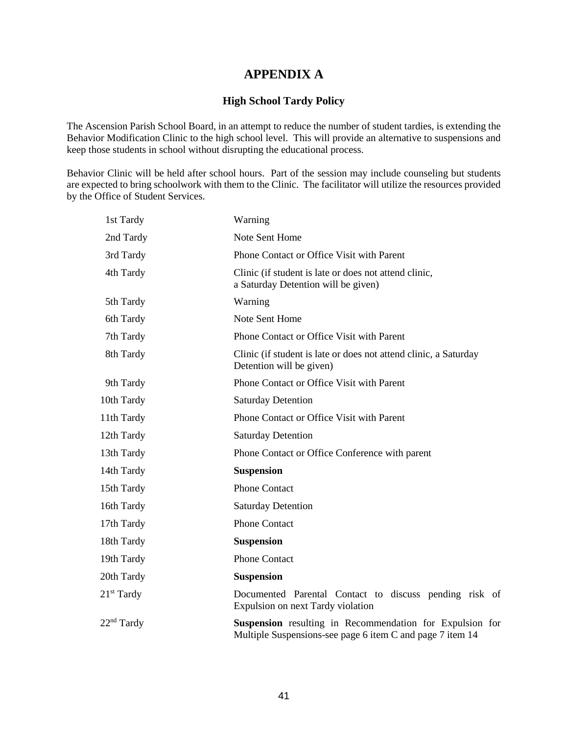# **APPENDIX A**

#### **High School Tardy Policy**

The Ascension Parish School Board, in an attempt to reduce the number of student tardies, is extending the Behavior Modification Clinic to the high school level. This will provide an alternative to suspensions and keep those students in school without disrupting the educational process.

Behavior Clinic will be held after school hours. Part of the session may include counseling but students are expected to bring schoolwork with them to the Clinic. The facilitator will utilize the resources provided by the Office of Student Services.

| 1st Tardy    | Warning                                                                                                               |
|--------------|-----------------------------------------------------------------------------------------------------------------------|
| 2nd Tardy    | Note Sent Home                                                                                                        |
| 3rd Tardy    | Phone Contact or Office Visit with Parent                                                                             |
| 4th Tardy    | Clinic (if student is late or does not attend clinic,<br>a Saturday Detention will be given)                          |
| 5th Tardy    | Warning                                                                                                               |
| 6th Tardy    | Note Sent Home                                                                                                        |
| 7th Tardy    | Phone Contact or Office Visit with Parent                                                                             |
| 8th Tardy    | Clinic (if student is late or does not attend clinic, a Saturday<br>Detention will be given)                          |
| 9th Tardy    | Phone Contact or Office Visit with Parent                                                                             |
| 10th Tardy   | <b>Saturday Detention</b>                                                                                             |
| 11th Tardy   | Phone Contact or Office Visit with Parent                                                                             |
| 12th Tardy   | <b>Saturday Detention</b>                                                                                             |
| 13th Tardy   | Phone Contact or Office Conference with parent                                                                        |
| 14th Tardy   | <b>Suspension</b>                                                                                                     |
| 15th Tardy   | <b>Phone Contact</b>                                                                                                  |
| 16th Tardy   | <b>Saturday Detention</b>                                                                                             |
| 17th Tardy   | <b>Phone Contact</b>                                                                                                  |
| 18th Tardy   | <b>Suspension</b>                                                                                                     |
| 19th Tardy   | <b>Phone Contact</b>                                                                                                  |
| 20th Tardy   | <b>Suspension</b>                                                                                                     |
| $21st$ Tardy | Documented Parental Contact to discuss pending risk of<br>Expulsion on next Tardy violation                           |
| $22nd$ Tardy | Suspension resulting in Recommendation for Expulsion for<br>Multiple Suspensions-see page 6 item C and page 7 item 14 |
|              |                                                                                                                       |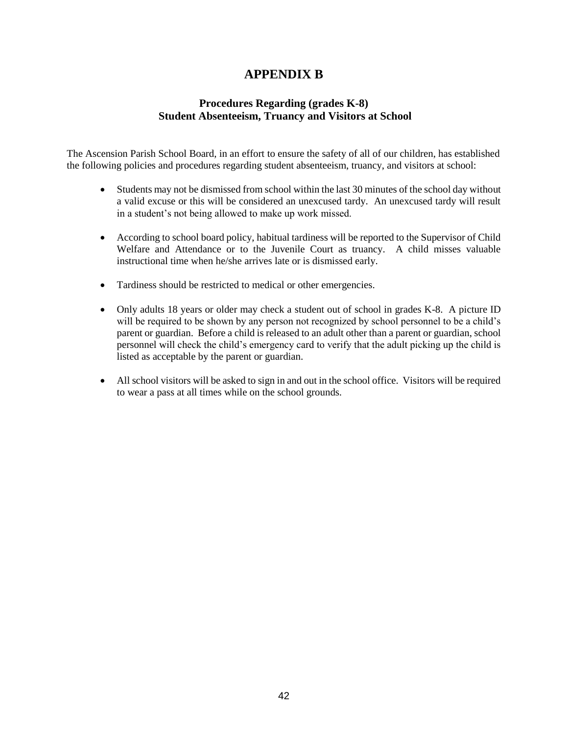# **APPENDIX B**

## **Procedures Regarding (grades K-8) Student Absenteeism, Truancy and Visitors at School**

The Ascension Parish School Board, in an effort to ensure the safety of all of our children, has established the following policies and procedures regarding student absenteeism, truancy, and visitors at school:

- Students may not be dismissed from school within the last 30 minutes of the school day without a valid excuse or this will be considered an unexcused tardy. An unexcused tardy will result in a student's not being allowed to make up work missed.
- According to school board policy, habitual tardiness will be reported to the Supervisor of Child Welfare and Attendance or to the Juvenile Court as truancy. A child misses valuable instructional time when he/she arrives late or is dismissed early.
- Tardiness should be restricted to medical or other emergencies.
- Only adults 18 years or older may check a student out of school in grades K-8. A picture ID will be required to be shown by any person not recognized by school personnel to be a child's parent or guardian. Before a child is released to an adult other than a parent or guardian, school personnel will check the child's emergency card to verify that the adult picking up the child is listed as acceptable by the parent or guardian.
- All school visitors will be asked to sign in and out in the school office. Visitors will be required to wear a pass at all times while on the school grounds.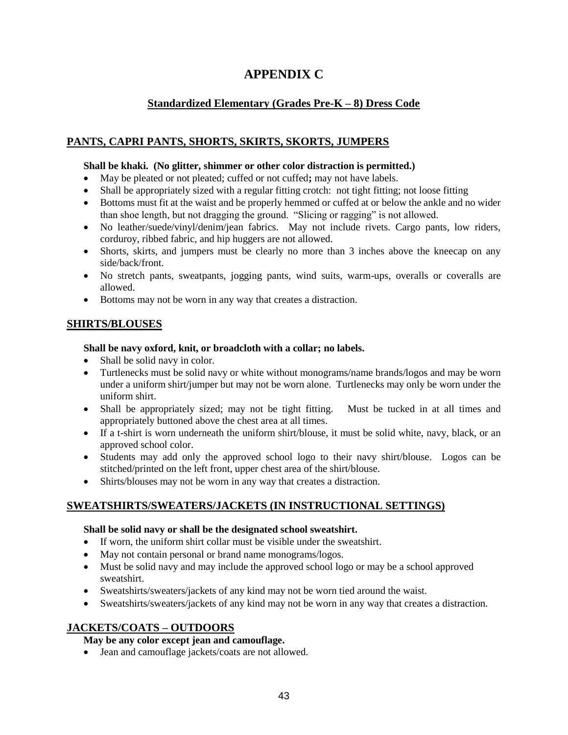# **APPENDIX C**

# **Standardized Elementary (Grades Pre-K – 8) Dress Code**

## **PANTS, CAPRI PANTS, SHORTS, SKIRTS, SKORTS, JUMPERS**

### **Shall be khaki. (No glitter, shimmer or other color distraction is permitted.)**

- May be pleated or not pleated; cuffed or not cuffed**;** may not have labels.
- Shall be appropriately sized with a regular fitting crotch: not tight fitting; not loose fitting
- Bottoms must fit at the waist and be properly hemmed or cuffed at or below the ankle and no wider than shoe length, but not dragging the ground. "Slicing or ragging" is not allowed.
- No leather/suede/vinyl/denim/jean fabrics. May not include rivets. Cargo pants, low riders, corduroy, ribbed fabric, and hip huggers are not allowed.
- Shorts, skirts, and jumpers must be clearly no more than 3 inches above the kneecap on any side/back/front.
- No stretch pants, sweatpants, jogging pants, wind suits, warm-ups, overalls or coveralls are allowed.
- Bottoms may not be worn in any way that creates a distraction.

## **SHIRTS/BLOUSES**

### **Shall be navy oxford, knit, or broadcloth with a collar; no labels.**

- Shall be solid navy in color.
- Turtlenecks must be solid navy or white without monograms/name brands/logos and may be worn under a uniform shirt/jumper but may not be worn alone. Turtlenecks may only be worn under the uniform shirt.
- Shall be appropriately sized; may not be tight fitting. Must be tucked in at all times and appropriately buttoned above the chest area at all times.
- If a t-shirt is worn underneath the uniform shirt/blouse, it must be solid white, navy, black, or an approved school color.
- Students may add only the approved school logo to their navy shirt/blouse. Logos can be stitched/printed on the left front, upper chest area of the shirt/blouse.
- Shirts/blouses may not be worn in any way that creates a distraction.

## **SWEATSHIRTS/SWEATERS/JACKETS (IN INSTRUCTIONAL SETTINGS)**

### **Shall be solid navy or shall be the designated school sweatshirt.**

- If worn, the uniform shirt collar must be visible under the sweatshirt.
- May not contain personal or brand name monograms/logos.
- Must be solid navy and may include the approved school logo or may be a school approved sweatshirt.
- Sweatshirts/sweaters/jackets of any kind may not be worn tied around the waist.
- Sweatshirts/sweaters/jackets of any kind may not be worn in any way that creates a distraction.

## **JACKETS/COATS – OUTDOORS**

### **May be any color except jean and camouflage.**

• Jean and camouflage jackets/coats are not allowed.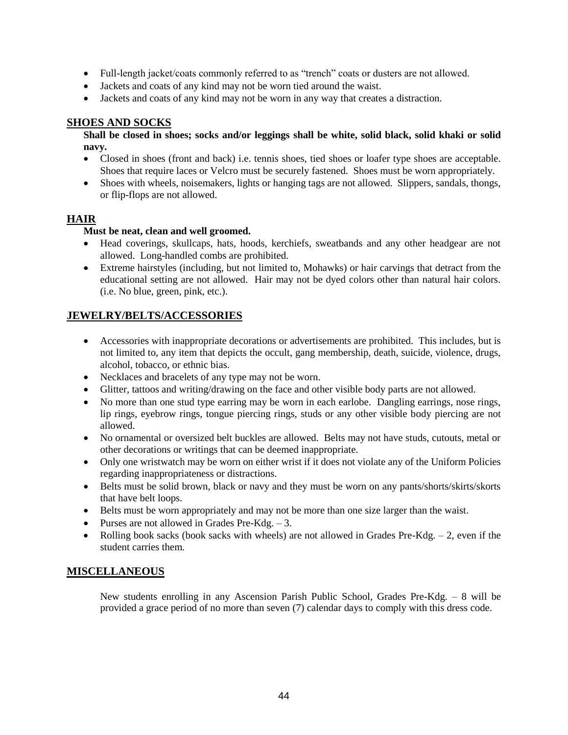- Full-length jacket/coats commonly referred to as "trench" coats or dusters are not allowed.
- Jackets and coats of any kind may not be worn tied around the waist.
- Jackets and coats of any kind may not be worn in any way that creates a distraction.

### **SHOES AND SOCKS**

**Shall be closed in shoes; socks and/or leggings shall be white, solid black, solid khaki or solid navy.** 

- Closed in shoes (front and back) i.e. tennis shoes, tied shoes or loafer type shoes are acceptable. Shoes that require laces or Velcro must be securely fastened. Shoes must be worn appropriately.
- Shoes with wheels, noisemakers, lights or hanging tags are not allowed. Slippers, sandals, thongs, or flip-flops are not allowed.

### **HAIR**

### **Must be neat, clean and well groomed.**

- Head coverings, skullcaps, hats, hoods, kerchiefs, sweatbands and any other headgear are not allowed. Long-handled combs are prohibited.
- Extreme hairstyles (including, but not limited to, Mohawks) or hair carvings that detract from the educational setting are not allowed. Hair may not be dyed colors other than natural hair colors. (i.e. No blue, green, pink, etc.).

## **JEWELRY/BELTS/ACCESSORIES**

- Accessories with inappropriate decorations or advertisements are prohibited. This includes, but is not limited to, any item that depicts the occult, gang membership, death, suicide, violence, drugs, alcohol, tobacco, or ethnic bias.
- Necklaces and bracelets of any type may not be worn.
- Glitter, tattoos and writing/drawing on the face and other visible body parts are not allowed.
- No more than one stud type earring may be worn in each earlobe. Dangling earrings, nose rings, lip rings, eyebrow rings, tongue piercing rings, studs or any other visible body piercing are not allowed.
- No ornamental or oversized belt buckles are allowed. Belts may not have studs, cutouts, metal or other decorations or writings that can be deemed inappropriate.
- Only one wristwatch may be worn on either wrist if it does not violate any of the Uniform Policies regarding inappropriateness or distractions.
- Belts must be solid brown, black or navy and they must be worn on any pants/shorts/skirts/skorts that have belt loops.
- Belts must be worn appropriately and may not be more than one size larger than the waist.
- Purses are not allowed in Grades Pre-Kdg.  $-3$ .
- Rolling book sacks (book sacks with wheels) are not allowed in Grades Pre-Kdg.  $-2$ , even if the student carries them.

### **MISCELLANEOUS**

New students enrolling in any Ascension Parish Public School, Grades Pre-Kdg. – 8 will be provided a grace period of no more than seven (7) calendar days to comply with this dress code.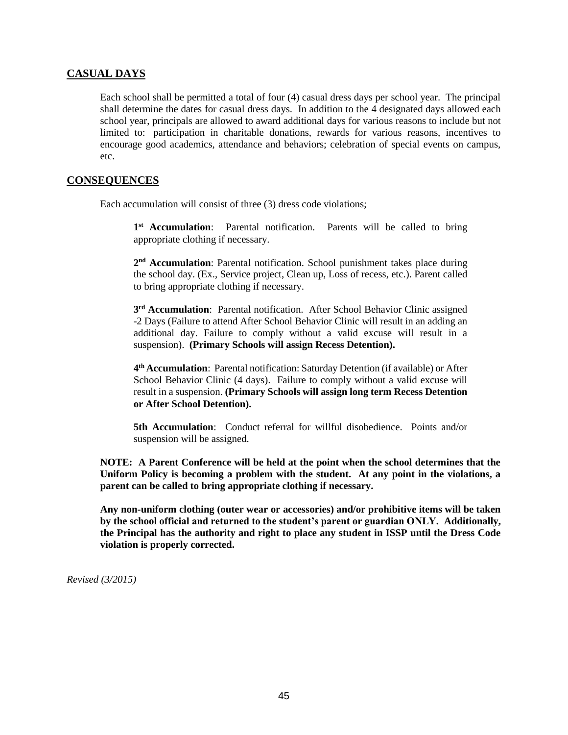### **CASUAL DAYS**

Each school shall be permitted a total of four (4) casual dress days per school year. The principal shall determine the dates for casual dress days. In addition to the 4 designated days allowed each school year, principals are allowed to award additional days for various reasons to include but not limited to: participation in charitable donations, rewards for various reasons, incentives to encourage good academics, attendance and behaviors; celebration of special events on campus, etc.

#### **CONSEQUENCES**

Each accumulation will consist of three (3) dress code violations;

1<sup>st</sup> Accumulation: Parental notification. Parents will be called to bring appropriate clothing if necessary.

2<sup>nd</sup> Accumulation: Parental notification. School punishment takes place during the school day. (Ex., Service project, Clean up, Loss of recess, etc.). Parent called to bring appropriate clothing if necessary.

**3 rd Accumulation**: Parental notification. After School Behavior Clinic assigned -2 Days (Failure to attend After School Behavior Clinic will result in an adding an additional day. Failure to comply without a valid excuse will result in a suspension). **(Primary Schools will assign Recess Detention).** 

**4 th Accumulation**: Parental notification: Saturday Detention (if available) or After School Behavior Clinic (4 days). Failure to comply without a valid excuse will result in a suspension. **(Primary Schools will assign long term Recess Detention or After School Detention).** 

**5th Accumulation**: Conduct referral for willful disobedience. Points and/or suspension will be assigned.

**NOTE: A Parent Conference will be held at the point when the school determines that the Uniform Policy is becoming a problem with the student. At any point in the violations, a parent can be called to bring appropriate clothing if necessary.** 

**Any non-uniform clothing (outer wear or accessories) and/or prohibitive items will be taken by the school official and returned to the student's parent or guardian ONLY. Additionally, the Principal has the authority and right to place any student in ISSP until the Dress Code violation is properly corrected.**

*Revised (3/2015)*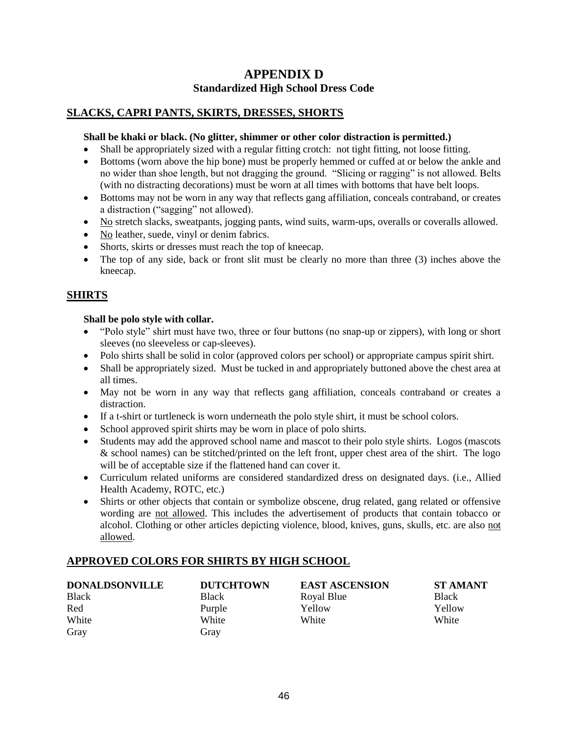# **APPENDIX D Standardized High School Dress Code**

## **SLACKS, CAPRI PANTS, SKIRTS, DRESSES, SHORTS**

### **Shall be khaki or black. (No glitter, shimmer or other color distraction is permitted.)**

- Shall be appropriately sized with a regular fitting crotch: not tight fitting, not loose fitting.
- Bottoms (worn above the hip bone) must be properly hemmed or cuffed at or below the ankle and no wider than shoe length, but not dragging the ground. "Slicing or ragging" is not allowed. Belts (with no distracting decorations) must be worn at all times with bottoms that have belt loops.
- Bottoms may not be worn in any way that reflects gang affiliation, conceals contraband, or creates a distraction ("sagging" not allowed).
- No stretch slacks, sweatpants, jogging pants, wind suits, warm-ups, overalls or coveralls allowed.
- No leather, suede, vinyl or denim fabrics.
- Shorts, skirts or dresses must reach the top of kneecap.
- The top of any side, back or front slit must be clearly no more than three (3) inches above the kneecap.

## **SHIRTS**

### **Shall be polo style with collar.**

- "Polo style" shirt must have two, three or four buttons (no snap-up or zippers), with long or short sleeves (no sleeveless or cap-sleeves).
- Polo shirts shall be solid in color (approved colors per school) or appropriate campus spirit shirt.
- Shall be appropriately sized. Must be tucked in and appropriately buttoned above the chest area at all times.
- May not be worn in any way that reflects gang affiliation, conceals contraband or creates a distraction.
- If a t-shirt or turtleneck is worn underneath the polo style shirt, it must be school colors.
- School approved spirit shirts may be worn in place of polo shirts.
- Students may add the approved school name and mascot to their polo style shirts. Logos (mascots & school names) can be stitched/printed on the left front, upper chest area of the shirt. The logo will be of acceptable size if the flattened hand can cover it.
- Curriculum related uniforms are considered standardized dress on designated days. (i.e., Allied Health Academy, ROTC, etc.)
- Shirts or other objects that contain or symbolize obscene, drug related, gang related or offensive wording are not allowed. This includes the advertisement of products that contain tobacco or alcohol. Clothing or other articles depicting violence, blood, knives, guns, skulls, etc. are also not allowed.

## **APPROVED COLORS FOR SHIRTS BY HIGH SCHOOL**

| <b>DONALDSONVILLE</b> | <b>DUTCHTOWN</b> | <b>EAST ASCENSION</b> | <b>ST AM</b> |
|-----------------------|------------------|-----------------------|--------------|
| <b>Black</b>          | <b>Black</b>     | Royal Blue            | <b>Black</b> |
| Red                   | Purple           | Yellow                | Yellow       |
| White                 | White            | White                 | White        |
| Gray                  | Gray             |                       |              |

**ST AMANT**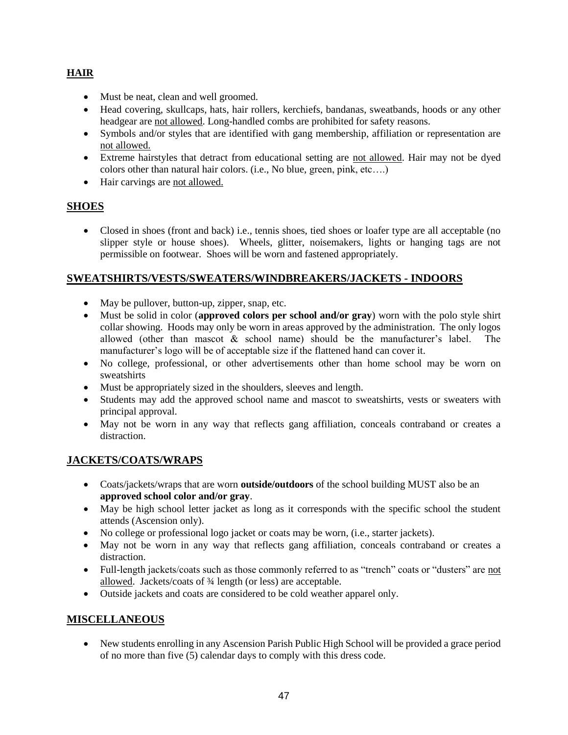## **HAIR**

- Must be neat, clean and well groomed.
- Head covering, skullcaps, hats, hair rollers, kerchiefs, bandanas, sweatbands, hoods or any other headgear are not allowed. Long-handled combs are prohibited for safety reasons.
- Symbols and/or styles that are identified with gang membership, affiliation or representation are not allowed.
- Extreme hairstyles that detract from educational setting are not allowed. Hair may not be dyed colors other than natural hair colors. (i.e., No blue, green, pink, etc….)
- Hair carvings are not allowed.

## **SHOES**

 Closed in shoes (front and back) i.e., tennis shoes, tied shoes or loafer type are all acceptable (no slipper style or house shoes). Wheels, glitter, noisemakers, lights or hanging tags are not permissible on footwear. Shoes will be worn and fastened appropriately.

## **SWEATSHIRTS/VESTS/SWEATERS/WINDBREAKERS/JACKETS - INDOORS**

- May be pullover, button-up, zipper, snap, etc.
- Must be solid in color (**approved colors per school and/or gray**) worn with the polo style shirt collar showing. Hoods may only be worn in areas approved by the administration. The only logos allowed (other than mascot & school name) should be the manufacturer's label. The manufacturer's logo will be of acceptable size if the flattened hand can cover it.
- No college, professional, or other advertisements other than home school may be worn on sweatshirts
- Must be appropriately sized in the shoulders, sleeves and length.
- Students may add the approved school name and mascot to sweatshirts, vests or sweaters with principal approval.
- May not be worn in any way that reflects gang affiliation, conceals contraband or creates a distraction.

## **JACKETS/COATS/WRAPS**

- Coats/jackets/wraps that are worn **outside/outdoors** of the school building MUST also be an **approved school color and/or gray**.
- May be high school letter jacket as long as it corresponds with the specific school the student attends (Ascension only).
- No college or professional logo jacket or coats may be worn, (i.e., starter jackets).
- May not be worn in any way that reflects gang affiliation, conceals contraband or creates a distraction.
- Full-length jackets/coats such as those commonly referred to as "trench" coats or "dusters" are not allowed. Jackets/coats of ¾ length (or less) are acceptable.
- Outside jackets and coats are considered to be cold weather apparel only.

## **MISCELLANEOUS**

 New students enrolling in any Ascension Parish Public High School will be provided a grace period of no more than five (5) calendar days to comply with this dress code.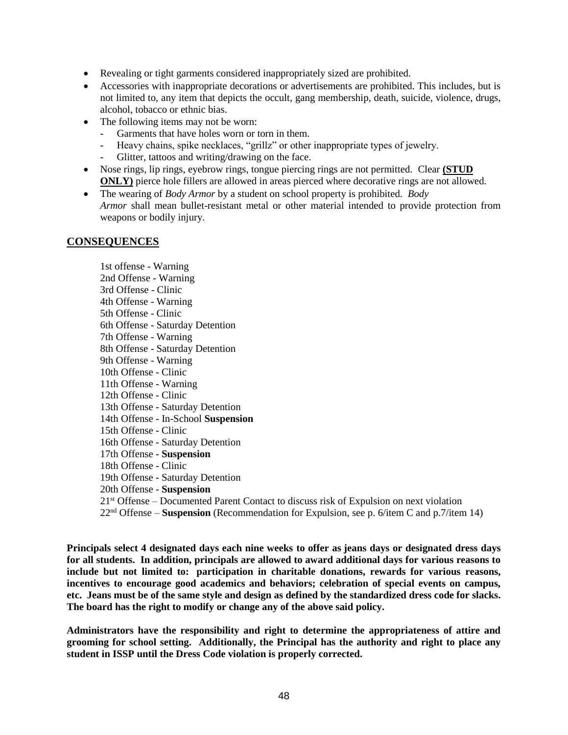- Revealing or tight garments considered inappropriately sized are prohibited.
- Accessories with inappropriate decorations or advertisements are prohibited. This includes, but is not limited to, any item that depicts the occult, gang membership, death, suicide, violence, drugs, alcohol, tobacco or ethnic bias.
- The following items may not be worn:
	- Garments that have holes worn or torn in them.
	- Heavy chains, spike necklaces, "grillz" or other inappropriate types of jewelry.
	- Glitter, tattoos and writing/drawing on the face.
- Nose rings, lip rings, eyebrow rings, tongue piercing rings are not permitted. Clear **(STUD ONLY)** pierce hole fillers are allowed in areas pierced where decorative rings are not allowed.
- The wearing of *Body Armor* by a student on school property is prohibited. *Body Armor* shall mean bullet-resistant metal or other material intended to provide protection from weapons or bodily injury.

### **CONSEQUENCES**

1st offense - Warning 2nd Offense - Warning 3rd Offense - Clinic 4th Offense - Warning 5th Offense - Clinic 6th Offense - Saturday Detention 7th Offense - Warning 8th Offense - Saturday Detention 9th Offense - Warning 10th Offense - Clinic 11th Offense - Warning 12th Offense - Clinic 13th Offense - Saturday Detention 14th Offense - In-School **Suspension** 15th Offense - Clinic 16th Offense - Saturday Detention 17th Offense - **Suspension** 18th Offense - Clinic 19th Offense - Saturday Detention 20th Offense - **Suspension** 21<sup>st</sup> Offense – Documented Parent Contact to discuss risk of Expulsion on next violation 22nd Offense – **Suspension** (Recommendation for Expulsion, see p. 6/item C and p.7/item 14)

**Principals select 4 designated days each nine weeks to offer as jeans days or designated dress days for all students. In addition, principals are allowed to award additional days for various reasons to include but not limited to: participation in charitable donations, rewards for various reasons, incentives to encourage good academics and behaviors; celebration of special events on campus, etc. Jeans must be of the same style and design as defined by the standardized dress code for slacks. The board has the right to modify or change any of the above said policy.** 

**Administrators have the responsibility and right to determine the appropriateness of attire and grooming for school setting. Additionally, the Principal has the authority and right to place any student in ISSP until the Dress Code violation is properly corrected.**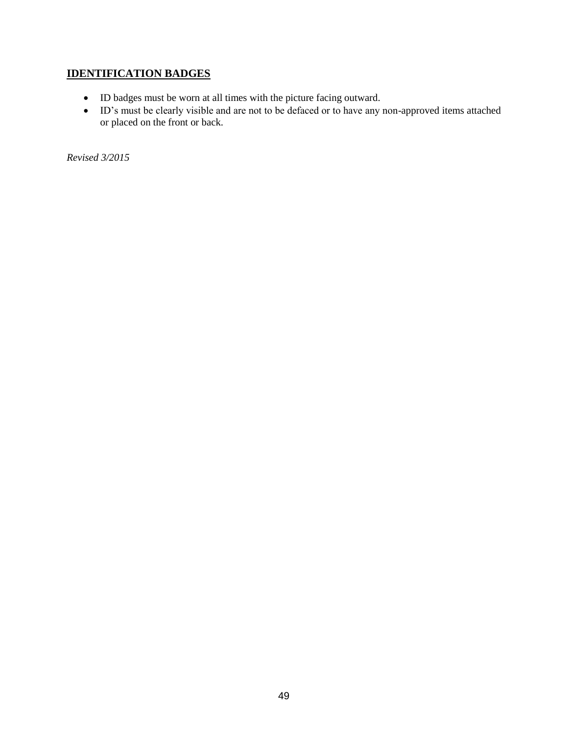# **IDENTIFICATION BADGES**

- ID badges must be worn at all times with the picture facing outward.
- ID's must be clearly visible and are not to be defaced or to have any non-approved items attached or placed on the front or back.

*Revised 3/2015*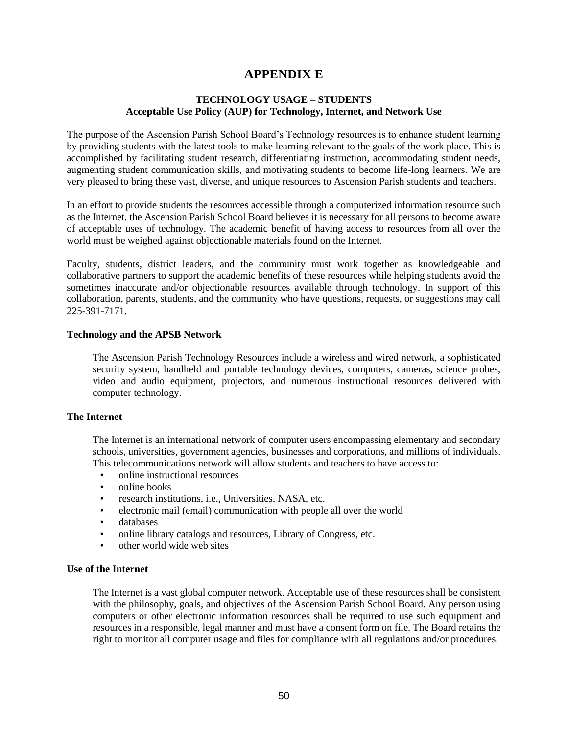# **APPENDIX E**

#### **TECHNOLOGY USAGE – STUDENTS Acceptable Use Policy (AUP) for Technology, Internet, and Network Use**

The purpose of the Ascension Parish School Board's Technology resources is to enhance student learning by providing students with the latest tools to make learning relevant to the goals of the work place. This is accomplished by facilitating student research, differentiating instruction, accommodating student needs, augmenting student communication skills, and motivating students to become life-long learners. We are very pleased to bring these vast, diverse, and unique resources to Ascension Parish students and teachers.

In an effort to provide students the resources accessible through a computerized information resource such as the Internet, the Ascension Parish School Board believes it is necessary for all persons to become aware of acceptable uses of technology. The academic benefit of having access to resources from all over the world must be weighed against objectionable materials found on the Internet.

Faculty, students, district leaders, and the community must work together as knowledgeable and collaborative partners to support the academic benefits of these resources while helping students avoid the sometimes inaccurate and/or objectionable resources available through technology. In support of this collaboration, parents, students, and the community who have questions, requests, or suggestions may call 225-391-7171.

#### **Technology and the APSB Network**

The Ascension Parish Technology Resources include a wireless and wired network, a sophisticated security system, handheld and portable technology devices, computers, cameras, science probes, video and audio equipment, projectors, and numerous instructional resources delivered with computer technology.

#### **The Internet**

The Internet is an international network of computer users encompassing elementary and secondary schools, universities, government agencies, businesses and corporations, and millions of individuals. This telecommunications network will allow students and teachers to have access to:

- online instructional resources
- online books
- research institutions, i.e., Universities, NASA, etc.
- electronic mail (email) communication with people all over the world
- databases
- online library catalogs and resources, Library of Congress, etc.
- other world wide web sites

#### **Use of the Internet**

The Internet is a vast global computer network. Acceptable use of these resources shall be consistent with the philosophy, goals, and objectives of the Ascension Parish School Board. Any person using computers or other electronic information resources shall be required to use such equipment and resources in a responsible, legal manner and must have a consent form on file. The Board retains the right to monitor all computer usage and files for compliance with all regulations and/or procedures.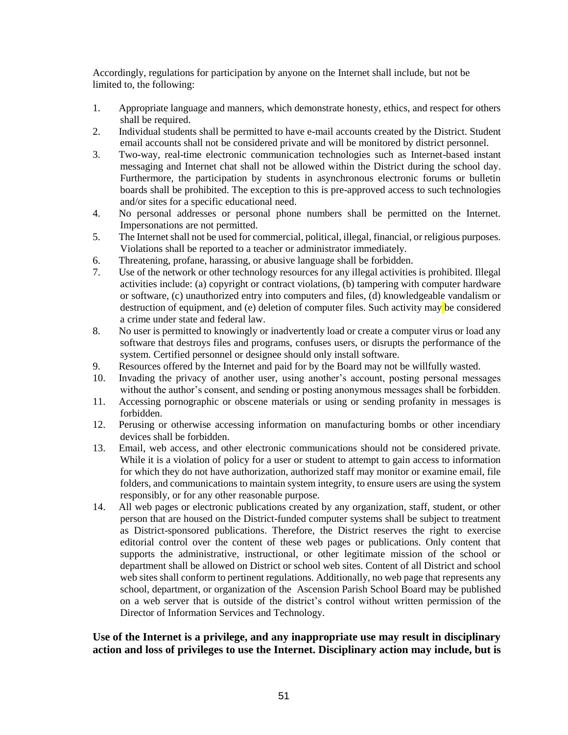Accordingly, regulations for participation by anyone on the Internet shall include, but not be limited to, the following:

- 1. Appropriate language and manners, which demonstrate honesty, ethics, and respect for others shall be required.
- 2. Individual students shall be permitted to have e-mail accounts created by the District. Student email accounts shall not be considered private and will be monitored by district personnel.
- 3. Two-way, real-time electronic communication technologies such as Internet-based instant messaging and Internet chat shall not be allowed within the District during the school day. Furthermore, the participation by students in asynchronous electronic forums or bulletin boards shall be prohibited. The exception to this is pre-approved access to such technologies and/or sites for a specific educational need.
- 4. No personal addresses or personal phone numbers shall be permitted on the Internet. Impersonations are not permitted.
- 5. The Internet shall not be used for commercial, political, illegal, financial, or religious purposes. Violations shall be reported to a teacher or administrator immediately.
- 6. Threatening, profane, harassing, or abusive language shall be forbidden.
- 7. Use of the network or other technology resources for any illegal activities is prohibited. Illegal activities include: (a) copyright or contract violations, (b) tampering with computer hardware or software, (c) unauthorized entry into computers and files, (d) knowledgeable vandalism or destruction of equipment, and (e) deletion of computer files. Such activity may be considered a crime under state and federal law.
- 8. No user is permitted to knowingly or inadvertently load or create a computer virus or load any software that destroys files and programs, confuses users, or disrupts the performance of the system. Certified personnel or designee should only install software.
- 9. Resources offered by the Internet and paid for by the Board may not be willfully wasted.
- 10. Invading the privacy of another user, using another's account, posting personal messages without the author's consent, and sending or posting anonymous messages shall be forbidden.
- 11. Accessing pornographic or obscene materials or using or sending profanity in messages is forbidden.
- 12. Perusing or otherwise accessing information on manufacturing bombs or other incendiary devices shall be forbidden.
- 13. Email, web access, and other electronic communications should not be considered private. While it is a violation of policy for a user or student to attempt to gain access to information for which they do not have authorization, authorized staff may monitor or examine email, file folders, and communications to maintain system integrity, to ensure users are using the system responsibly, or for any other reasonable purpose.
- 14. All web pages or electronic publications created by any organization, staff, student, or other person that are housed on the District-funded computer systems shall be subject to treatment as District-sponsored publications. Therefore, the District reserves the right to exercise editorial control over the content of these web pages or publications. Only content that supports the administrative, instructional, or other legitimate mission of the school or department shall be allowed on District or school web sites. Content of all District and school web sites shall conform to pertinent regulations. Additionally, no web page that represents any school, department, or organization of the Ascension Parish School Board may be published on a web server that is outside of the district's control without written permission of the Director of Information Services and Technology.

## **Use of the Internet is a privilege, and any inappropriate use may result in disciplinary action and loss of privileges to use the Internet. Disciplinary action may include, but is**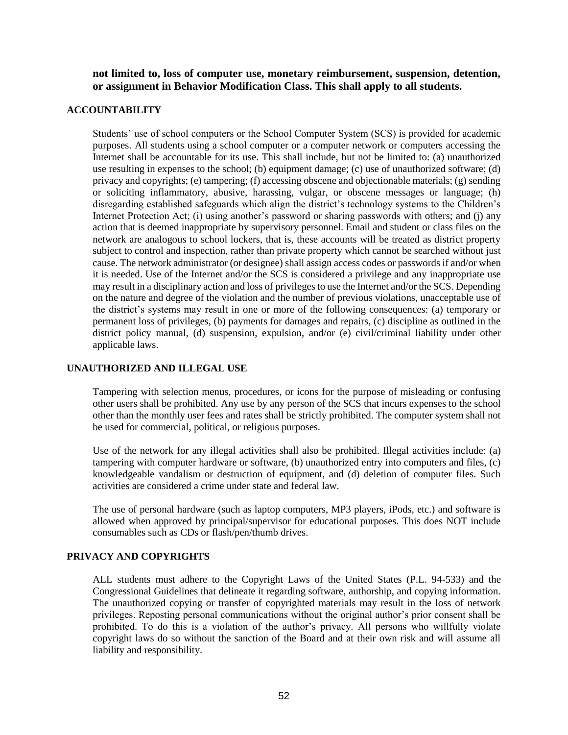**not limited to, loss of computer use, monetary reimbursement, suspension, detention, or assignment in Behavior Modification Class. This shall apply to all students.** 

#### **ACCOUNTABILITY**

Students' use of school computers or the School Computer System (SCS) is provided for academic purposes. All students using a school computer or a computer network or computers accessing the Internet shall be accountable for its use. This shall include, but not be limited to: (a) unauthorized use resulting in expenses to the school; (b) equipment damage; (c) use of unauthorized software; (d) privacy and copyrights; (e) tampering; (f) accessing obscene and objectionable materials; (g) sending or soliciting inflammatory, abusive, harassing, vulgar, or obscene messages or language; (h) disregarding established safeguards which align the district's technology systems to the Children's Internet Protection Act; (i) using another's password or sharing passwords with others; and (j) any action that is deemed inappropriate by supervisory personnel. Email and student or class files on the network are analogous to school lockers, that is, these accounts will be treated as district property subject to control and inspection, rather than private property which cannot be searched without just cause. The network administrator (or designee) shall assign access codes or passwords if and/or when it is needed. Use of the Internet and/or the SCS is considered a privilege and any inappropriate use may result in a disciplinary action and loss of privileges to use the Internet and/or the SCS. Depending on the nature and degree of the violation and the number of previous violations, unacceptable use of the district's systems may result in one or more of the following consequences: (a) temporary or permanent loss of privileges, (b) payments for damages and repairs, (c) discipline as outlined in the district policy manual, (d) suspension, expulsion, and/or (e) civil/criminal liability under other applicable laws.

#### **UNAUTHORIZED AND ILLEGAL USE**

Tampering with selection menus, procedures, or icons for the purpose of misleading or confusing other users shall be prohibited. Any use by any person of the SCS that incurs expenses to the school other than the monthly user fees and rates shall be strictly prohibited. The computer system shall not be used for commercial, political, or religious purposes.

Use of the network for any illegal activities shall also be prohibited. Illegal activities include: (a) tampering with computer hardware or software, (b) unauthorized entry into computers and files, (c) knowledgeable vandalism or destruction of equipment, and (d) deletion of computer files. Such activities are considered a crime under state and federal law.

The use of personal hardware (such as laptop computers, MP3 players, iPods, etc.) and software is allowed when approved by principal/supervisor for educational purposes. This does NOT include consumables such as CDs or flash/pen/thumb drives.

#### **PRIVACY AND COPYRIGHTS**

ALL students must adhere to the Copyright Laws of the United States (P.L. 94-533) and the Congressional Guidelines that delineate it regarding software, authorship, and copying information. The unauthorized copying or transfer of copyrighted materials may result in the loss of network privileges. Reposting personal communications without the original author's prior consent shall be prohibited. To do this is a violation of the author's privacy. All persons who willfully violate copyright laws do so without the sanction of the Board and at their own risk and will assume all liability and responsibility.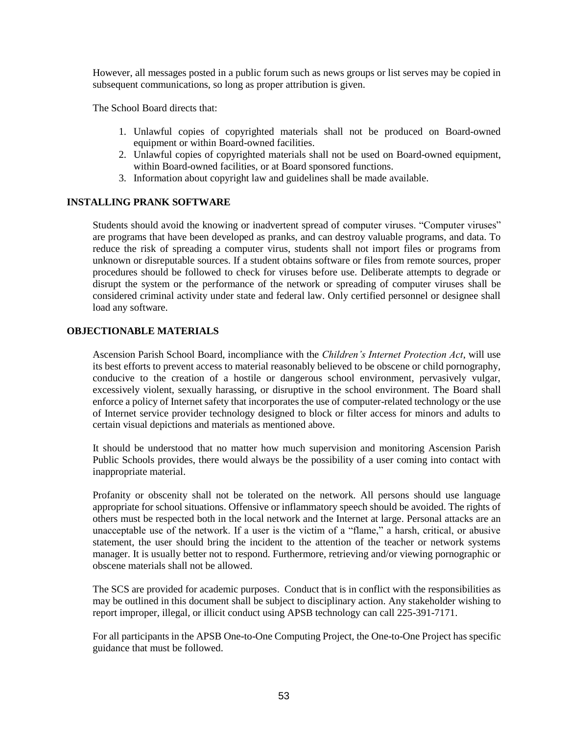However, all messages posted in a public forum such as news groups or list serves may be copied in subsequent communications, so long as proper attribution is given.

The School Board directs that:

- 1. Unlawful copies of copyrighted materials shall not be produced on Board-owned equipment or within Board-owned facilities.
- 2. Unlawful copies of copyrighted materials shall not be used on Board-owned equipment, within Board-owned facilities, or at Board sponsored functions.
- 3. Information about copyright law and guidelines shall be made available.

### **INSTALLING PRANK SOFTWARE**

Students should avoid the knowing or inadvertent spread of computer viruses. "Computer viruses" are programs that have been developed as pranks, and can destroy valuable programs, and data. To reduce the risk of spreading a computer virus, students shall not import files or programs from unknown or disreputable sources. If a student obtains software or files from remote sources, proper procedures should be followed to check for viruses before use. Deliberate attempts to degrade or disrupt the system or the performance of the network or spreading of computer viruses shall be considered criminal activity under state and federal law. Only certified personnel or designee shall load any software.

#### **OBJECTIONABLE MATERIALS**

Ascension Parish School Board, incompliance with the *Children's Internet Protection Act*, will use its best efforts to prevent access to material reasonably believed to be obscene or child pornography, conducive to the creation of a hostile or dangerous school environment, pervasively vulgar, excessively violent, sexually harassing, or disruptive in the school environment. The Board shall enforce a policy of Internet safety that incorporates the use of computer-related technology or the use of Internet service provider technology designed to block or filter access for minors and adults to certain visual depictions and materials as mentioned above.

It should be understood that no matter how much supervision and monitoring Ascension Parish Public Schools provides, there would always be the possibility of a user coming into contact with inappropriate material.

Profanity or obscenity shall not be tolerated on the network. All persons should use language appropriate for school situations. Offensive or inflammatory speech should be avoided. The rights of others must be respected both in the local network and the Internet at large. Personal attacks are an unacceptable use of the network. If a user is the victim of a "flame," a harsh, critical, or abusive statement, the user should bring the incident to the attention of the teacher or network systems manager. It is usually better not to respond. Furthermore, retrieving and/or viewing pornographic or obscene materials shall not be allowed.

The SCS are provided for academic purposes. Conduct that is in conflict with the responsibilities as may be outlined in this document shall be subject to disciplinary action. Any stakeholder wishing to report improper, illegal, or illicit conduct using APSB technology can call 225-391-7171.

For all participants in the APSB One-to-One Computing Project, the One-to-One Project has specific guidance that must be followed.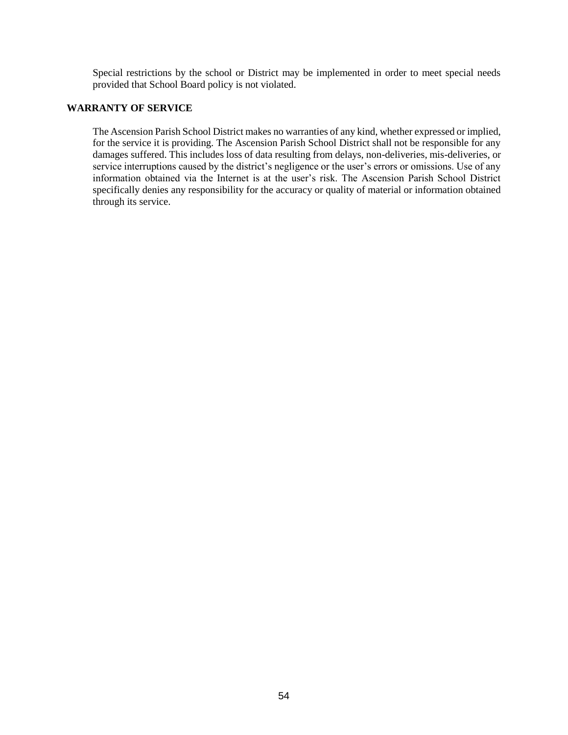Special restrictions by the school or District may be implemented in order to meet special needs provided that School Board policy is not violated.

### **WARRANTY OF SERVICE**

The Ascension Parish School District makes no warranties of any kind, whether expressed or implied, for the service it is providing. The Ascension Parish School District shall not be responsible for any damages suffered. This includes loss of data resulting from delays, non-deliveries, mis-deliveries, or service interruptions caused by the district's negligence or the user's errors or omissions. Use of any information obtained via the Internet is at the user's risk. The Ascension Parish School District specifically denies any responsibility for the accuracy or quality of material or information obtained through its service.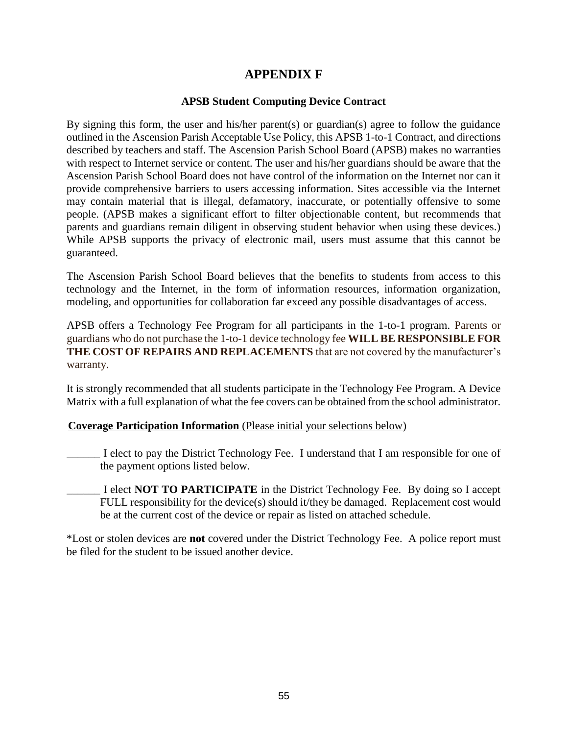# **APPENDIX F**

## **APSB Student Computing Device Contract**

By signing this form, the user and his/her parent(s) or guardian(s) agree to follow the guidance outlined in the Ascension Parish Acceptable Use Policy, this APSB 1-to-1 Contract, and directions described by teachers and staff. The Ascension Parish School Board (APSB) makes no warranties with respect to Internet service or content. The user and his/her guardians should be aware that the Ascension Parish School Board does not have control of the information on the Internet nor can it provide comprehensive barriers to users accessing information. Sites accessible via the Internet may contain material that is illegal, defamatory, inaccurate, or potentially offensive to some people. (APSB makes a significant effort to filter objectionable content, but recommends that parents and guardians remain diligent in observing student behavior when using these devices.) While APSB supports the privacy of electronic mail, users must assume that this cannot be guaranteed.

The Ascension Parish School Board believes that the benefits to students from access to this technology and the Internet, in the form of information resources, information organization, modeling, and opportunities for collaboration far exceed any possible disadvantages of access.

APSB offers a Technology Fee Program for all participants in the 1-to-1 program. Parents or guardians who do not purchase the 1-to-1 device technology fee **WILL BE RESPONSIBLE FOR THE COST OF REPAIRS AND REPLACEMENTS** that are not covered by the manufacturer's warranty.

It is strongly recommended that all students participate in the Technology Fee Program. A Device Matrix with a full explanation of what the fee covers can be obtained from the school administrator.

### **Coverage Participation Information** (Please initial your selections below)

- \_\_\_\_\_\_ I elect to pay the District Technology Fee. I understand that I am responsible for one of the payment options listed below.
- \_\_\_\_\_\_ I elect **NOT TO PARTICIPATE** in the District Technology Fee. By doing so I accept FULL responsibility for the device(s) should it/they be damaged. Replacement cost would be at the current cost of the device or repair as listed on attached schedule.

\*Lost or stolen devices are **not** covered under the District Technology Fee. A police report must be filed for the student to be issued another device.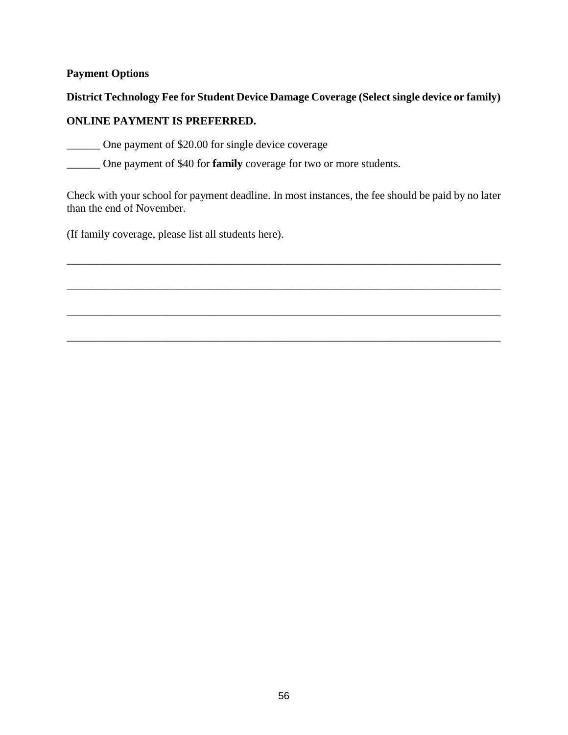## **Payment Options**

## **District Technology Fee for Student Device Damage Coverage (Select single device or family)**

## **ONLINE PAYMENT IS PREFERRED.**

\_\_\_\_\_\_ One payment of \$20.00 for single device coverage

\_\_\_\_\_\_ One payment of \$40 for **family** coverage for two or more students.

Check with your school for payment deadline. In most instances, the fee should be paid by no later than the end of November.

\_\_\_\_\_\_\_\_\_\_\_\_\_\_\_\_\_\_\_\_\_\_\_\_\_\_\_\_\_\_\_\_\_\_\_\_\_\_\_\_\_\_\_\_\_\_\_\_\_\_\_\_\_\_\_\_\_\_\_\_\_\_\_\_\_\_\_\_\_\_\_\_\_\_\_\_\_\_

\_\_\_\_\_\_\_\_\_\_\_\_\_\_\_\_\_\_\_\_\_\_\_\_\_\_\_\_\_\_\_\_\_\_\_\_\_\_\_\_\_\_\_\_\_\_\_\_\_\_\_\_\_\_\_\_\_\_\_\_\_\_\_\_\_\_\_\_\_\_\_\_\_\_\_\_\_\_

\_\_\_\_\_\_\_\_\_\_\_\_\_\_\_\_\_\_\_\_\_\_\_\_\_\_\_\_\_\_\_\_\_\_\_\_\_\_\_\_\_\_\_\_\_\_\_\_\_\_\_\_\_\_\_\_\_\_\_\_\_\_\_\_\_\_\_\_\_\_\_\_\_\_\_\_\_\_

\_\_\_\_\_\_\_\_\_\_\_\_\_\_\_\_\_\_\_\_\_\_\_\_\_\_\_\_\_\_\_\_\_\_\_\_\_\_\_\_\_\_\_\_\_\_\_\_\_\_\_\_\_\_\_\_\_\_\_\_\_\_\_\_\_\_\_\_\_\_\_\_\_\_\_\_\_\_

(If family coverage, please list all students here).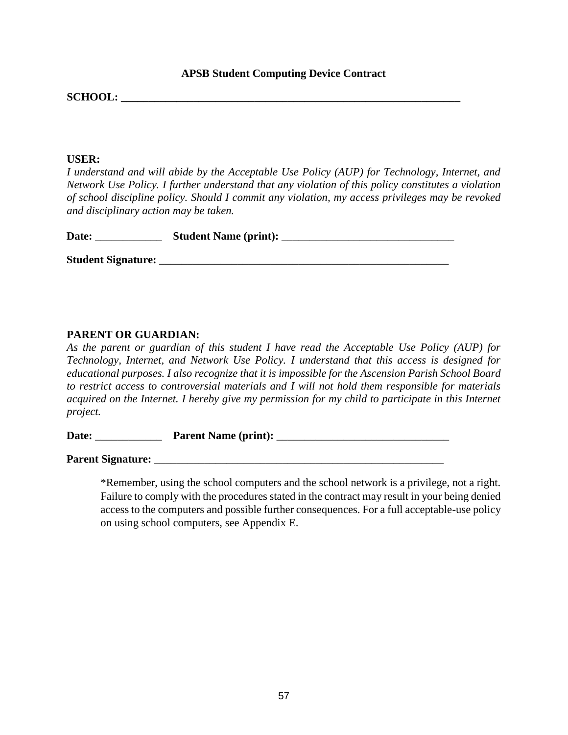### **APSB Student Computing Device Contract**

**SCHOOL:**  $\blacksquare$ 

### **USER:**

*I understand and will abide by the Acceptable Use Policy (AUP) for Technology, Internet, and Network Use Policy. I further understand that any violation of this policy constitutes a violation of school discipline policy. Should I commit any violation, my access privileges may be revoked and disciplinary action may be taken.* 

| Date:                     | <b>Student Name (print):</b> |  |
|---------------------------|------------------------------|--|
| <b>Student Signature:</b> |                              |  |

## **PARENT OR GUARDIAN:**

*As the parent or guardian of this student I have read the Acceptable Use Policy (AUP) for Technology, Internet, and Network Use Policy. I understand that this access is designed for educational purposes. I also recognize that it is impossible for the Ascension Parish School Board to restrict access to controversial materials and I will not hold them responsible for materials acquired on the Internet. I hereby give my permission for my child to participate in this Internet project.* 

**Date:** \_\_\_\_\_\_\_\_\_\_\_\_ **Parent Name (print):** \_\_\_\_\_\_\_\_\_\_\_\_\_\_\_\_\_\_\_\_\_\_\_\_\_\_\_\_\_\_\_

**Parent Signature:** \_\_\_\_\_\_\_\_\_\_\_\_\_\_\_\_\_\_\_\_\_\_\_\_\_\_\_\_\_\_\_\_\_\_\_\_\_\_\_\_\_\_\_\_\_\_\_\_\_\_\_\_

\*Remember, using the school computers and the school network is a privilege, not a right. Failure to comply with the procedures stated in the contract may result in your being denied access to the computers and possible further consequences. For a full acceptable-use policy on using school computers, see Appendix [E.](http://www.apsb.org/)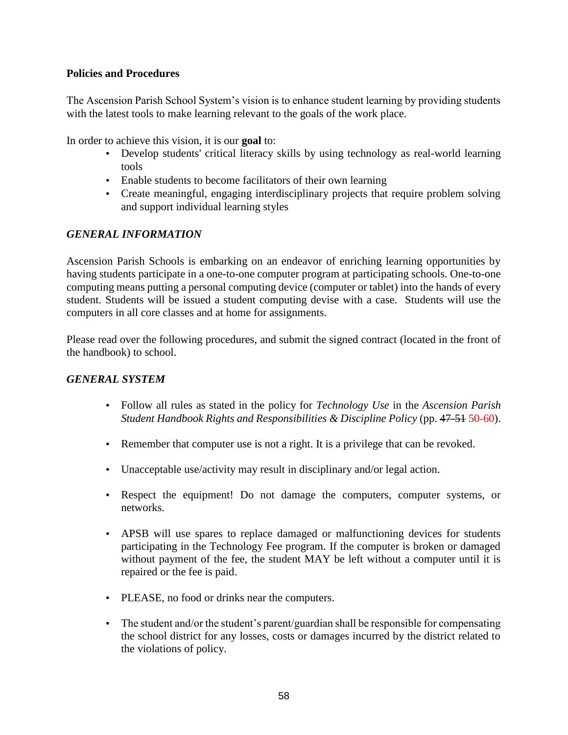## **Policies and Procedures**

The Ascension Parish School System's vision is to enhance student learning by providing students with the latest tools to make learning relevant to the goals of the work place.

In order to achieve this vision, it is our **goal** to:

- Develop students' critical literacy skills by using technology as real-world learning tools
- Enable students to become facilitators of their own learning
- Create meaningful, engaging interdisciplinary projects that require problem solving and support individual learning styles

## *GENERAL INFORMATION*

Ascension Parish Schools is embarking on an endeavor of enriching learning opportunities by having students participate in a one-to-one computer program at participating schools. One-to-one computing means putting a personal computing device (computer or tablet) into the hands of every student. Students will be issued a student computing devise with a case. Students will use the computers in all core classes and at home for assignments.

Please read over the following procedures, and submit the signed contract (located in the front of the handbook) to school.

## *GENERAL SYSTEM*

- Follow all rules as stated in the policy for *Technology Use* in the *Ascension Parish Student Handbook Rights and Responsibilities & Discipline Policy* (pp. 47-51 50-60).
- Remember that computer use is not a right. It is a privilege that can be revoked.
- Unacceptable use/activity may result in disciplinary and/or legal action.
- Respect the equipment! Do not damage the computers, computer systems, or networks.
- APSB will use spares to replace damaged or malfunctioning devices for students participating in the Technology Fee program. If the computer is broken or damaged without payment of the fee, the student MAY be left without a computer until it is repaired or the fee is paid.
- PLEASE, no food or drinks near the computers.
- The student and/or the student's parent/guardian shall be responsible for compensating the school district for any losses, costs or damages incurred by the district related to the violations of policy.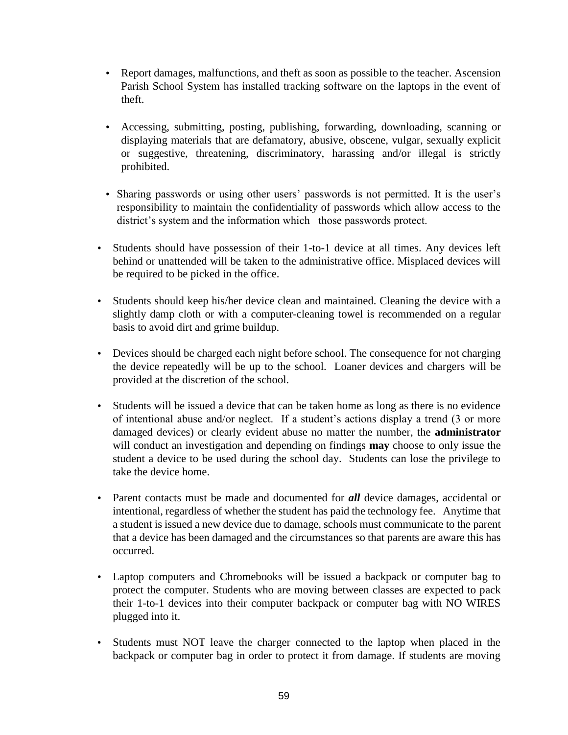- Report damages, malfunctions, and theft as soon as possible to the teacher. Ascension Parish School System has installed tracking software on the laptops in the event of theft.
- Accessing, submitting, posting, publishing, forwarding, downloading, scanning or displaying materials that are defamatory, abusive, obscene, vulgar, sexually explicit or suggestive, threatening, discriminatory, harassing and/or illegal is strictly prohibited.
- Sharing passwords or using other users' passwords is not permitted. It is the user's responsibility to maintain the confidentiality of passwords which allow access to the district's system and the information which those passwords protect.
- Students should have possession of their 1-to-1 device at all times. Any devices left behind or unattended will be taken to the administrative office. Misplaced devices will be required to be picked in the office.
- Students should keep his/her device clean and maintained. Cleaning the device with a slightly damp cloth or with a computer-cleaning towel is recommended on a regular basis to avoid dirt and grime buildup.
- Devices should be charged each night before school. The consequence for not charging the device repeatedly will be up to the school. Loaner devices and chargers will be provided at the discretion of the school.
- Students will be issued a device that can be taken home as long as there is no evidence of intentional abuse and/or neglect. If a student's actions display a trend (3 or more damaged devices) or clearly evident abuse no matter the number, the **administrator** will conduct an investigation and depending on findings **may** choose to only issue the student a device to be used during the school day. Students can lose the privilege to take the device home.
- Parent contacts must be made and documented for *all* device damages, accidental or intentional, regardless of whether the student has paid the technology fee. Anytime that a student is issued a new device due to damage, schools must communicate to the parent that a device has been damaged and the circumstances so that parents are aware this has occurred.
- Laptop computers and Chromebooks will be issued a backpack or computer bag to protect the computer. Students who are moving between classes are expected to pack their 1-to-1 devices into their computer backpack or computer bag with NO WIRES plugged into it.
- Students must NOT leave the charger connected to the laptop when placed in the backpack or computer bag in order to protect it from damage. If students are moving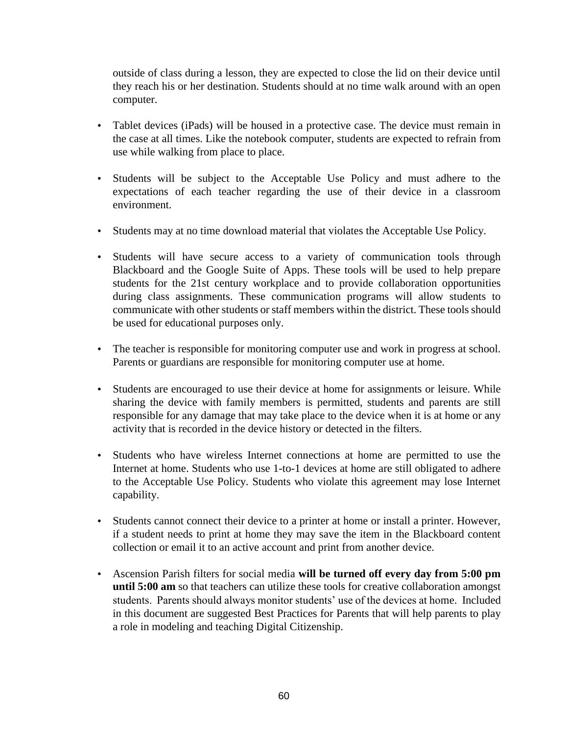outside of class during a lesson, they are expected to close the lid on their device until they reach his or her destination. Students should at no time walk around with an open computer.

- Tablet devices (iPads) will be housed in a protective case. The device must remain in the case at all times. Like the notebook computer, students are expected to refrain from use while walking from place to place.
- Students will be subject to the Acceptable Use Policy and must adhere to the expectations of each teacher regarding the use of their device in a classroom environment.
- Students may at no time download material that violates the Acceptable Use Policy.
- Students will have secure access to a variety of communication tools through Blackboard and the Google Suite of Apps. These tools will be used to help prepare students for the 21st century workplace and to provide collaboration opportunities during class assignments. These communication programs will allow students to communicate with other students or staff members within the district. These tools should be used for educational purposes only.
- The teacher is responsible for monitoring computer use and work in progress at school. Parents or guardians are responsible for monitoring computer use at home.
- Students are encouraged to use their device at home for assignments or leisure. While sharing the device with family members is permitted, students and parents are still responsible for any damage that may take place to the device when it is at home or any activity that is recorded in the device history or detected in the filters.
- Students who have wireless Internet connections at home are permitted to use the Internet at home. Students who use 1-to-1 devices at home are still obligated to adhere to the Acceptable Use Policy. Students who violate this agreement may lose Internet capability.
- Students cannot connect their device to a printer at home or install a printer. However, if a student needs to print at home they may save the item in the Blackboard content collection or email it to an active account and print from another device.
- Ascension Parish filters for social media **will be turned off every day from 5:00 pm until 5:00 am** so that teachers can utilize these tools for creative collaboration amongst students. Parents should always monitor students' use of the devices at home. Included in this document are suggested Best Practices for Parents that will help parents to play a role in modeling and teaching Digital Citizenship.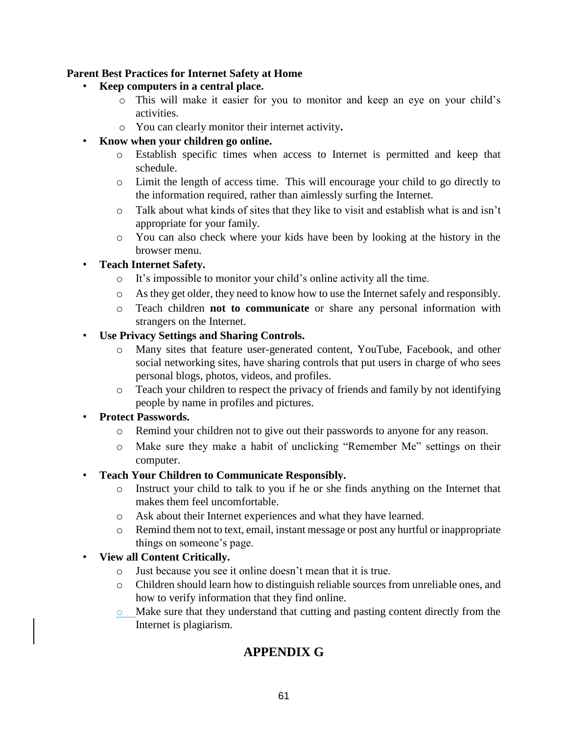## **Parent Best Practices for Internet Safety at Home**

- **Keep computers in a central place.** 
	- o This will make it easier for you to monitor and keep an eye on your child's activities.
	- o You can clearly monitor their internet activity**.**

## • **Know when your children go online.**

- o Establish specific times when access to Internet is permitted and keep that schedule.
- o Limit the length of access time. This will encourage your child to go directly to the information required, rather than aimlessly surfing the Internet.
- o Talk about what kinds of sites that they like to visit and establish what is and isn't appropriate for your family.
- o You can also check where your kids have been by looking at the history in the browser menu.

## • **Teach Internet Safety.**

- o It's impossible to monitor your child's online activity all the time.
- o As they get older, they need to know how to use the Internet safely and responsibly.
- o Teach children **not to communicate** or share any personal information with strangers on the Internet.

## • **Use Privacy Settings and Sharing Controls.**

- o Many sites that feature user-generated content, YouTube, Facebook, and other social networking sites, have sharing controls that put users in charge of who sees personal blogs, photos, videos, and profiles.
- o Teach your children to respect the privacy of friends and family by not identifying people by name in profiles and pictures.

## • **Protect Passwords.**

- o Remind your children not to give out their passwords to anyone for any reason.
- o Make sure they make a habit of unclicking "Remember Me" settings on their computer.

### • **Teach Your Children to Communicate Responsibly.**

- o Instruct your child to talk to you if he or she finds anything on the Internet that makes them feel uncomfortable.
- o Ask about their Internet experiences and what they have learned.
- o Remind them not to text, email, instant message or post any hurtful or inappropriate things on someone's page.

## • **View all Content Critically.**

- o Just because you see it online doesn't mean that it is true.
- o Children should learn how to distinguish reliable sources from unreliable ones, and how to verify information that they find online.
- o Make sure that they understand that cutting and pasting content directly from the Internet is plagiarism.

# **APPENDIX G**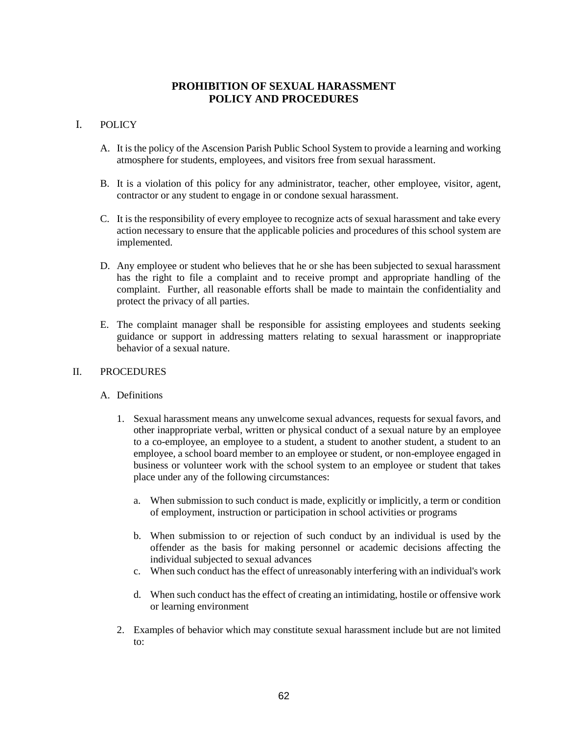## **PROHIBITION OF SEXUAL HARASSMENT POLICY AND PROCEDURES**

## I. POLICY

- A. It is the policy of the Ascension Parish Public School System to provide a learning and working atmosphere for students, employees, and visitors free from sexual harassment.
- B. It is a violation of this policy for any administrator, teacher, other employee, visitor, agent, contractor or any student to engage in or condone sexual harassment.
- C. It is the responsibility of every employee to recognize acts of sexual harassment and take every action necessary to ensure that the applicable policies and procedures of this school system are implemented.
- D. Any employee or student who believes that he or she has been subjected to sexual harassment has the right to file a complaint and to receive prompt and appropriate handling of the complaint. Further, all reasonable efforts shall be made to maintain the confidentiality and protect the privacy of all parties.
- E. The complaint manager shall be responsible for assisting employees and students seeking guidance or support in addressing matters relating to sexual harassment or inappropriate behavior of a sexual nature.

#### II. PROCEDURES

### A. Definitions

- 1. Sexual harassment means any unwelcome sexual advances, requests for sexual favors, and other inappropriate verbal, written or physical conduct of a sexual nature by an employee to a co-employee, an employee to a student, a student to another student, a student to an employee, a school board member to an employee or student, or non-employee engaged in business or volunteer work with the school system to an employee or student that takes place under any of the following circumstances:
	- a. When submission to such conduct is made, explicitly or implicitly, a term or condition of employment, instruction or participation in school activities or programs
	- b. When submission to or rejection of such conduct by an individual is used by the offender as the basis for making personnel or academic decisions affecting the individual subjected to sexual advances
	- c. When such conduct has the effect of unreasonably interfering with an individual's work
	- d. When such conduct has the effect of creating an intimidating, hostile or offensive work or learning environment
- 2. Examples of behavior which may constitute sexual harassment include but are not limited to: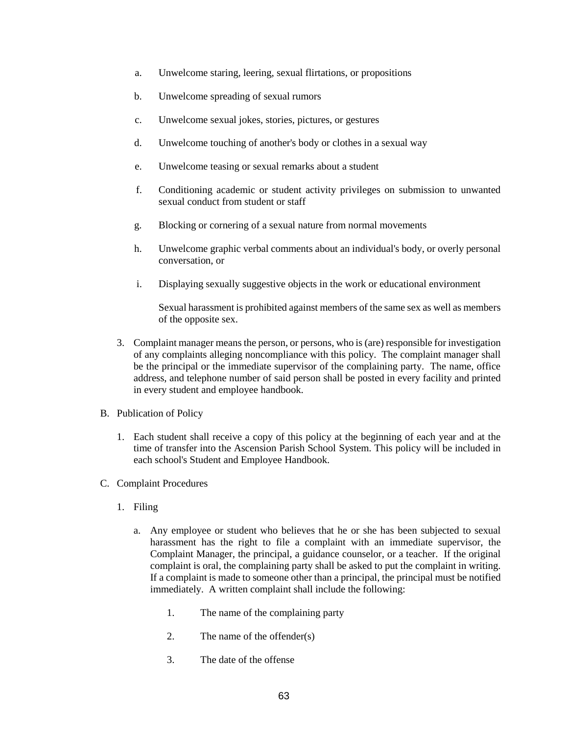- a. Unwelcome staring, leering, sexual flirtations, or propositions
- b. Unwelcome spreading of sexual rumors
- c. Unwelcome sexual jokes, stories, pictures, or gestures
- d. Unwelcome touching of another's body or clothes in a sexual way
- e. Unwelcome teasing or sexual remarks about a student
- f. Conditioning academic or student activity privileges on submission to unwanted sexual conduct from student or staff
- g. Blocking or cornering of a sexual nature from normal movements
- h. Unwelcome graphic verbal comments about an individual's body, or overly personal conversation, or
- i. Displaying sexually suggestive objects in the work or educational environment

Sexual harassment is prohibited against members of the same sex as well as members of the opposite sex.

- 3. Complaint manager means the person, or persons, who is (are) responsible for investigation of any complaints alleging noncompliance with this policy. The complaint manager shall be the principal or the immediate supervisor of the complaining party. The name, office address, and telephone number of said person shall be posted in every facility and printed in every student and employee handbook.
- B. Publication of Policy
	- 1. Each student shall receive a copy of this policy at the beginning of each year and at the time of transfer into the Ascension Parish School System. This policy will be included in each school's Student and Employee Handbook.
- C. Complaint Procedures
	- 1. Filing
		- a. Any employee or student who believes that he or she has been subjected to sexual harassment has the right to file a complaint with an immediate supervisor, the Complaint Manager, the principal, a guidance counselor, or a teacher. If the original complaint is oral, the complaining party shall be asked to put the complaint in writing. If a complaint is made to someone other than a principal, the principal must be notified immediately. A written complaint shall include the following:
			- 1. The name of the complaining party
			- 2. The name of the offender(s)
			- 3. The date of the offense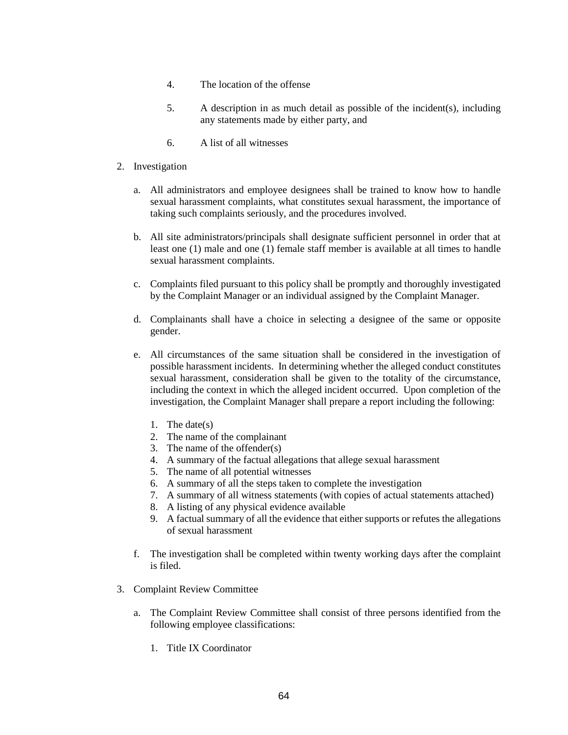- 4. The location of the offense
- 5. A description in as much detail as possible of the incident(s), including any statements made by either party, and
- 6. A list of all witnesses
- 2. Investigation
	- a. All administrators and employee designees shall be trained to know how to handle sexual harassment complaints, what constitutes sexual harassment, the importance of taking such complaints seriously, and the procedures involved.
	- b. All site administrators/principals shall designate sufficient personnel in order that at least one (1) male and one (1) female staff member is available at all times to handle sexual harassment complaints.
	- c. Complaints filed pursuant to this policy shall be promptly and thoroughly investigated by the Complaint Manager or an individual assigned by the Complaint Manager.
	- d. Complainants shall have a choice in selecting a designee of the same or opposite gender.
	- e. All circumstances of the same situation shall be considered in the investigation of possible harassment incidents. In determining whether the alleged conduct constitutes sexual harassment, consideration shall be given to the totality of the circumstance, including the context in which the alleged incident occurred. Upon completion of the investigation, the Complaint Manager shall prepare a report including the following:
		- 1. The date(s)
		- 2. The name of the complainant
		- 3. The name of the offender(s)
		- 4. A summary of the factual allegations that allege sexual harassment
		- 5. The name of all potential witnesses
		- 6. A summary of all the steps taken to complete the investigation
		- 7. A summary of all witness statements (with copies of actual statements attached)
		- 8. A listing of any physical evidence available
		- 9. A factual summary of all the evidence that either supports or refutes the allegations of sexual harassment
	- f. The investigation shall be completed within twenty working days after the complaint is filed.
- 3. Complaint Review Committee
	- a. The Complaint Review Committee shall consist of three persons identified from the following employee classifications:
		- 1. Title IX Coordinator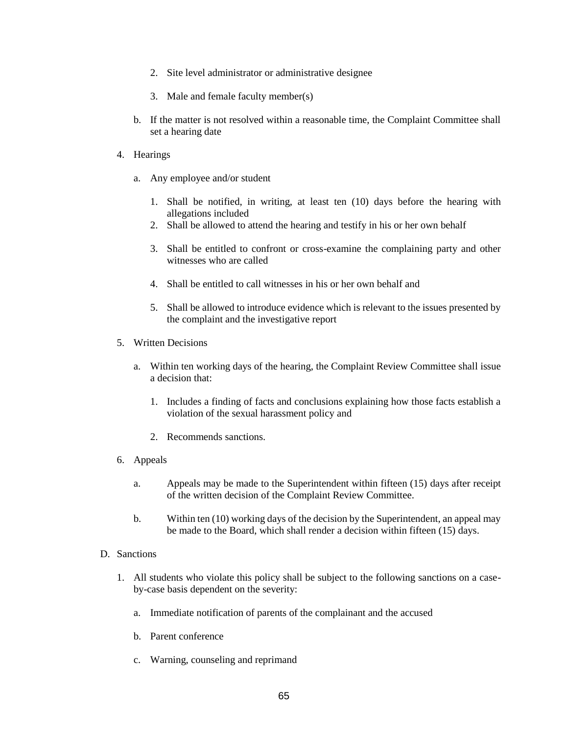- 2. Site level administrator or administrative designee
- 3. Male and female faculty member(s)
- b. If the matter is not resolved within a reasonable time, the Complaint Committee shall set a hearing date
- 4. Hearings
	- a. Any employee and/or student
		- 1. Shall be notified, in writing, at least ten (10) days before the hearing with allegations included
		- 2. Shall be allowed to attend the hearing and testify in his or her own behalf
		- 3. Shall be entitled to confront or cross-examine the complaining party and other witnesses who are called
		- 4. Shall be entitled to call witnesses in his or her own behalf and
		- 5. Shall be allowed to introduce evidence which is relevant to the issues presented by the complaint and the investigative report
- 5. Written Decisions
	- a. Within ten working days of the hearing, the Complaint Review Committee shall issue a decision that:
		- 1. Includes a finding of facts and conclusions explaining how those facts establish a violation of the sexual harassment policy and
		- 2. Recommends sanctions.
- 6. Appeals
	- a. Appeals may be made to the Superintendent within fifteen (15) days after receipt of the written decision of the Complaint Review Committee.
	- b. Within ten (10) working days of the decision by the Superintendent, an appeal may be made to the Board, which shall render a decision within fifteen (15) days.
- D. Sanctions
	- 1. All students who violate this policy shall be subject to the following sanctions on a caseby-case basis dependent on the severity:
		- a. Immediate notification of parents of the complainant and the accused
		- b. Parent conference
		- c. Warning, counseling and reprimand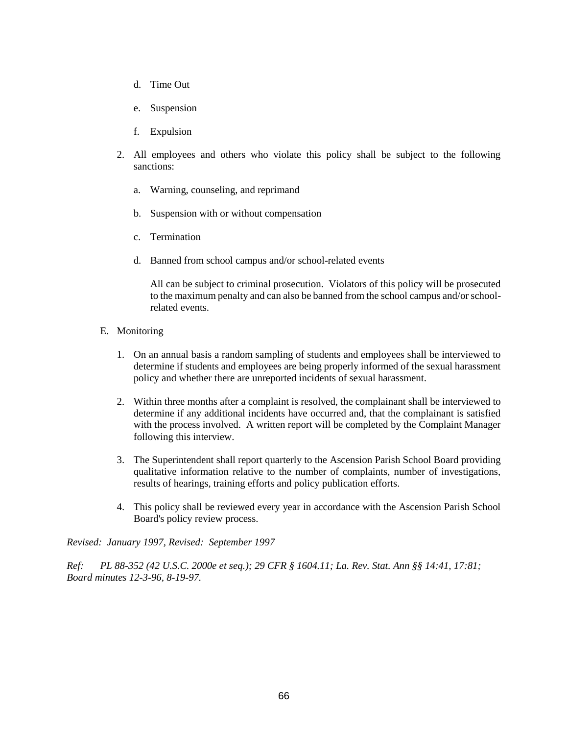- d. Time Out
- e. Suspension
- f. Expulsion
- 2. All employees and others who violate this policy shall be subject to the following sanctions:
	- a. Warning, counseling, and reprimand
	- b. Suspension with or without compensation
	- c. Termination
	- d. Banned from school campus and/or school-related events

All can be subject to criminal prosecution. Violators of this policy will be prosecuted to the maximum penalty and can also be banned from the school campus and/or schoolrelated events.

- E. Monitoring
	- 1. On an annual basis a random sampling of students and employees shall be interviewed to determine if students and employees are being properly informed of the sexual harassment policy and whether there are unreported incidents of sexual harassment.
	- 2. Within three months after a complaint is resolved, the complainant shall be interviewed to determine if any additional incidents have occurred and, that the complainant is satisfied with the process involved. A written report will be completed by the Complaint Manager following this interview.
	- 3. The Superintendent shall report quarterly to the Ascension Parish School Board providing qualitative information relative to the number of complaints, number of investigations, results of hearings, training efforts and policy publication efforts.
	- 4. This policy shall be reviewed every year in accordance with the Ascension Parish School Board's policy review process.

*Revised: January 1997, Revised: September 1997* 

*Ref: PL 88-352 (42 U.S.C. 2000e et seq.); 29 CFR § 1604.11; La. Rev. Stat. Ann §§ 14:41, 17:81; Board minutes 12-3-96, 8-19-97.*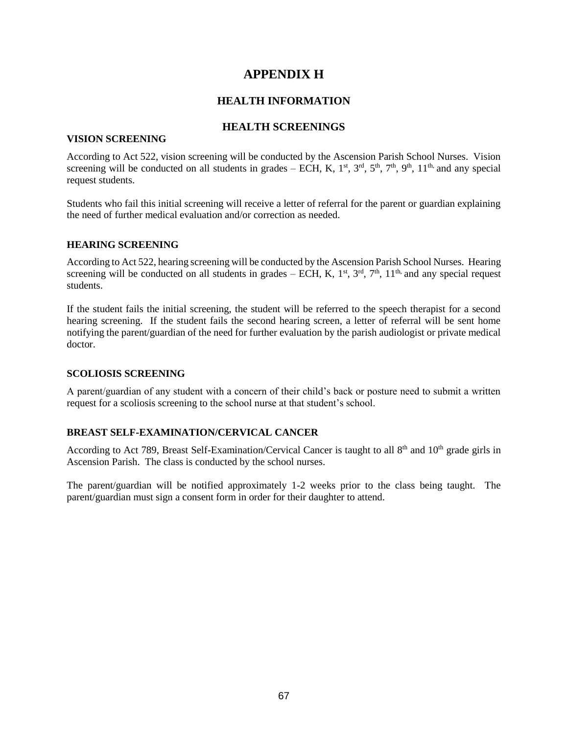## **APPENDIX H**

### **HEALTH INFORMATION**

### **HEALTH SCREENINGS**

### **VISION SCREENING**

According to Act 522, vision screening will be conducted by the Ascension Parish School Nurses. Vision screening will be conducted on all students in grades – ECH, K,  $1<sup>st</sup>$ ,  $3<sup>rd</sup>$ ,  $5<sup>th</sup>$ ,  $7<sup>th</sup>$ ,  $9<sup>th</sup>$ ,  $1<sup>th</sup>$ , and any special request students.

Students who fail this initial screening will receive a letter of referral for the parent or guardian explaining the need of further medical evaluation and/or correction as needed.

### **HEARING SCREENING**

According to Act 522, hearing screening will be conducted by the Ascension Parish School Nurses. Hearing screening will be conducted on all students in grades – ECH, K,  $1<sup>st</sup>$ ,  $3<sup>rd</sup>$ ,  $7<sup>th</sup>$ ,  $11<sup>th</sup>$ , and any special request students.

If the student fails the initial screening, the student will be referred to the speech therapist for a second hearing screening. If the student fails the second hearing screen, a letter of referral will be sent home notifying the parent/guardian of the need for further evaluation by the parish audiologist or private medical doctor.

### **SCOLIOSIS SCREENING**

A parent/guardian of any student with a concern of their child's back or posture need to submit a written request for a scoliosis screening to the school nurse at that student's school.

### **BREAST SELF-EXAMINATION/CERVICAL CANCER**

According to Act 789, Breast Self-Examination/Cervical Cancer is taught to all  $8<sup>th</sup>$  and  $10<sup>th</sup>$  grade girls in Ascension Parish. The class is conducted by the school nurses.

The parent/guardian will be notified approximately 1-2 weeks prior to the class being taught. The parent/guardian must sign a consent form in order for their daughter to attend.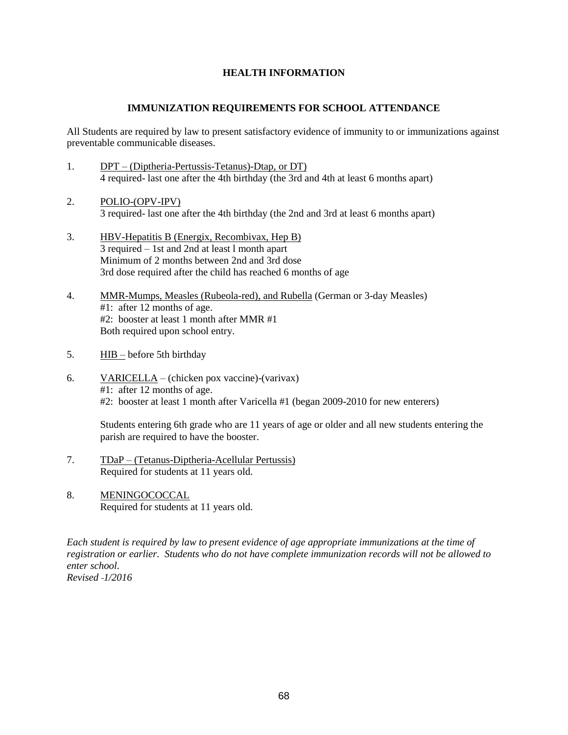### **HEALTH INFORMATION**

### **IMMUNIZATION REQUIREMENTS FOR SCHOOL ATTENDANCE**

All Students are required by law to present satisfactory evidence of immunity to or immunizations against preventable communicable diseases.

- 1. DPT (Diptheria-Pertussis-Tetanus)-Dtap, or DT) 4 required- last one after the 4th birthday (the 3rd and 4th at least 6 months apart)
- 2. POLIO-(OPV-IPV) 3 required- last one after the 4th birthday (the 2nd and 3rd at least 6 months apart)
- 3. HBV-Hepatitis B (Energix, Recombivax, Hep B) 3 required – 1st and 2nd at least l month apart Minimum of 2 months between 2nd and 3rd dose 3rd dose required after the child has reached 6 months of age
- 4. MMR-Mumps, Measles (Rubeola-red), and Rubella (German or 3-day Measles) #1: after 12 months of age. #2: booster at least 1 month after MMR #1 Both required upon school entry.
- 5. HIB before 5th birthday
- 6. VARICELLA (chicken pox vaccine)-(varivax) #1: after 12 months of age. #2: booster at least 1 month after Varicella #1 (began 2009-2010 for new enterers)

Students entering 6th grade who are 11 years of age or older and all new students entering the parish are required to have the booster.

- 7. TDaP (Tetanus-Diptheria-Acellular Pertussis) Required for students at 11 years old.
- 8. MENINGOCOCCAL Required for students at 11 years old.

*Each student is required by law to present evidence of age appropriate immunizations at the time of registration or earlier. Students who do not have complete immunization records will not be allowed to enter school. Revised 1/2016*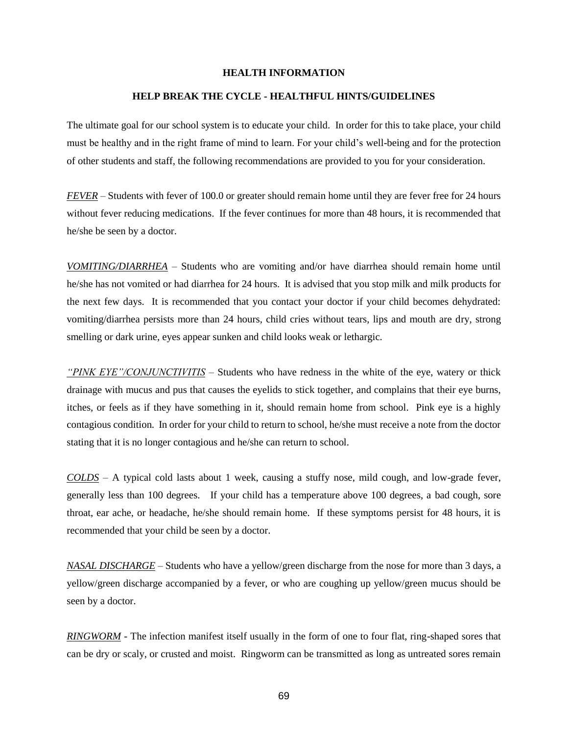#### **HEALTH INFORMATION**

#### **HELP BREAK THE CYCLE - HEALTHFUL HINTS/GUIDELINES**

The ultimate goal for our school system is to educate your child. In order for this to take place, your child must be healthy and in the right frame of mind to learn. For your child's well-being and for the protection of other students and staff, the following recommendations are provided to you for your consideration.

*FEVER* – Students with fever of 100.0 or greater should remain home until they are fever free for 24 hours without fever reducing medications. If the fever continues for more than 48 hours, it is recommended that he/she be seen by a doctor.

*VOMITING/DIARRHEA* – Students who are vomiting and/or have diarrhea should remain home until he/she has not vomited or had diarrhea for 24 hours. It is advised that you stop milk and milk products for the next few days. It is recommended that you contact your doctor if your child becomes dehydrated: vomiting/diarrhea persists more than 24 hours, child cries without tears, lips and mouth are dry, strong smelling or dark urine, eyes appear sunken and child looks weak or lethargic.

*"PINK EYE"/CONJUNCTIVITIS* – Students who have redness in the white of the eye, watery or thick drainage with mucus and pus that causes the eyelids to stick together, and complains that their eye burns, itches, or feels as if they have something in it, should remain home from school. Pink eye is a highly contagious condition. In order for your child to return to school, he/she must receive a note from the doctor stating that it is no longer contagious and he/she can return to school.

*COLDS* – A typical cold lasts about 1 week, causing a stuffy nose, mild cough, and low-grade fever, generally less than 100 degrees. If your child has a temperature above 100 degrees, a bad cough, sore throat, ear ache, or headache, he/she should remain home. If these symptoms persist for 48 hours, it is recommended that your child be seen by a doctor.

*NASAL DISCHARGE* – Students who have a yellow/green discharge from the nose for more than 3 days, a yellow/green discharge accompanied by a fever, or who are coughing up yellow/green mucus should be seen by a doctor.

*RINGWORM -* The infection manifest itself usually in the form of one to four flat, ring-shaped sores that can be dry or scaly, or crusted and moist. Ringworm can be transmitted as long as untreated sores remain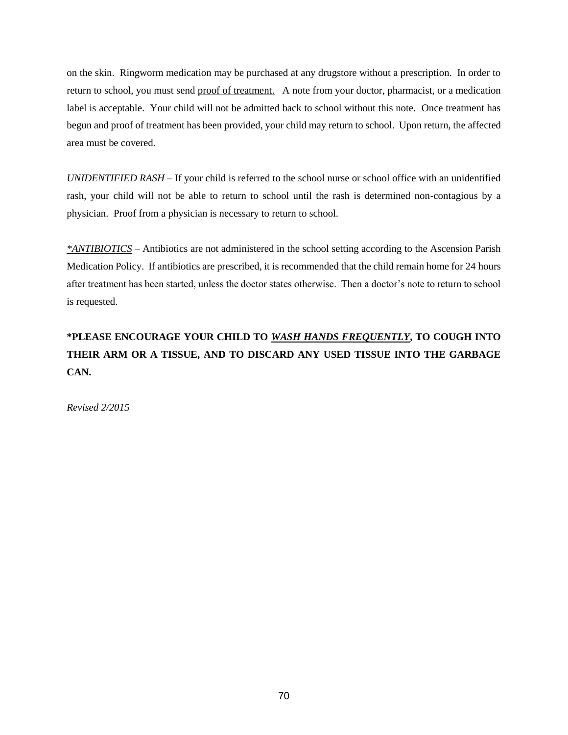on the skin. Ringworm medication may be purchased at any drugstore without a prescription. In order to return to school, you must send proof of treatment. A note from your doctor, pharmacist, or a medication label is acceptable. Your child will not be admitted back to school without this note. Once treatment has begun and proof of treatment has been provided, your child may return to school. Upon return, the affected area must be covered.

*UNIDENTIFIED RASH* – If your child is referred to the school nurse or school office with an unidentified rash, your child will not be able to return to school until the rash is determined non-contagious by a physician. Proof from a physician is necessary to return to school.

*\*ANTIBIOTICS* – Antibiotics are not administered in the school setting according to the Ascension Parish Medication Policy. If antibiotics are prescribed, it is recommended that the child remain home for 24 hours after treatment has been started, unless the doctor states otherwise. Then a doctor's note to return to school is requested.

# **\*PLEASE ENCOURAGE YOUR CHILD TO** *WASH HANDS FREQUENTLY***, TO COUGH INTO THEIR ARM OR A TISSUE, AND TO DISCARD ANY USED TISSUE INTO THE GARBAGE CAN.**

*Revised 2/2015*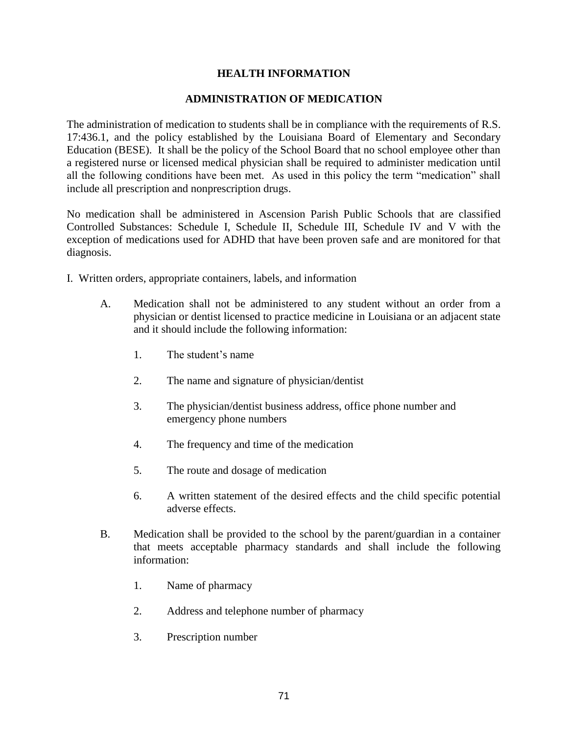### **HEALTH INFORMATION**

### **ADMINISTRATION OF MEDICATION**

The administration of medication to students shall be in compliance with the requirements of R.S. 17:436.1, and the policy established by the Louisiana Board of Elementary and Secondary Education (BESE). It shall be the policy of the School Board that no school employee other than a registered nurse or licensed medical physician shall be required to administer medication until all the following conditions have been met. As used in this policy the term "medication" shall include all prescription and nonprescription drugs.

No medication shall be administered in Ascension Parish Public Schools that are classified Controlled Substances: Schedule I, Schedule II, Schedule III, Schedule IV and V with the exception of medications used for ADHD that have been proven safe and are monitored for that diagnosis.

- I. Written orders, appropriate containers, labels, and information
	- A. Medication shall not be administered to any student without an order from a physician or dentist licensed to practice medicine in Louisiana or an adjacent state and it should include the following information:
		- 1. The student's name
		- 2. The name and signature of physician/dentist
		- 3. The physician/dentist business address, office phone number and emergency phone numbers
		- 4. The frequency and time of the medication
		- 5. The route and dosage of medication
		- 6. A written statement of the desired effects and the child specific potential adverse effects.
	- B. Medication shall be provided to the school by the parent/guardian in a container that meets acceptable pharmacy standards and shall include the following information:
		- 1. Name of pharmacy
		- 2. Address and telephone number of pharmacy
		- 3. Prescription number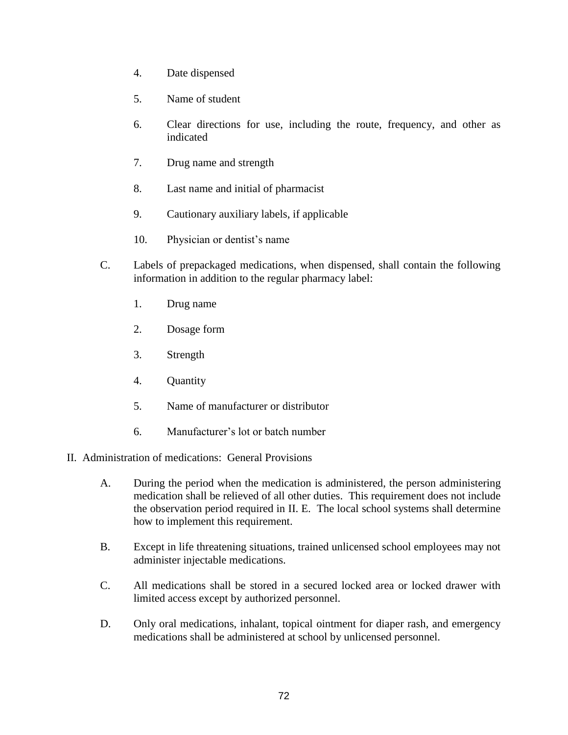- 4. Date dispensed
- 5. Name of student
- 6. Clear directions for use, including the route, frequency, and other as indicated
- 7. Drug name and strength
- 8. Last name and initial of pharmacist
- 9. Cautionary auxiliary labels, if applicable
- 10. Physician or dentist's name
- C. Labels of prepackaged medications, when dispensed, shall contain the following information in addition to the regular pharmacy label:
	- 1. Drug name
	- 2. Dosage form
	- 3. Strength
	- 4. Quantity
	- 5. Name of manufacturer or distributor
	- 6. Manufacturer's lot or batch number
- II. Administration of medications: General Provisions
	- A. During the period when the medication is administered, the person administering medication shall be relieved of all other duties. This requirement does not include the observation period required in II. E. The local school systems shall determine how to implement this requirement.
	- B. Except in life threatening situations, trained unlicensed school employees may not administer injectable medications.
	- C. All medications shall be stored in a secured locked area or locked drawer with limited access except by authorized personnel.
	- D. Only oral medications, inhalant, topical ointment for diaper rash, and emergency medications shall be administered at school by unlicensed personnel.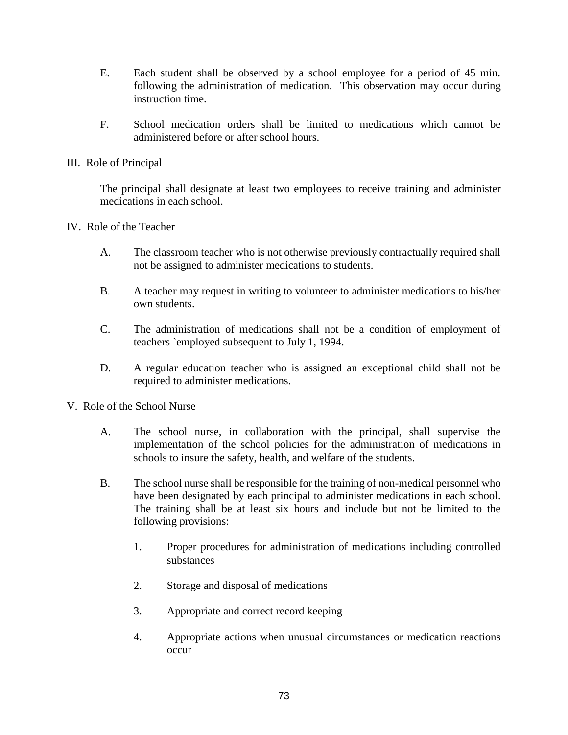- E. Each student shall be observed by a school employee for a period of 45 min. following the administration of medication. This observation may occur during instruction time.
- F. School medication orders shall be limited to medications which cannot be administered before or after school hours.
- III. Role of Principal

The principal shall designate at least two employees to receive training and administer medications in each school.

- IV. Role of the Teacher
	- A. The classroom teacher who is not otherwise previously contractually required shall not be assigned to administer medications to students.
	- B. A teacher may request in writing to volunteer to administer medications to his/her own students.
	- C. The administration of medications shall not be a condition of employment of teachers `employed subsequent to July 1, 1994.
	- D. A regular education teacher who is assigned an exceptional child shall not be required to administer medications.
- V. Role of the School Nurse
	- A. The school nurse, in collaboration with the principal, shall supervise the implementation of the school policies for the administration of medications in schools to insure the safety, health, and welfare of the students.
	- B. The school nurse shall be responsible for the training of non-medical personnel who have been designated by each principal to administer medications in each school. The training shall be at least six hours and include but not be limited to the following provisions:
		- 1. Proper procedures for administration of medications including controlled substances
		- 2. Storage and disposal of medications
		- 3. Appropriate and correct record keeping
		- 4. Appropriate actions when unusual circumstances or medication reactions occur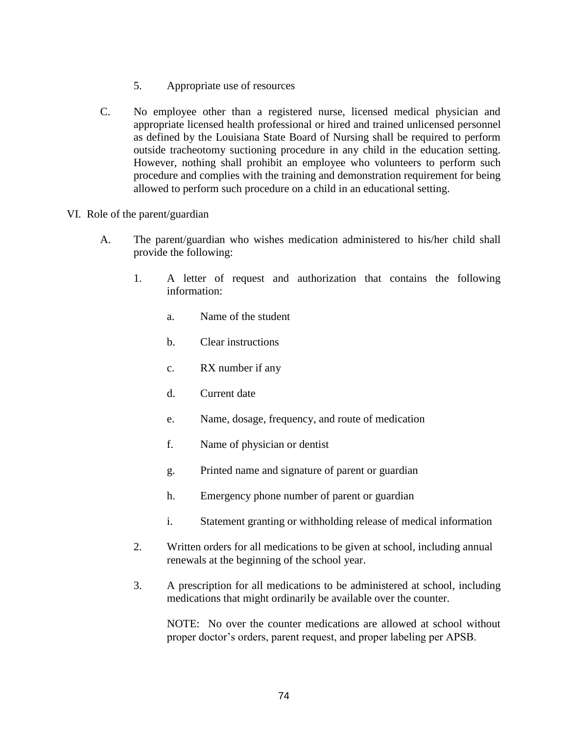- 5. Appropriate use of resources
- C. No employee other than a registered nurse, licensed medical physician and appropriate licensed health professional or hired and trained unlicensed personnel as defined by the Louisiana State Board of Nursing shall be required to perform outside tracheotomy suctioning procedure in any child in the education setting. However, nothing shall prohibit an employee who volunteers to perform such procedure and complies with the training and demonstration requirement for being allowed to perform such procedure on a child in an educational setting.
- VI. Role of the parent/guardian
	- A. The parent/guardian who wishes medication administered to his/her child shall provide the following:
		- 1. A letter of request and authorization that contains the following information:
			- a. Name of the student
			- b. Clear instructions
			- c. RX number if any
			- d. Current date
			- e. Name, dosage, frequency, and route of medication
			- f. Name of physician or dentist
			- g. Printed name and signature of parent or guardian
			- h. Emergency phone number of parent or guardian
			- i. Statement granting or withholding release of medical information
		- 2. Written orders for all medications to be given at school, including annual renewals at the beginning of the school year.
		- 3. A prescription for all medications to be administered at school, including medications that might ordinarily be available over the counter.

NOTE: No over the counter medications are allowed at school without proper doctor's orders, parent request, and proper labeling per APSB.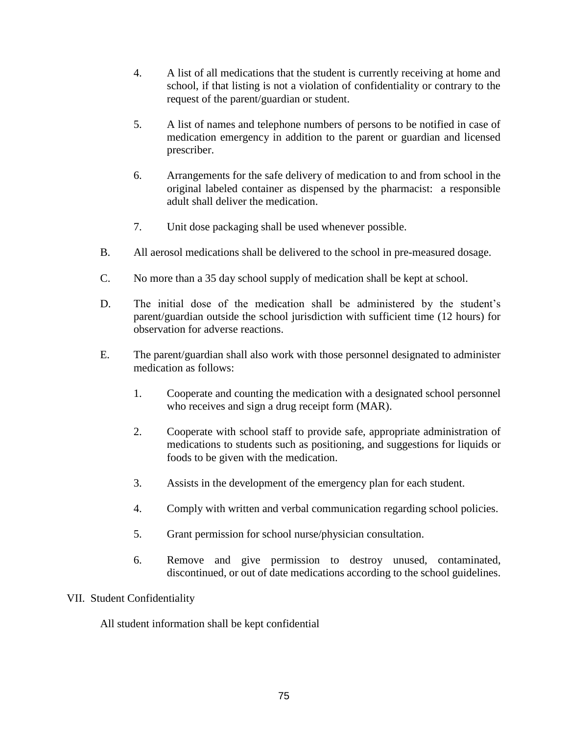- 4. A list of all medications that the student is currently receiving at home and school, if that listing is not a violation of confidentiality or contrary to the request of the parent/guardian or student.
- 5. A list of names and telephone numbers of persons to be notified in case of medication emergency in addition to the parent or guardian and licensed prescriber.
- 6. Arrangements for the safe delivery of medication to and from school in the original labeled container as dispensed by the pharmacist: a responsible adult shall deliver the medication.
- 7. Unit dose packaging shall be used whenever possible.
- B. All aerosol medications shall be delivered to the school in pre-measured dosage.
- C. No more than a 35 day school supply of medication shall be kept at school.
- D. The initial dose of the medication shall be administered by the student's parent/guardian outside the school jurisdiction with sufficient time (12 hours) for observation for adverse reactions.
- E. The parent/guardian shall also work with those personnel designated to administer medication as follows:
	- 1. Cooperate and counting the medication with a designated school personnel who receives and sign a drug receipt form (MAR).
	- 2. Cooperate with school staff to provide safe, appropriate administration of medications to students such as positioning, and suggestions for liquids or foods to be given with the medication.
	- 3. Assists in the development of the emergency plan for each student.
	- 4. Comply with written and verbal communication regarding school policies.
	- 5. Grant permission for school nurse/physician consultation.
	- 6. Remove and give permission to destroy unused, contaminated, discontinued, or out of date medications according to the school guidelines.

### VII. Student Confidentiality

All student information shall be kept confidential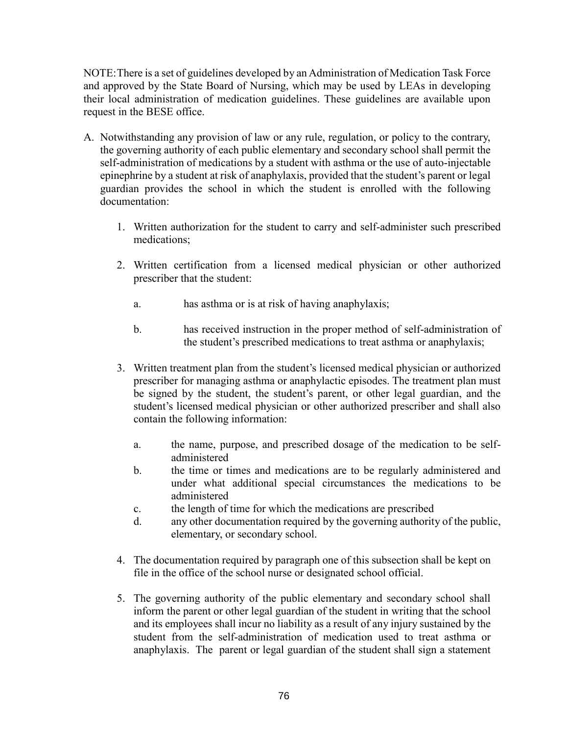NOTE:There is a set of guidelines developed by an Administration of Medication Task Force and approved by the State Board of Nursing, which may be used by LEAs in developing their local administration of medication guidelines. These guidelines are available upon request in the BESE office.

- A. Notwithstanding any provision of law or any rule, regulation, or policy to the contrary, the governing authority of each public elementary and secondary school shall permit the self-administration of medications by a student with asthma or the use of auto-injectable epinephrine by a student at risk of anaphylaxis, provided that the student's parent or legal guardian provides the school in which the student is enrolled with the following documentation:
	- 1. Written authorization for the student to carry and self-administer such prescribed medications;
	- 2. Written certification from a licensed medical physician or other authorized prescriber that the student:
		- a. has asthma or is at risk of having anaphylaxis;
		- b. has received instruction in the proper method of self-administration of the student's prescribed medications to treat asthma or anaphylaxis;
	- 3. Written treatment plan from the student's licensed medical physician or authorized prescriber for managing asthma or anaphylactic episodes. The treatment plan must be signed by the student, the student's parent, or other legal guardian, and the student's licensed medical physician or other authorized prescriber and shall also contain the following information:
		- a. the name, purpose, and prescribed dosage of the medication to be selfadministered
		- b. the time or times and medications are to be regularly administered and under what additional special circumstances the medications to be administered
		- c. the length of time for which the medications are prescribed
		- d. any other documentation required by the governing authority of the public, elementary, or secondary school.
	- 4. The documentation required by paragraph one of this subsection shall be kept on file in the office of the school nurse or designated school official.
	- 5. The governing authority of the public elementary and secondary school shall inform the parent or other legal guardian of the student in writing that the school and its employees shall incur no liability as a result of any injury sustained by the student from the self-administration of medication used to treat asthma or anaphylaxis. The parent or legal guardian of the student shall sign a statement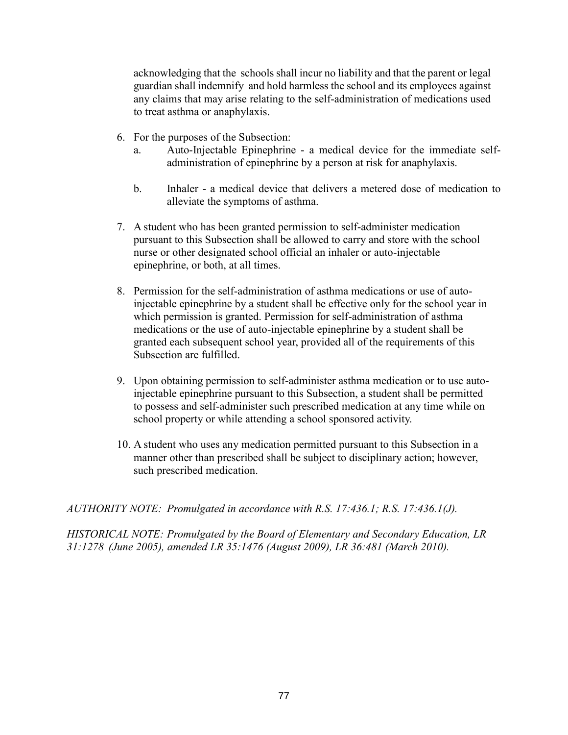acknowledging that the schools shall incur no liability and that the parent or legal guardian shall indemnify and hold harmless the school and its employees against any claims that may arise relating to the self-administration of medications used to treat asthma or anaphylaxis.

- 6. For the purposes of the Subsection:
	- a. Auto-Injectable Epinephrine a medical device for the immediate selfadministration of epinephrine by a person at risk for anaphylaxis.
	- b. Inhaler a medical device that delivers a metered dose of medication to alleviate the symptoms of asthma.
- 7. A student who has been granted permission to self-administer medication pursuant to this Subsection shall be allowed to carry and store with the school nurse or other designated school official an inhaler or auto-injectable epinephrine, or both, at all times.
- 8. Permission for the self-administration of asthma medications or use of autoinjectable epinephrine by a student shall be effective only for the school year in which permission is granted. Permission for self-administration of asthma medications or the use of auto-injectable epinephrine by a student shall be granted each subsequent school year, provided all of the requirements of this Subsection are fulfilled.
- 9. Upon obtaining permission to self-administer asthma medication or to use autoinjectable epinephrine pursuant to this Subsection, a student shall be permitted to possess and self-administer such prescribed medication at any time while on school property or while attending a school sponsored activity.
- 10. A student who uses any medication permitted pursuant to this Subsection in a manner other than prescribed shall be subject to disciplinary action; however, such prescribed medication.

*AUTHORITY NOTE: Promulgated in accordance with R.S. 17:436.1; R.S. 17:436.1(J).*

*HISTORICAL NOTE: Promulgated by the Board of Elementary and Secondary Education, LR 31:1278 (June 2005), amended LR 35:1476 (August 2009), LR 36:481 (March 2010).*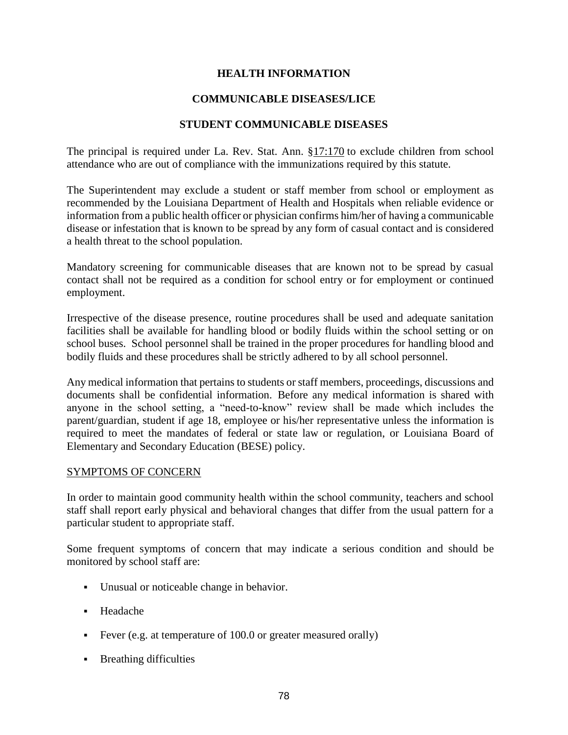### **HEALTH INFORMATION**

### **COMMUNICABLE DISEASES/LICE**

### **STUDENT COMMUNICABLE DISEASES**

The principal is required under La. Rev. Stat. Ann. [§17:170](javascript:void(0);) to exclude children from school attendance who are out of compliance with the immunizations required by this statute.

The Superintendent may exclude a student or staff member from school or employment as recommended by the Louisiana Department of Health and Hospitals when reliable evidence or information from a public health officer or physician confirms him/her of having a communicable disease or infestation that is known to be spread by any form of casual contact and is considered a health threat to the school population.

Mandatory screening for communicable diseases that are known not to be spread by casual contact shall not be required as a condition for school entry or for employment or continued employment.

Irrespective of the disease presence, routine procedures shall be used and adequate sanitation facilities shall be available for handling blood or bodily fluids within the school setting or on school buses. School personnel shall be trained in the proper procedures for handling blood and bodily fluids and these procedures shall be strictly adhered to by all school personnel.

Any medical information that pertains to students or staff members, proceedings, discussions and documents shall be confidential information. Before any medical information is shared with anyone in the school setting, a "need-to-know" review shall be made which includes the parent/guardian, student if age 18, employee or his/her representative unless the information is required to meet the mandates of federal or state law or regulation, or Louisiana Board of Elementary and Secondary Education (BESE) policy.

### SYMPTOMS OF CONCERN

In order to maintain good community health within the school community, teachers and school staff shall report early physical and behavioral changes that differ from the usual pattern for a particular student to appropriate staff.

Some frequent symptoms of concern that may indicate a serious condition and should be monitored by school staff are:

- Unusual or noticeable change in behavior.
- Headache
- Fever (e.g. at temperature of 100.0 or greater measured orally)
- **Breathing difficulties**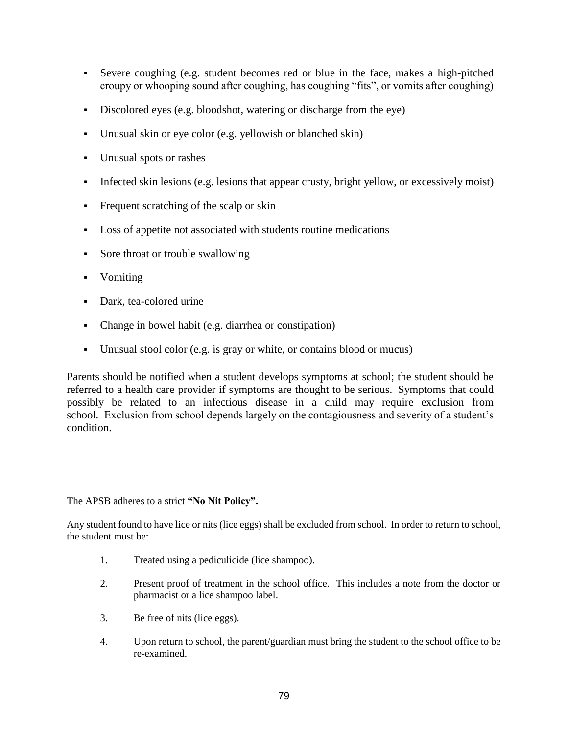- Severe coughing (e.g. student becomes red or blue in the face, makes a high-pitched croupy or whooping sound after coughing, has coughing "fits", or vomits after coughing)
- Discolored eyes (e.g. bloodshot, watering or discharge from the eye)
- Unusual skin or eye color (e.g. yellowish or blanched skin)
- Unusual spots or rashes
- Infected skin lesions (e.g. lesions that appear crusty, bright yellow, or excessively moist)
- Frequent scratching of the scalp or skin
- Loss of appetite not associated with students routine medications
- Sore throat or trouble swallowing
- Vomiting
- Dark, tea-colored urine
- Change in bowel habit (e.g. diarrhea or constipation)
- Unusual stool color (e.g. is gray or white, or contains blood or mucus)

Parents should be notified when a student develops symptoms at school; the student should be referred to a health care provider if symptoms are thought to be serious. Symptoms that could possibly be related to an infectious disease in a child may require exclusion from school. Exclusion from school depends largely on the contagiousness and severity of a student's condition.

The APSB adheres to a strict **"No Nit Policy".**

Any student found to have lice or nits (lice eggs) shall be excluded from school. In order to return to school, the student must be:

- 1. Treated using a pediculicide (lice shampoo).
- 2. Present proof of treatment in the school office. This includes a note from the doctor or pharmacist or a lice shampoo label.
- 3. Be free of nits (lice eggs).
- 4. Upon return to school, the parent/guardian must bring the student to the school office to be re-examined.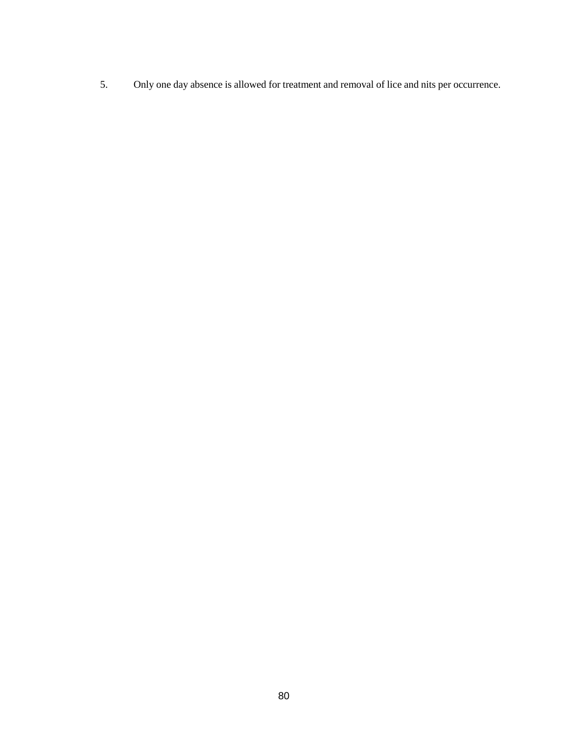5. Only one day absence is allowed for treatment and removal of lice and nits per occurrence.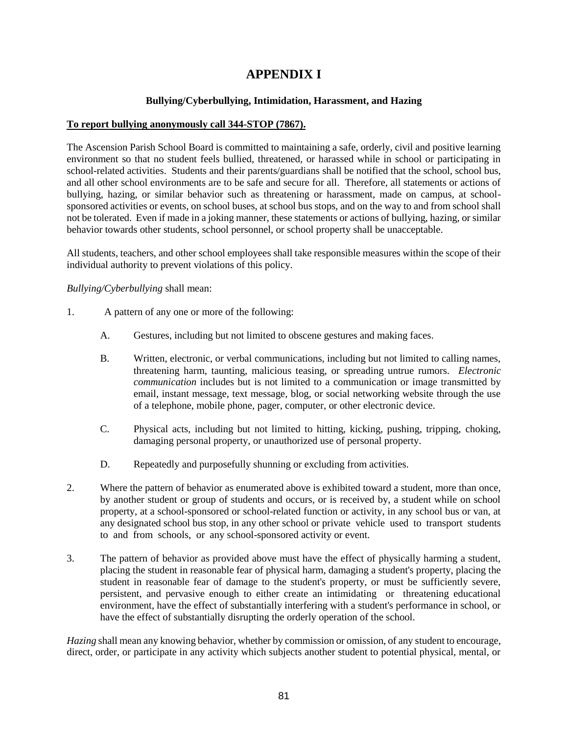## **APPENDIX I**

### **Bullying/Cyberbullying, Intimidation, Harassment, and Hazing**

#### **To report bullying anonymously call 344-STOP (7867).**

The Ascension Parish School Board is committed to maintaining a safe, orderly, civil and positive learning environment so that no student feels bullied, threatened, or harassed while in school or participating in school-related activities. Students and their parents/guardians shall be notified that the school, school bus, and all other school environments are to be safe and secure for all. Therefore, all statements or actions of bullying, hazing, or similar behavior such as threatening or harassment, made on campus, at schoolsponsored activities or events, on school buses, at school bus stops, and on the way to and from school shall not be tolerated. Even if made in a joking manner, these statements or actions of bullying, hazing, or similar behavior towards other students, school personnel, or school property shall be unacceptable.

All students, teachers, and other school employees shall take responsible measures within the scope of their individual authority to prevent violations of this policy.

*Bullying/Cyberbullying* shall mean:

- 1. A pattern of any one or more of the following:
	- A. Gestures, including but not limited to obscene gestures and making faces.
	- B. Written, electronic, or verbal communications, including but not limited to calling names, threatening harm, taunting, malicious teasing, or spreading untrue rumors. *Electronic communication* includes but is not limited to a communication or image transmitted by email, instant message, text message, blog, or social networking website through the use of a telephone, mobile phone, pager, computer, or other electronic device.
	- C. Physical acts, including but not limited to hitting, kicking, pushing, tripping, choking, damaging personal property, or unauthorized use of personal property.
	- D. Repeatedly and purposefully shunning or excluding from activities.
- 2. Where the pattern of behavior as enumerated above is exhibited toward a student, more than once, by another student or group of students and occurs, or is received by, a student while on school property, at a school-sponsored or school-related function or activity, in any school bus or van, at any designated school bus stop, in any other school or private vehicle used to transport students to and from schools, or any school-sponsored activity or event.
- 3. The pattern of behavior as provided above must have the effect of physically harming a student, placing the student in reasonable fear of physical harm, damaging a student's property, placing the student in reasonable fear of damage to the student's property, or must be sufficiently severe, persistent, and pervasive enough to either create an intimidating or threatening educational environment, have the effect of substantially interfering with a student's performance in school, or have the effect of substantially disrupting the orderly operation of the school.

*Hazing* shall mean any knowing behavior, whether by commission or omission, of any student to encourage, direct, order, or participate in any activity which subjects another student to potential physical, mental, or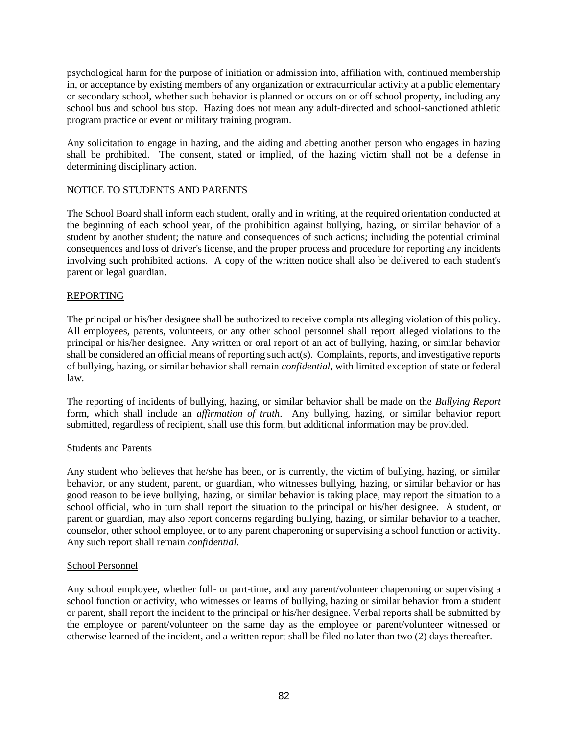psychological harm for the purpose of initiation or admission into, affiliation with, continued membership in, or acceptance by existing members of any organization or extracurricular activity at a public elementary or secondary school, whether such behavior is planned or occurs on or off school property, including any school bus and school bus stop. Hazing does not mean any adult-directed and school-sanctioned athletic program practice or event or military training program.

Any solicitation to engage in hazing, and the aiding and abetting another person who engages in hazing shall be prohibited. The consent, stated or implied, of the hazing victim shall not be a defense in determining disciplinary action.

### NOTICE TO STUDENTS AND PARENTS

The School Board shall inform each student, orally and in writing, at the required orientation conducted at the beginning of each school year, of the prohibition against bullying, hazing, or similar behavior of a student by another student; the nature and consequences of such actions; including the potential criminal consequences and loss of driver's license, and the proper process and procedure for reporting any incidents involving such prohibited actions. A copy of the written notice shall also be delivered to each student's parent or legal guardian.

### REPORTING

The principal or his/her designee shall be authorized to receive complaints alleging violation of this policy. All employees, parents, volunteers, or any other school personnel shall report alleged violations to the principal or his/her designee. Any written or oral report of an act of bullying, hazing, or similar behavior shall be considered an official means of reporting such act(s). Complaints, reports, and investigative reports of bullying, hazing, or similar behavior shall remain *confidential*, with limited exception of state or federal law.

The reporting of incidents of bullying, hazing, or similar behavior shall be made on the *Bullying Report* form, which shall include an *affirmation of truth*. Any bullying, hazing, or similar behavior report submitted, regardless of recipient, shall use this form, but additional information may be provided.

### Students and Parents

Any student who believes that he/she has been, or is currently, the victim of bullying, hazing, or similar behavior, or any student, parent, or guardian, who witnesses bullying, hazing, or similar behavior or has good reason to believe bullying, hazing, or similar behavior is taking place, may report the situation to a school official, who in turn shall report the situation to the principal or his/her designee. A student, or parent or guardian, may also report concerns regarding bullying, hazing, or similar behavior to a teacher, counselor, other school employee, or to any parent chaperoning or supervising a school function or activity. Any such report shall remain *confidential*.

### School Personnel

Any school employee, whether full- or part-time, and any parent/volunteer chaperoning or supervising a school function or activity, who witnesses or learns of bullying, hazing or similar behavior from a student or parent, shall report the incident to the principal or his/her designee. Verbal reports shall be submitted by the employee or parent/volunteer on the same day as the employee or parent/volunteer witnessed or otherwise learned of the incident, and a written report shall be filed no later than two (2) days thereafter.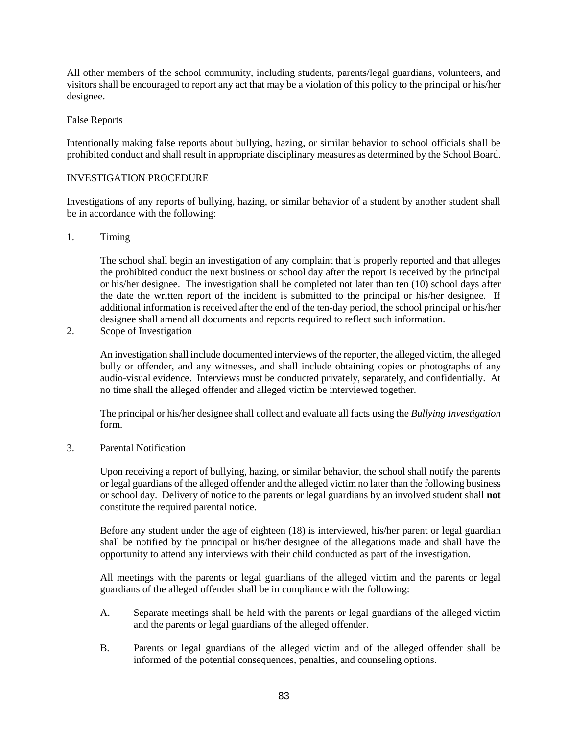All other members of the school community, including students, parents/legal guardians, volunteers, and visitors shall be encouraged to report any act that may be a violation of this policy to the principal or his/her designee.

### False Reports

Intentionally making false reports about bullying, hazing, or similar behavior to school officials shall be prohibited conduct and shall result in appropriate disciplinary measures as determined by the School Board.

### INVESTIGATION PROCEDURE

Investigations of any reports of bullying, hazing, or similar behavior of a student by another student shall be in accordance with the following:

### 1. Timing

The school shall begin an investigation of any complaint that is properly reported and that alleges the prohibited conduct the next business or school day after the report is received by the principal or his/her designee. The investigation shall be completed not later than ten (10) school days after the date the written report of the incident is submitted to the principal or his/her designee. If additional information is received after the end of the ten-day period, the school principal or his/her designee shall amend all documents and reports required to reflect such information.

2. Scope of Investigation

An investigation shall include documented interviews of the reporter, the alleged victim, the alleged bully or offender, and any witnesses, and shall include obtaining copies or photographs of any audio-visual evidence. Interviews must be conducted privately, separately, and confidentially. At no time shall the alleged offender and alleged victim be interviewed together.

The principal or his/her designee shall collect and evaluate all facts using the *Bullying Investigation* form.

3. Parental Notification

Upon receiving a report of bullying, hazing, or similar behavior, the school shall notify the parents or legal guardians of the alleged offender and the alleged victim no later than the following business or school day. Delivery of notice to the parents or legal guardians by an involved student shall **not** constitute the required parental notice.

Before any student under the age of eighteen (18) is interviewed, his/her parent or legal guardian shall be notified by the principal or his/her designee of the allegations made and shall have the opportunity to attend any interviews with their child conducted as part of the investigation.

All meetings with the parents or legal guardians of the alleged victim and the parents or legal guardians of the alleged offender shall be in compliance with the following:

- A. Separate meetings shall be held with the parents or legal guardians of the alleged victim and the parents or legal guardians of the alleged offender.
- B. Parents or legal guardians of the alleged victim and of the alleged offender shall be informed of the potential consequences, penalties, and counseling options.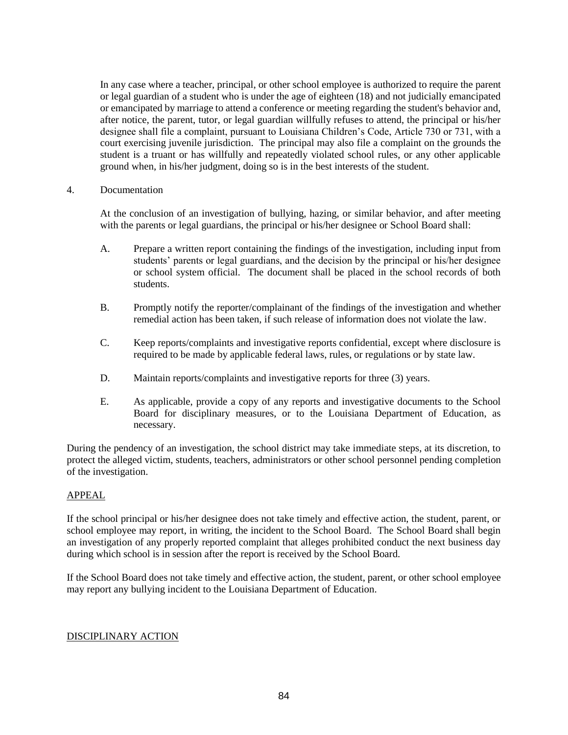In any case where a teacher, principal, or other school employee is authorized to require the parent or legal guardian of a student who is under the age of eighteen (18) and not judicially emancipated or emancipated by marriage to attend a conference or meeting regarding the student's behavior and, after notice, the parent, tutor, or legal guardian willfully refuses to attend, the principal or his/her designee shall file a complaint, pursuant to Louisiana Children's Code, Article 730 or 731, with a court exercising juvenile jurisdiction. The principal may also file a complaint on the grounds the student is a truant or has willfully and repeatedly violated school rules, or any other applicable ground when, in his/her judgment, doing so is in the best interests of the student.

4. Documentation

At the conclusion of an investigation of bullying, hazing, or similar behavior, and after meeting with the parents or legal guardians, the principal or his/her designee or School Board shall:

- A. Prepare a written report containing the findings of the investigation, including input from students' parents or legal guardians, and the decision by the principal or his/her designee or school system official. The document shall be placed in the school records of both students.
- B. Promptly notify the reporter/complainant of the findings of the investigation and whether remedial action has been taken, if such release of information does not violate the law.
- C. Keep reports/complaints and investigative reports confidential, except where disclosure is required to be made by applicable federal laws, rules, or regulations or by state law.
- D. Maintain reports/complaints and investigative reports for three (3) years.
- E. As applicable, provide a copy of any reports and investigative documents to the School Board for disciplinary measures, or to the Louisiana Department of Education, as necessary.

During the pendency of an investigation, the school district may take immediate steps, at its discretion, to protect the alleged victim, students, teachers, administrators or other school personnel pending completion of the investigation.

#### APPEAL

If the school principal or his/her designee does not take timely and effective action, the student, parent, or school employee may report, in writing, the incident to the School Board. The School Board shall begin an investigation of any properly reported complaint that alleges prohibited conduct the next business day during which school is in session after the report is received by the School Board.

If the School Board does not take timely and effective action, the student, parent, or other school employee may report any bullying incident to the Louisiana Department of Education.

### DISCIPLINARY ACTION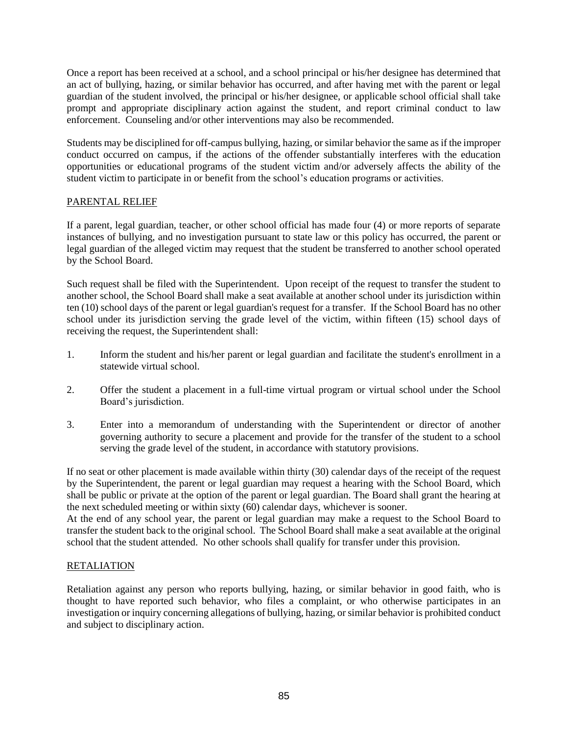Once a report has been received at a school, and a school principal or his/her designee has determined that an act of bullying, hazing, or similar behavior has occurred, and after having met with the parent or legal guardian of the student involved, the principal or his/her designee, or applicable school official shall take prompt and appropriate disciplinary action against the student, and report criminal conduct to law enforcement. Counseling and/or other interventions may also be recommended.

Students may be disciplined for off-campus bullying, hazing, or similar behavior the same as if the improper conduct occurred on campus, if the actions of the offender substantially interferes with the education opportunities or educational programs of the student victim and/or adversely affects the ability of the student victim to participate in or benefit from the school's education programs or activities.

### PARENTAL RELIEF

If a parent, legal guardian, teacher, or other school official has made four (4) or more reports of separate instances of bullying, and no investigation pursuant to state law or this policy has occurred, the parent or legal guardian of the alleged victim may request that the student be transferred to another school operated by the School Board.

Such request shall be filed with the Superintendent. Upon receipt of the request to transfer the student to another school, the School Board shall make a seat available at another school under its jurisdiction within ten (10) school days of the parent or legal guardian's request for a transfer. If the School Board has no other school under its jurisdiction serving the grade level of the victim, within fifteen (15) school days of receiving the request, the Superintendent shall:

- 1. Inform the student and his/her parent or legal guardian and facilitate the student's enrollment in a statewide virtual school.
- 2. Offer the student a placement in a full-time virtual program or virtual school under the School Board's jurisdiction.
- 3. Enter into a memorandum of understanding with the Superintendent or director of another governing authority to secure a placement and provide for the transfer of the student to a school serving the grade level of the student, in accordance with statutory provisions.

If no seat or other placement is made available within thirty (30) calendar days of the receipt of the request by the Superintendent, the parent or legal guardian may request a hearing with the School Board, which shall be public or private at the option of the parent or legal guardian. The Board shall grant the hearing at the next scheduled meeting or within sixty (60) calendar days, whichever is sooner.

At the end of any school year, the parent or legal guardian may make a request to the School Board to transfer the student back to the original school. The School Board shall make a seat available at the original school that the student attended. No other schools shall qualify for transfer under this provision.

### **RETALIATION**

Retaliation against any person who reports bullying, hazing, or similar behavior in good faith, who is thought to have reported such behavior, who files a complaint, or who otherwise participates in an investigation or inquiry concerning allegations of bullying, hazing, or similar behavior is prohibited conduct and subject to disciplinary action.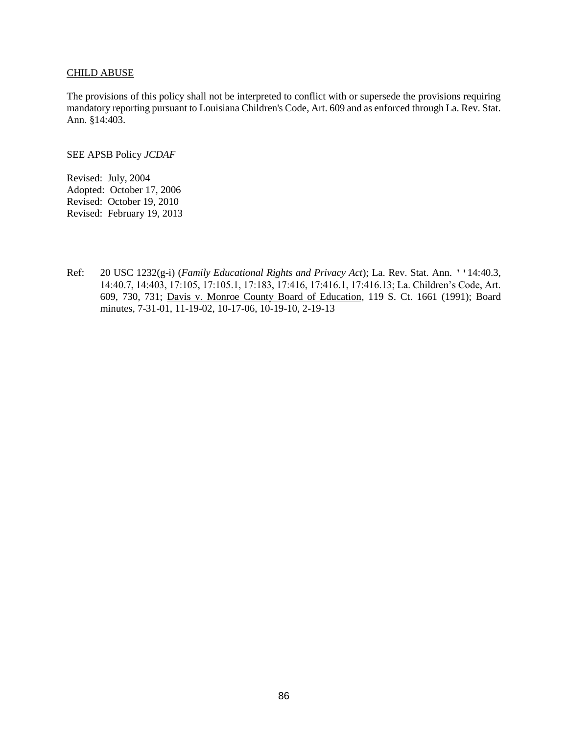#### CHILD ABUSE

The provisions of this policy shall not be interpreted to conflict with or supersede the provisions requiring mandatory reporting pursuant to Louisiana Children's Code, Art. 609 and as enforced through La. Rev. Stat. Ann. §14:403.

SEE APSB Policy *JCDAF*

Revised: July, 2004 Adopted: October 17, 2006 Revised: October 19, 2010 Revised: February 19, 2013

Ref: 20 USC 1232(g-i) (*Family Educational Rights and Privacy Act*); La. Rev. Stat. Ann. ''14:40.3, 14:40.7, 14:403, 17:105, 17:105.1, 17:183, 17:416, 17:416.1, 17:416.13; La. Children's Code, Art. 609, 730, 731; Davis v. Monroe County Board of Education, 119 S. Ct. 1661 (1991); Board minutes, 7-31-01, 11-19-02, 10-17-06, 10-19-10, 2-19-13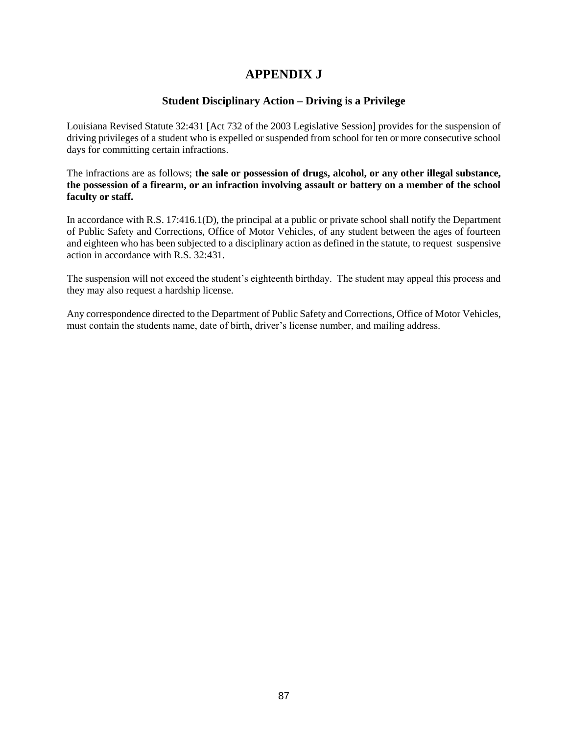## **APPENDIX J**

### **Student Disciplinary Action – Driving is a Privilege**

Louisiana Revised Statute 32:431 [Act 732 of the 2003 Legislative Session] provides for the suspension of driving privileges of a student who is expelled or suspended from school for ten or more consecutive school days for committing certain infractions.

The infractions are as follows; **the sale or possession of drugs, alcohol, or any other illegal substance, the possession of a firearm, or an infraction involving assault or battery on a member of the school faculty or staff.**

In accordance with R.S. 17:416.1(D), the principal at a public or private school shall notify the Department of Public Safety and Corrections, Office of Motor Vehicles, of any student between the ages of fourteen and eighteen who has been subjected to a disciplinary action as defined in the statute, to request suspensive action in accordance with R.S. 32:431.

The suspension will not exceed the student's eighteenth birthday. The student may appeal this process and they may also request a hardship license.

Any correspondence directed to the Department of Public Safety and Corrections, Office of Motor Vehicles, must contain the students name, date of birth, driver's license number, and mailing address.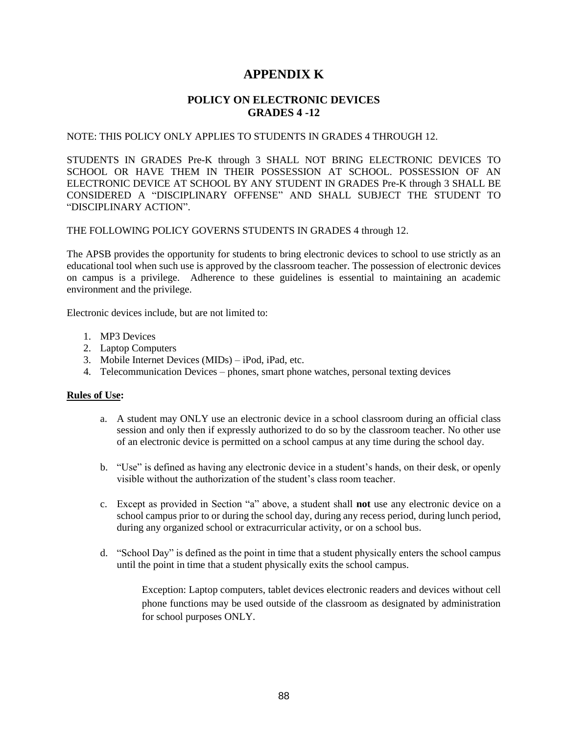## **APPENDIX K**

### **POLICY ON ELECTRONIC DEVICES GRADES 4 -12**

#### NOTE: THIS POLICY ONLY APPLIES TO STUDENTS IN GRADES 4 THROUGH 12.

STUDENTS IN GRADES Pre-K through 3 SHALL NOT BRING ELECTRONIC DEVICES TO SCHOOL OR HAVE THEM IN THEIR POSSESSION AT SCHOOL. POSSESSION OF AN ELECTRONIC DEVICE AT SCHOOL BY ANY STUDENT IN GRADES Pre-K through 3 SHALL BE CONSIDERED A "DISCIPLINARY OFFENSE" AND SHALL SUBJECT THE STUDENT TO "DISCIPLINARY ACTION".

THE FOLLOWING POLICY GOVERNS STUDENTS IN GRADES 4 through 12.

The APSB provides the opportunity for students to bring electronic devices to school to use strictly as an educational tool when such use is approved by the classroom teacher. The possession of electronic devices on campus is a privilege. Adherence to these guidelines is essential to maintaining an academic environment and the privilege.

Electronic devices include, but are not limited to:

- 1. MP3 Devices
- 2. Laptop Computers
- 3. Mobile Internet Devices (MIDs) iPod, iPad, etc.
- 4. Telecommunication Devices phones, smart phone watches, personal texting devices

### **Rules of Use:**

- a. A student may ONLY use an electronic device in a school classroom during an official class session and only then if expressly authorized to do so by the classroom teacher. No other use of an electronic device is permitted on a school campus at any time during the school day.
- b. "Use" is defined as having any electronic device in a student's hands, on their desk, or openly visible without the authorization of the student's class room teacher.
- c. Except as provided in Section "a" above, a student shall **not** use any electronic device on a school campus prior to or during the school day, during any recess period, during lunch period, during any organized school or extracurricular activity, or on a school bus.
- d. "School Day" is defined as the point in time that a student physically enters the school campus until the point in time that a student physically exits the school campus.

Exception: Laptop computers, tablet devices electronic readers and devices without cell phone functions may be used outside of the classroom as designated by administration for school purposes ONLY.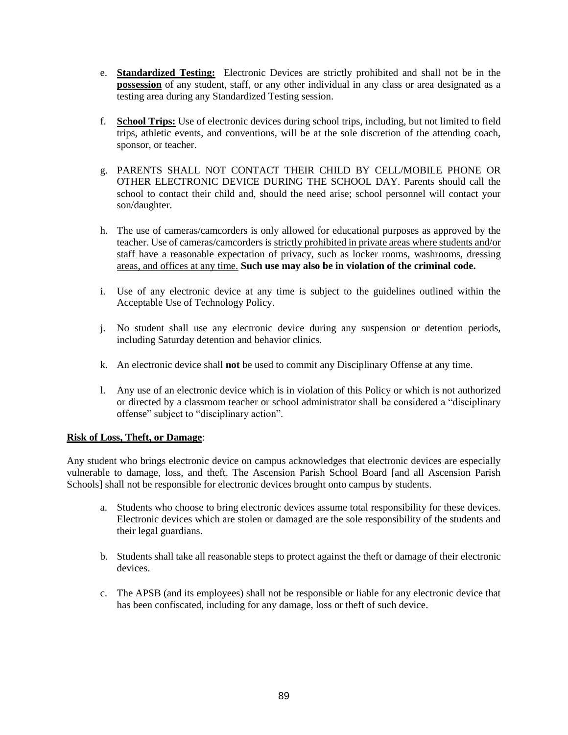- e. **Standardized Testing:** Electronic Devices are strictly prohibited and shall not be in the **possession** of any student, staff, or any other individual in any class or area designated as a testing area during any Standardized Testing session.
- f. **School Trips:** Use of electronic devices during school trips, including, but not limited to field trips, athletic events, and conventions, will be at the sole discretion of the attending coach, sponsor, or teacher.
- g. PARENTS SHALL NOT CONTACT THEIR CHILD BY CELL/MOBILE PHONE OR OTHER ELECTRONIC DEVICE DURING THE SCHOOL DAY. Parents should call the school to contact their child and, should the need arise; school personnel will contact your son/daughter.
- h. The use of cameras/camcorders is only allowed for educational purposes as approved by the teacher. Use of cameras/camcorders is strictly prohibited in private areas where students and/or staff have a reasonable expectation of privacy, such as locker rooms, washrooms, dressing areas, and offices at any time. **Such use may also be in violation of the criminal code.**
- i. Use of any electronic device at any time is subject to the guidelines outlined within the Acceptable Use of Technology Policy.
- j. No student shall use any electronic device during any suspension or detention periods, including Saturday detention and behavior clinics.
- k. An electronic device shall **not** be used to commit any Disciplinary Offense at any time.
- l. Any use of an electronic device which is in violation of this Policy or which is not authorized or directed by a classroom teacher or school administrator shall be considered a "disciplinary offense" subject to "disciplinary action".

### **Risk of Loss, Theft, or Damage**:

Any student who brings electronic device on campus acknowledges that electronic devices are especially vulnerable to damage, loss, and theft. The Ascension Parish School Board [and all Ascension Parish Schools] shall not be responsible for electronic devices brought onto campus by students.

- a. Students who choose to bring electronic devices assume total responsibility for these devices. Electronic devices which are stolen or damaged are the sole responsibility of the students and their legal guardians.
- b. Students shall take all reasonable steps to protect against the theft or damage of their electronic devices.
- c. The APSB (and its employees) shall not be responsible or liable for any electronic device that has been confiscated, including for any damage, loss or theft of such device.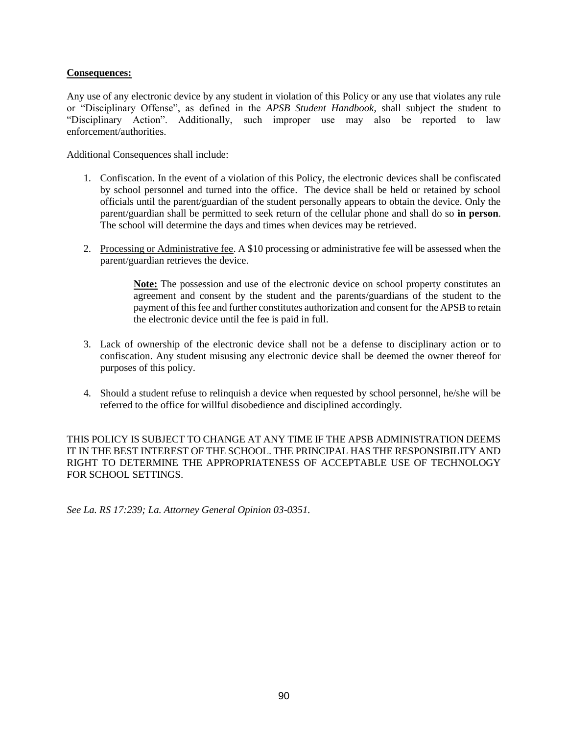### **Consequences:**

Any use of any electronic device by any student in violation of this Policy or any use that violates any rule or "Disciplinary Offense", as defined in the *APSB Student Handbook*, shall subject the student to "Disciplinary Action". Additionally, such improper use may also be reported to law enforcement/authorities.

Additional Consequences shall include:

- 1. Confiscation. In the event of a violation of this Policy, the electronic devices shall be confiscated by school personnel and turned into the office. The device shall be held or retained by school officials until the parent/guardian of the student personally appears to obtain the device. Only the parent/guardian shall be permitted to seek return of the cellular phone and shall do so **in person**. The school will determine the days and times when devices may be retrieved.
- 2. Processing or Administrative fee. A \$10 processing or administrative fee will be assessed when the parent/guardian retrieves the device.

**Note:** The possession and use of the electronic device on school property constitutes an agreement and consent by the student and the parents/guardians of the student to the payment of this fee and further constitutes authorization and consent for the APSB to retain the electronic device until the fee is paid in full.

- 3. Lack of ownership of the electronic device shall not be a defense to disciplinary action or to confiscation. Any student misusing any electronic device shall be deemed the owner thereof for purposes of this policy.
- 4. Should a student refuse to relinquish a device when requested by school personnel, he/she will be referred to the office for willful disobedience and disciplined accordingly.

THIS POLICY IS SUBJECT TO CHANGE AT ANY TIME IF THE APSB ADMINISTRATION DEEMS IT IN THE BEST INTEREST OF THE SCHOOL. THE PRINCIPAL HAS THE RESPONSIBILITY AND RIGHT TO DETERMINE THE APPROPRIATENESS OF ACCEPTABLE USE OF TECHNOLOGY FOR SCHOOL SETTINGS.

*See La. RS 17:239; La. Attorney General Opinion 03-0351.*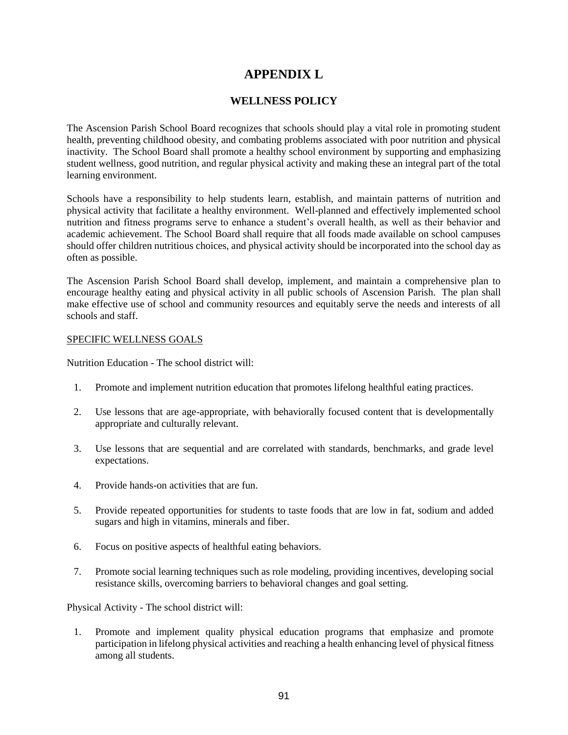## **APPENDIX L**

### **WELLNESS POLICY**

The Ascension Parish School Board recognizes that schools should play a vital role in promoting student health, preventing childhood obesity, and combating problems associated with poor nutrition and physical inactivity. The School Board shall promote a healthy school environment by supporting and emphasizing student wellness, good nutrition, and regular physical activity and making these an integral part of the total learning environment.

Schools have a responsibility to help students learn, establish, and maintain patterns of nutrition and physical activity that facilitate a healthy environment. Well-planned and effectively implemented school nutrition and fitness programs serve to enhance a student's overall health, as well as their behavior and academic achievement. The School Board shall require that all foods made available on school campuses should offer children nutritious choices, and physical activity should be incorporated into the school day as often as possible.

The Ascension Parish School Board shall develop, implement, and maintain a comprehensive plan to encourage healthy eating and physical activity in all public schools of Ascension Parish. The plan shall make effective use of school and community resources and equitably serve the needs and interests of all schools and staff.

#### SPECIFIC WELLNESS GOALS

Nutrition Education - The school district will:

- 1. Promote and implement nutrition education that promotes lifelong healthful eating practices.
- 2. Use lessons that are age-appropriate, with behaviorally focused content that is developmentally appropriate and culturally relevant.
- 3. Use lessons that are sequential and are correlated with standards, benchmarks, and grade level expectations.
- 4. Provide hands-on activities that are fun.
- 5. Provide repeated opportunities for students to taste foods that are low in fat, sodium and added sugars and high in vitamins, minerals and fiber.
- 6. Focus on positive aspects of healthful eating behaviors.
- 7. Promote social learning techniques such as role modeling, providing incentives, developing social resistance skills, overcoming barriers to behavioral changes and goal setting.

Physical Activity - The school district will:

1. Promote and implement quality physical education programs that emphasize and promote participation in lifelong physical activities and reaching a health enhancing level of physical fitness among all students.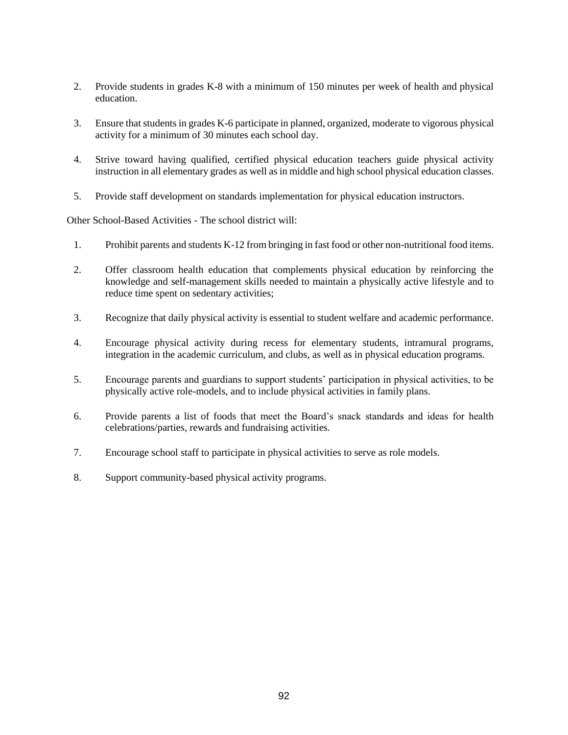- 2. Provide students in grades K-8 with a minimum of 150 minutes per week of health and physical education.
- 3. Ensure that students in grades K-6 participate in planned, organized, moderate to vigorous physical activity for a minimum of 30 minutes each school day.
- 4. Strive toward having qualified, certified physical education teachers guide physical activity instruction in all elementary grades as well as in middle and high school physical education classes.
- 5. Provide staff development on standards implementation for physical education instructors.

Other School-Based Activities - The school district will:

- 1. Prohibit parents and students K-12 from bringing in fast food or other non-nutritional food items.
- 2. Offer classroom health education that complements physical education by reinforcing the knowledge and self-management skills needed to maintain a physically active lifestyle and to reduce time spent on sedentary activities;
- 3. Recognize that daily physical activity is essential to student welfare and academic performance.
- 4. Encourage physical activity during recess for elementary students, intramural programs, integration in the academic curriculum, and clubs, as well as in physical education programs.
- 5. Encourage parents and guardians to support students' participation in physical activities, to be physically active role-models, and to include physical activities in family plans.
- 6. Provide parents a list of foods that meet the Board's snack standards and ideas for health celebrations/parties, rewards and fundraising activities.
- 7. Encourage school staff to participate in physical activities to serve as role models.
- 8. Support community-based physical activity programs.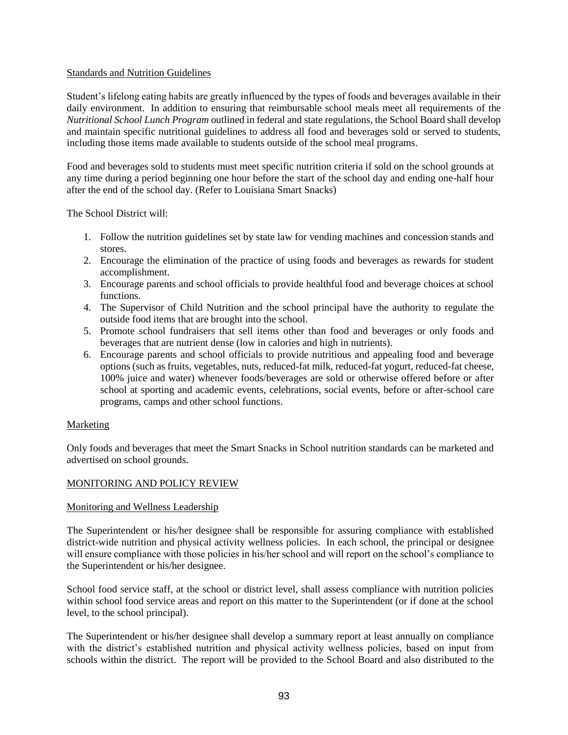### Standards and Nutrition Guidelines

Student's lifelong eating habits are greatly influenced by the types of foods and beverages available in their daily environment. In addition to ensuring that reimbursable school meals meet all requirements of the *Nutritional School Lunch Program* outlined in federal and state regulations, the School Board shall develop and maintain specific nutritional guidelines to address all food and beverages sold or served to students, including those items made available to students outside of the school meal programs.

Food and beverages sold to students must meet specific nutrition criteria if sold on the school grounds at any time during a period beginning one hour before the start of the school day and ending one-half hour after the end of the school day. (Refer to Louisiana Smart Snacks)

The School District will:

- 1. Follow the nutrition guidelines set by state law for vending machines and concession stands and stores.
- 2. Encourage the elimination of the practice of using foods and beverages as rewards for student accomplishment.
- 3. Encourage parents and school officials to provide healthful food and beverage choices at school functions.
- 4. The Supervisor of Child Nutrition and the school principal have the authority to regulate the outside food items that are brought into the school.
- 5. Promote school fundraisers that sell items other than food and beverages or only foods and beverages that are nutrient dense (low in calories and high in nutrients).
- 6. Encourage parents and school officials to provide nutritious and appealing food and beverage options (such as fruits, vegetables, nuts, reduced-fat milk, reduced-fat yogurt, reduced-fat cheese, 100% juice and water) whenever foods/beverages are sold or otherwise offered before or after school at sporting and academic events, celebrations, social events, before or after-school care programs, camps and other school functions.

### Marketing

Only foods and beverages that meet the Smart Snacks in School nutrition standards can be marketed and advertised on school grounds.

### MONITORING AND POLICY REVIEW

### Monitoring and Wellness Leadership

The Superintendent or his/her designee shall be responsible for assuring compliance with established district-wide nutrition and physical activity wellness policies. In each school, the principal or designee will ensure compliance with those policies in his/her school and will report on the school's compliance to the Superintendent or his/her designee.

School food service staff, at the school or district level, shall assess compliance with nutrition policies within school food service areas and report on this matter to the Superintendent (or if done at the school level, to the school principal).

The Superintendent or his/her designee shall develop a summary report at least annually on compliance with the district's established nutrition and physical activity wellness policies, based on input from schools within the district. The report will be provided to the School Board and also distributed to the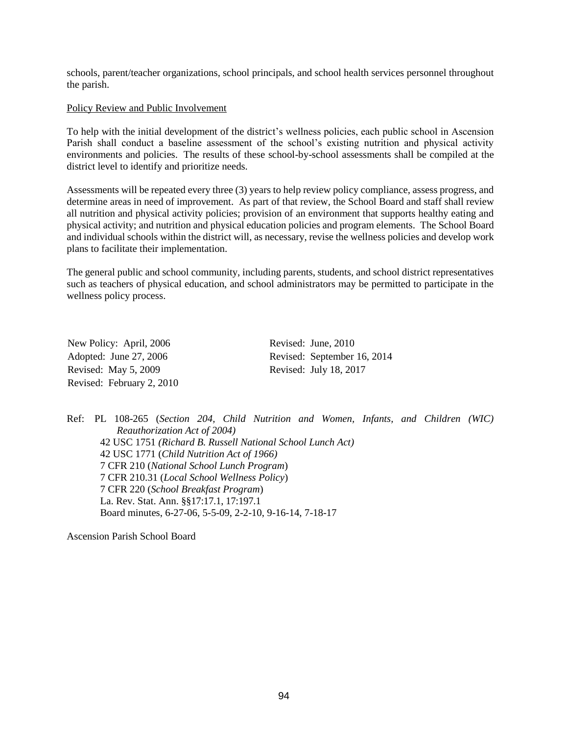schools, parent/teacher organizations, school principals, and school health services personnel throughout the parish.

#### Policy Review and Public Involvement

To help with the initial development of the district's wellness policies, each public school in Ascension Parish shall conduct a baseline assessment of the school's existing nutrition and physical activity environments and policies. The results of these school-by-school assessments shall be compiled at the district level to identify and prioritize needs.

Assessments will be repeated every three (3) years to help review policy compliance, assess progress, and determine areas in need of improvement. As part of that review, the School Board and staff shall review all nutrition and physical activity policies; provision of an environment that supports healthy eating and physical activity; and nutrition and physical education policies and program elements. The School Board and individual schools within the district will, as necessary, revise the wellness policies and develop work plans to facilitate their implementation.

The general public and school community, including parents, students, and school district representatives such as teachers of physical education, and school administrators may be permitted to participate in the wellness policy process.

New Policy: April, 2006 Revised: June, 2010 Revised: May 5, 2009 Revised: July 18, 2017 Revised: February 2, 2010

Adopted: June 27, 2006 Revised: September 16, 2014

Ref: [PL 108-265](http://www.fns.usda.gov/sites/default/files/108-265.pdf) (*Section 204, Child Nutrition and Women, Infants, and Children (WIC) Reauthorization Act of 2004)* [42 USC 1751](http://uscode.house.gov/view.xhtml?path=/prelim@title42/chapter13&edition=prelim) *(Richard B. Russell National School Lunch Act)* [42 USC 1771](http://uscode.house.gov/view.xhtml?path=/prelim@title42/chapter13A&edition=prelim) (*Child Nutrition Act of 1966)* [7 CFR 210](http://www.ecfr.gov/cgi-bin/text-idx?SID=df48c5402cfc3e277c870403f50e9895&mc=true&node=pt7.4.210&rgn=div5) (*National School Lunch Program*) [7 CFR 210.31](https://www.ecfr.gov/cgi-bin/text-idx?SID=ef5b04f940904df7f7e0671f5ac7b60c&mc=true&node=pt7.4.210&rgn=div5#se7.4.210_131) (*Local School Wellness Policy*) [7 CFR 220](http://www.ecfr.gov/cgi-bin/text-idx?SID=979ba8c6685fc7fd42adae8174f6486c&mc=true&node=pt7.4.220&rgn=div5) (*School Breakfast Program*) La. Rev. Stat. Ann. §[§17:17.1, 17:197.1](javascript:void(0);) Board minutes, [6-27-06, 5-5-09, 2-2-10, 9-16-14, 7-18-17](javascript:void(0);)

Ascension Parish School Board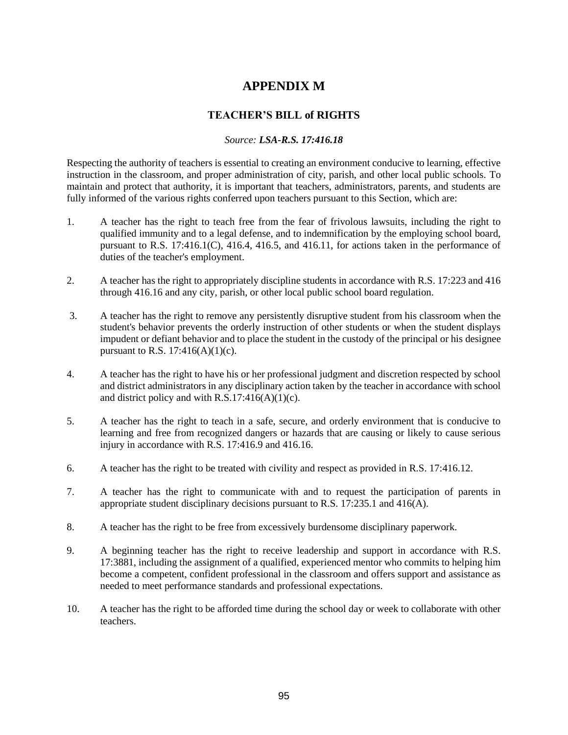## **APPENDIX M**

### **TEACHER'S BILL of RIGHTS**

### *Source: LSA-R.S. 17:416.18*

Respecting the authority of teachers is essential to creating an environment conducive to learning, effective instruction in the classroom, and proper administration of city, parish, and other local public schools. To maintain and protect that authority, it is important that teachers, administrators, parents, and students are fully informed of the various rights conferred upon teachers pursuant to this Section, which are:

- 1. A teacher has the right to teach free from the fear of frivolous lawsuits, including the right to qualified immunity and to a legal defense, and to indemnification by the employing school board, pursuant to R.S. 17:416.1(C), 416.4, 416.5, and 416.11, for actions taken in the performance of duties of the teacher's employment.
- 2. A teacher has the right to appropriately discipline students in accordance with R.S. 17:223 and 416 through 416.16 and any city, parish, or other local public school board regulation.
- 3. A teacher has the right to remove any persistently disruptive student from his classroom when the student's behavior prevents the orderly instruction of other students or when the student displays impudent or defiant behavior and to place the student in the custody of the principal or his designee pursuant to R.S.  $17:416(A)(1)(c)$ .
- 4. A teacher has the right to have his or her professional judgment and discretion respected by school and district administrators in any disciplinary action taken by the teacher in accordance with school and district policy and with  $R.S.17:416(A)(1)(c)$ .
- 5. A teacher has the right to teach in a safe, secure, and orderly environment that is conducive to learning and free from recognized dangers or hazards that are causing or likely to cause serious injury in accordance with R.S. 17:416.9 and 416.16.
- 6. A teacher has the right to be treated with civility and respect as provided in R.S. 17:416.12.
- 7. A teacher has the right to communicate with and to request the participation of parents in appropriate student disciplinary decisions pursuant to R.S. 17:235.1 and 416(A).
- 8. A teacher has the right to be free from excessively burdensome disciplinary paperwork.
- 9. A beginning teacher has the right to receive leadership and support in accordance with R.S. 17:3881, including the assignment of a qualified, experienced mentor who commits to helping him become a competent, confident professional in the classroom and offers support and assistance as needed to meet performance standards and professional expectations.
- 10. A teacher has the right to be afforded time during the school day or week to collaborate with other teachers.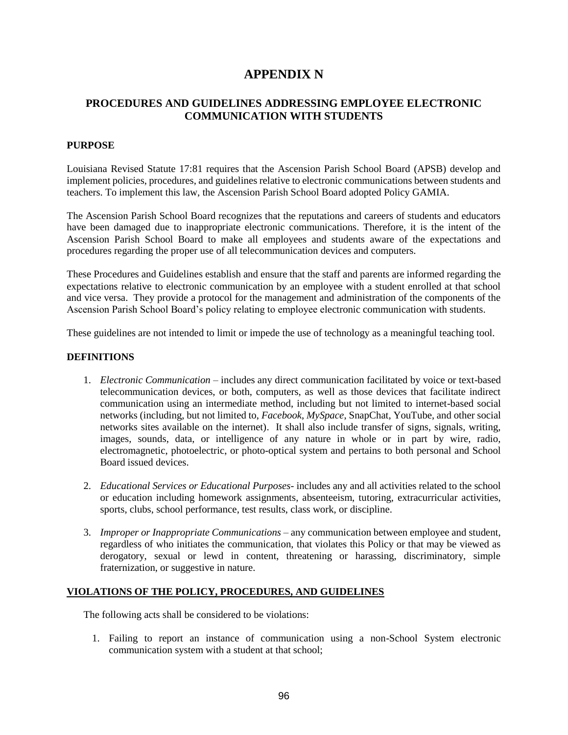## **APPENDIX N**

### **PROCEDURES AND GUIDELINES ADDRESSING EMPLOYEE ELECTRONIC COMMUNICATION WITH STUDENTS**

### **PURPOSE**

Louisiana Revised Statute 17:81 requires that the Ascension Parish School Board (APSB) develop and implement policies, procedures, and guidelines relative to electronic communications between students and teachers. To implement this law, the Ascension Parish School Board adopted Policy GAMIA.

The Ascension Parish School Board recognizes that the reputations and careers of students and educators have been damaged due to inappropriate electronic communications. Therefore, it is the intent of the Ascension Parish School Board to make all employees and students aware of the expectations and procedures regarding the proper use of all telecommunication devices and computers.

These Procedures and Guidelines establish and ensure that the staff and parents are informed regarding the expectations relative to electronic communication by an employee with a student enrolled at that school and vice versa. They provide a protocol for the management and administration of the components of the Ascension Parish School Board's policy relating to employee electronic communication with students.

These guidelines are not intended to limit or impede the use of technology as a meaningful teaching tool.

### **DEFINITIONS**

- 1. *Electronic Communication* includes any direct communication facilitated by voice or text-based telecommunication devices, or both, computers, as well as those devices that facilitate indirect communication using an intermediate method, including but not limited to internet-based social networks (including, but not limited to, *Facebook*, *MySpace*, SnapChat, YouTube, and other social networks sites available on the internet). It shall also include transfer of signs, signals, writing, images, sounds, data, or intelligence of any nature in whole or in part by wire, radio, electromagnetic, photoelectric, or photo-optical system and pertains to both personal and School Board issued devices.
- 2. *Educational Services or Educational Purposes-* includes any and all activities related to the school or education including homework assignments, absenteeism, tutoring, extracurricular activities, sports, clubs, school performance, test results, class work, or discipline.
- 3. *Improper or Inappropriate Communications*  any communication between employee and student, regardless of who initiates the communication, that violates this Policy or that may be viewed as derogatory, sexual or lewd in content, threatening or harassing, discriminatory, simple fraternization, or suggestive in nature.

### **VIOLATIONS OF THE POLICY, PROCEDURES, AND GUIDELINES**

The following acts shall be considered to be violations:

1. Failing to report an instance of communication using a non-School System electronic communication system with a student at that school;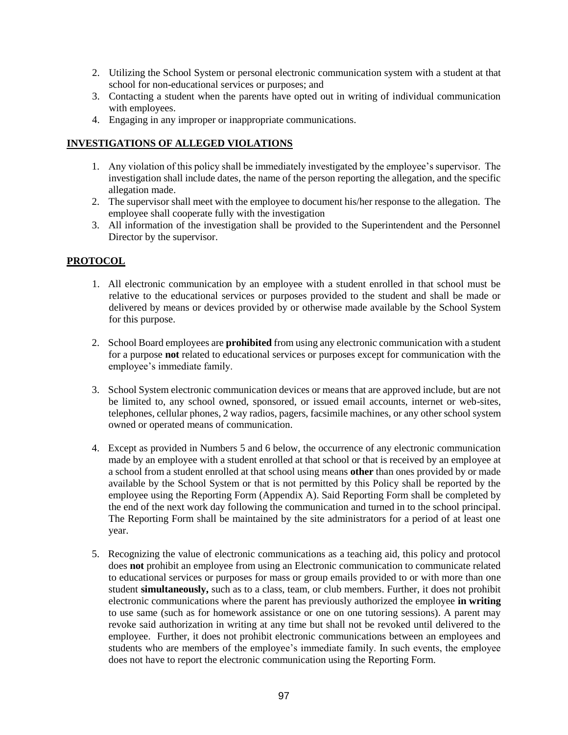- 2. Utilizing the School System or personal electronic communication system with a student at that school for non-educational services or purposes; and
- 3. Contacting a student when the parents have opted out in writing of individual communication with employees.
- 4. Engaging in any improper or inappropriate communications.

### **INVESTIGATIONS OF ALLEGED VIOLATIONS**

- 1. Any violation of this policy shall be immediately investigated by the employee's supervisor. The investigation shall include dates, the name of the person reporting the allegation, and the specific allegation made.
- 2. The supervisor shall meet with the employee to document his/her response to the allegation. The employee shall cooperate fully with the investigation
- 3. All information of the investigation shall be provided to the Superintendent and the Personnel Director by the supervisor.

### **PROTOCOL**

- 1. All electronic communication by an employee with a student enrolled in that school must be relative to the educational services or purposes provided to the student and shall be made or delivered by means or devices provided by or otherwise made available by the School System for this purpose.
- 2. School Board employees are **prohibited** from using any electronic communication with a student for a purpose **not** related to educational services or purposes except for communication with the employee's immediate family.
- 3. School System electronic communication devices or means that are approved include, but are not be limited to, any school owned, sponsored, or issued email accounts, internet or web-sites, telephones, cellular phones, 2 way radios, pagers, facsimile machines, or any other school system owned or operated means of communication.
- 4. Except as provided in Numbers 5 and 6 below, the occurrence of any electronic communication made by an employee with a student enrolled at that school or that is received by an employee at a school from a student enrolled at that school using means **other** than ones provided by or made available by the School System or that is not permitted by this Policy shall be reported by the employee using the Reporting Form (Appendix A). Said Reporting Form shall be completed by the end of the next work day following the communication and turned in to the school principal. The Reporting Form shall be maintained by the site administrators for a period of at least one year.
- 5. Recognizing the value of electronic communications as a teaching aid, this policy and protocol does **not** prohibit an employee from using an Electronic communication to communicate related to educational services or purposes for mass or group emails provided to or with more than one student **simultaneously,** such as to a class, team, or club members. Further, it does not prohibit electronic communications where the parent has previously authorized the employee **in writing** to use same (such as for homework assistance or one on one tutoring sessions). A parent may revoke said authorization in writing at any time but shall not be revoked until delivered to the employee. Further, it does not prohibit electronic communications between an employees and students who are members of the employee's immediate family. In such events, the employee does not have to report the electronic communication using the Reporting Form.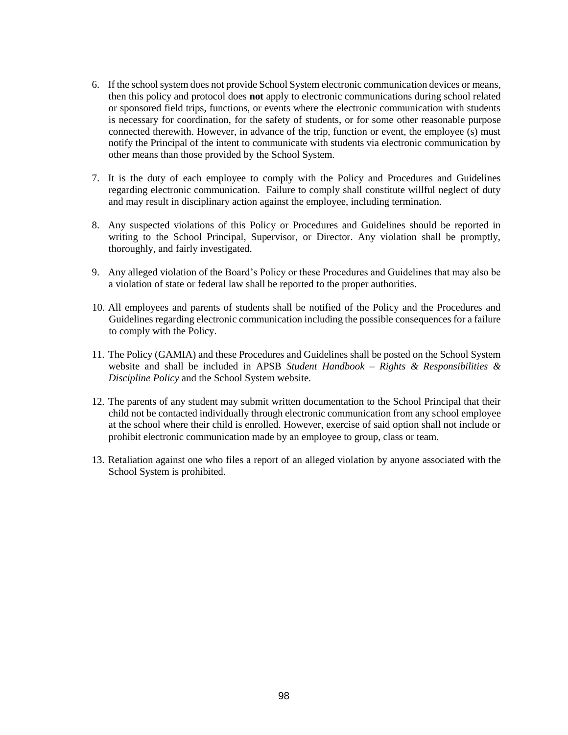- 6. If the school system does not provide School System electronic communication devices or means, then this policy and protocol does **not** apply to electronic communications during school related or sponsored field trips, functions, or events where the electronic communication with students is necessary for coordination, for the safety of students, or for some other reasonable purpose connected therewith. However, in advance of the trip, function or event, the employee (s) must notify the Principal of the intent to communicate with students via electronic communication by other means than those provided by the School System.
- 7. It is the duty of each employee to comply with the Policy and Procedures and Guidelines regarding electronic communication. Failure to comply shall constitute willful neglect of duty and may result in disciplinary action against the employee, including termination.
- 8. Any suspected violations of this Policy or Procedures and Guidelines should be reported in writing to the School Principal, Supervisor, or Director. Any violation shall be promptly, thoroughly, and fairly investigated.
- 9. Any alleged violation of the Board's Policy or these Procedures and Guidelines that may also be a violation of state or federal law shall be reported to the proper authorities.
- 10. All employees and parents of students shall be notified of the Policy and the Procedures and Guidelines regarding electronic communication including the possible consequences for a failure to comply with the Policy.
- 11. The Policy (GAMIA) and these Procedures and Guidelines shall be posted on the School System website and shall be included in APSB *Student Handbook – Rights & Responsibilities & Discipline Policy* and the School System website.
- 12. The parents of any student may submit written documentation to the School Principal that their child not be contacted individually through electronic communication from any school employee at the school where their child is enrolled. However, exercise of said option shall not include or prohibit electronic communication made by an employee to group, class or team.
- 13. Retaliation against one who files a report of an alleged violation by anyone associated with the School System is prohibited.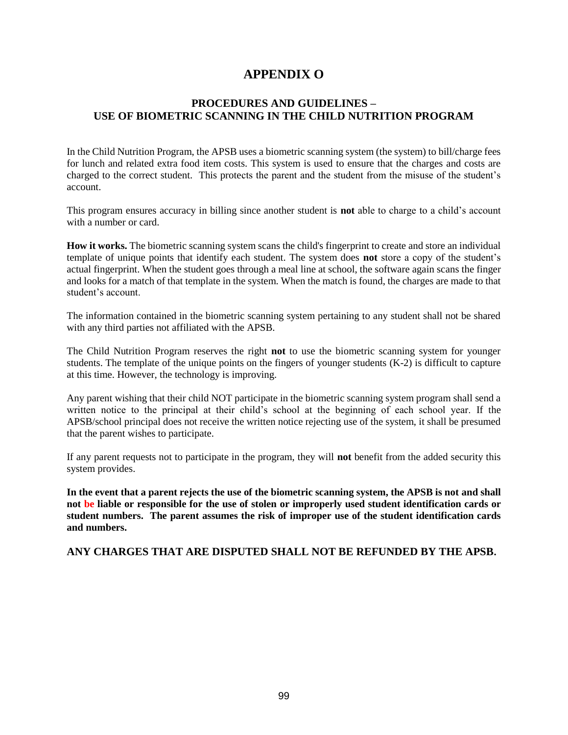## **APPENDIX O**

### **PROCEDURES AND GUIDELINES – USE OF BIOMETRIC SCANNING IN THE CHILD NUTRITION PROGRAM**

In the Child Nutrition Program, the APSB uses a biometric scanning system (the system) to bill/charge fees for lunch and related extra food item costs. This system is used to ensure that the charges and costs are charged to the correct student. This protects the parent and the student from the misuse of the student's account.

This program ensures accuracy in billing since another student is **not** able to charge to a child's account with a number or card.

**How it works.** The biometric scanning system scans the child's fingerprint to create and store an individual template of unique points that identify each student. The system does **not** store a copy of the student's actual fingerprint. When the student goes through a meal line at school, the software again scans the finger and looks for a match of that template in the system. When the match is found, the charges are made to that student's account.

The information contained in the biometric scanning system pertaining to any student shall not be shared with any third parties not affiliated with the APSB.

The Child Nutrition Program reserves the right **not** to use the biometric scanning system for younger students. The template of the unique points on the fingers of younger students (K-2) is difficult to capture at this time. However, the technology is improving.

Any parent wishing that their child NOT participate in the biometric scanning system program shall send a written notice to the principal at their child's school at the beginning of each school year. If the APSB/school principal does not receive the written notice rejecting use of the system, it shall be presumed that the parent wishes to participate.

If any parent requests not to participate in the program, they will **not** benefit from the added security this system provides.

**In the event that a parent rejects the use of the biometric scanning system, the APSB is not and shall not be liable or responsible for the use of stolen or improperly used student identification cards or student numbers. The parent assumes the risk of improper use of the student identification cards and numbers.** 

### **ANY CHARGES THAT ARE DISPUTED SHALL NOT BE REFUNDED BY THE APSB.**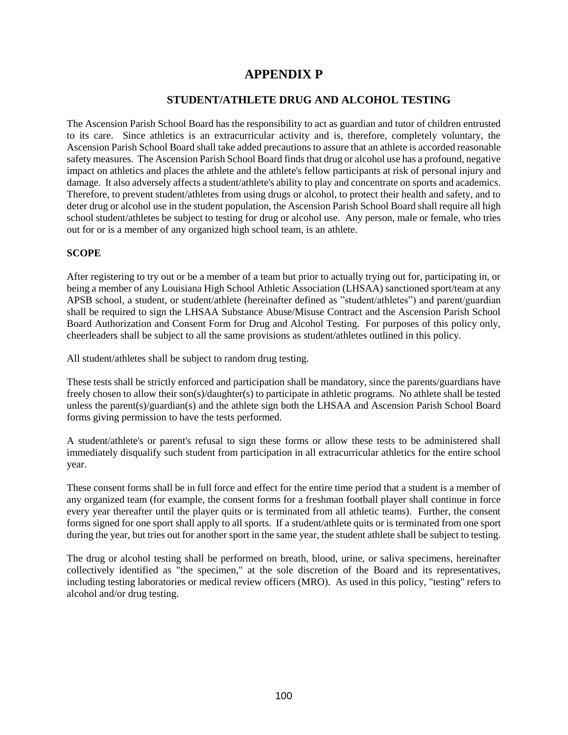## **APPENDIX P**

### **STUDENT/ATHLETE DRUG AND ALCOHOL TESTING**

The Ascension Parish School Board has the responsibility to act as guardian and tutor of children entrusted to its care. Since athletics is an extracurricular activity and is, therefore, completely voluntary, the Ascension Parish School Board shall take added precautions to assure that an athlete is accorded reasonable safety measures. The Ascension Parish School Board finds that drug or alcohol use has a profound, negative impact on athletics and places the athlete and the athlete's fellow participants at risk of personal injury and damage. It also adversely affects a student/athlete's ability to play and concentrate on sports and academics. Therefore, to prevent student/athletes from using drugs or alcohol, to protect their health and safety, and to deter drug or alcohol use in the student population, the Ascension Parish School Board shall require all high school student/athletes be subject to testing for drug or alcohol use. Any person, male or female, who tries out for or is a member of any organized high school team, is an athlete.

### **SCOPE**

After registering to try out or be a member of a team but prior to actually trying out for, participating in, or being a member of any Louisiana High School Athletic Association (LHSAA) sanctioned sport/team at any APSB school, a student, or student/athlete (hereinafter defined as "student/athletes") and parent/guardian shall be required to sign the LHSAA Substance Abuse/Misuse Contract and the Ascension Parish School Board Authorization and Consent Form for Drug and Alcohol Testing. For purposes of this policy only, cheerleaders shall be subject to all the same provisions as student/athletes outlined in this policy.

All student/athletes shall be subject to random drug testing.

These tests shall be strictly enforced and participation shall be mandatory, since the parents/guardians have freely chosen to allow their son(s)/daughter(s) to participate in athletic programs. No athlete shall be tested unless the parent(s)/guardian(s) and the athlete sign both the LHSAA and Ascension Parish School Board forms giving permission to have the tests performed.

A student/athlete's or parent's refusal to sign these forms or allow these tests to be administered shall immediately disqualify such student from participation in all extracurricular athletics for the entire school year.

These consent forms shall be in full force and effect for the entire time period that a student is a member of any organized team (for example, the consent forms for a freshman football player shall continue in force every year thereafter until the player quits or is terminated from all athletic teams). Further, the consent forms signed for one sport shall apply to all sports. If a student/athlete quits or is terminated from one sport during the year, but tries out for another sport in the same year, the student athlete shall be subject to testing.

The drug or alcohol testing shall be performed on breath, blood, urine, or saliva specimens, hereinafter collectively identified as "the specimen," at the sole discretion of the Board and its representatives, including testing laboratories or medical review officers (MRO). As used in this policy, "testing" refers to alcohol and/or drug testing.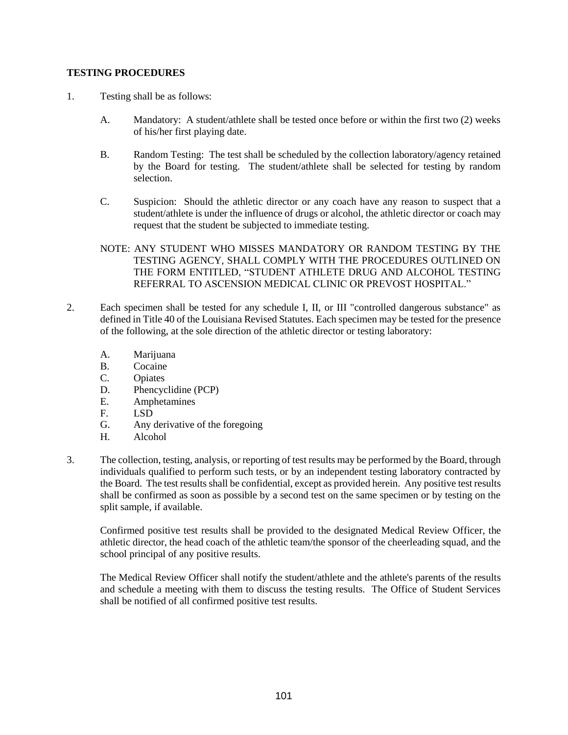### **TESTING PROCEDURES**

- 1. Testing shall be as follows:
	- A. Mandatory: A student/athlete shall be tested once before or within the first two (2) weeks of his/her first playing date.
	- B. Random Testing: The test shall be scheduled by the collection laboratory/agency retained by the Board for testing. The student/athlete shall be selected for testing by random selection.
	- C. Suspicion: Should the athletic director or any coach have any reason to suspect that a student/athlete is under the influence of drugs or alcohol, the athletic director or coach may request that the student be subjected to immediate testing.
	- NOTE: ANY STUDENT WHO MISSES MANDATORY OR RANDOM TESTING BY THE TESTING AGENCY, SHALL COMPLY WITH THE PROCEDURES OUTLINED ON THE FORM ENTITLED, "STUDENT ATHLETE DRUG AND ALCOHOL TESTING REFERRAL TO ASCENSION MEDICAL CLINIC OR PREVOST HOSPITAL."
- 2. Each specimen shall be tested for any schedule I, II, or III "controlled dangerous substance" as defined in Title 40 of the Louisiana Revised Statutes. Each specimen may be tested for the presence of the following, at the sole direction of the athletic director or testing laboratory:
	- A. Marijuana
	- B. Cocaine
	- C. Opiates
	- D. Phencyclidine (PCP)
	- E. Amphetamines
	- F. LSD
	- G. Any derivative of the foregoing
	- H. Alcohol
- 3. The collection, testing, analysis, or reporting of test results may be performed by the Board, through individuals qualified to perform such tests, or by an independent testing laboratory contracted by the Board. The test results shall be confidential, except as provided herein. Any positive test results shall be confirmed as soon as possible by a second test on the same specimen or by testing on the split sample, if available.

Confirmed positive test results shall be provided to the designated Medical Review Officer, the athletic director, the head coach of the athletic team/the sponsor of the cheerleading squad, and the school principal of any positive results.

The Medical Review Officer shall notify the student/athlete and the athlete's parents of the results and schedule a meeting with them to discuss the testing results. The Office of Student Services shall be notified of all confirmed positive test results.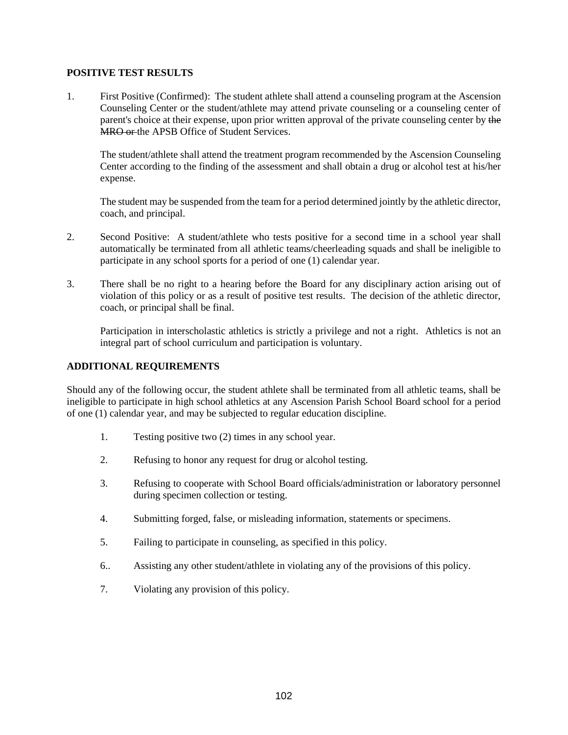## **POSITIVE TEST RESULTS**

1. First Positive (Confirmed): The student athlete shall attend a counseling program at the Ascension Counseling Center or the student/athlete may attend private counseling or a counseling center of parent's choice at their expense, upon prior written approval of the private counseling center by the **MRO or the APSB Office of Student Services.** 

The student/athlete shall attend the treatment program recommended by the Ascension Counseling Center according to the finding of the assessment and shall obtain a drug or alcohol test at his/her expense.

The student may be suspended from the team for a period determined jointly by the athletic director, coach, and principal.

- 2. Second Positive: A student/athlete who tests positive for a second time in a school year shall automatically be terminated from all athletic teams/cheerleading squads and shall be ineligible to participate in any school sports for a period of one (1) calendar year.
- 3. There shall be no right to a hearing before the Board for any disciplinary action arising out of violation of this policy or as a result of positive test results. The decision of the athletic director, coach, or principal shall be final.

Participation in interscholastic athletics is strictly a privilege and not a right. Athletics is not an integral part of school curriculum and participation is voluntary.

## **ADDITIONAL REQUIREMENTS**

Should any of the following occur, the student athlete shall be terminated from all athletic teams, shall be ineligible to participate in high school athletics at any Ascension Parish School Board school for a period of one (1) calendar year, and may be subjected to regular education discipline.

- 1. Testing positive two (2) times in any school year.
- 2. Refusing to honor any request for drug or alcohol testing.
- 3. Refusing to cooperate with School Board officials/administration or laboratory personnel during specimen collection or testing.
- 4. Submitting forged, false, or misleading information, statements or specimens.
- 5. Failing to participate in counseling, as specified in this policy.
- 6.. Assisting any other student/athlete in violating any of the provisions of this policy.
- 7. Violating any provision of this policy.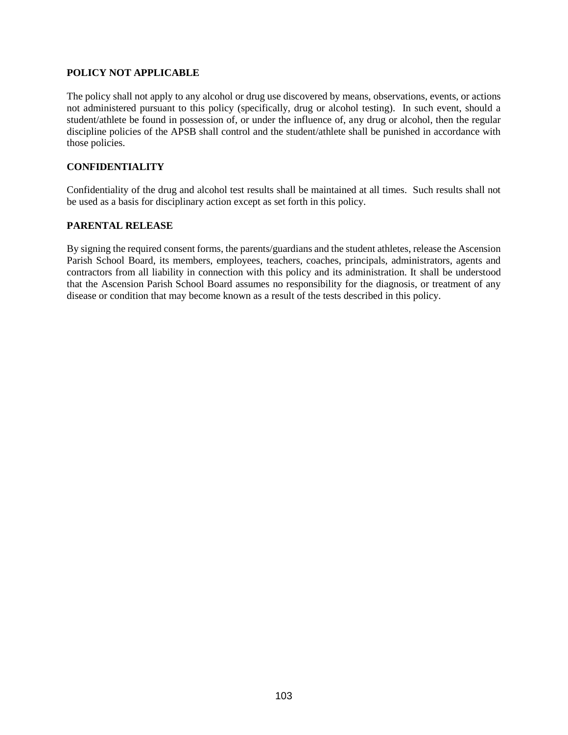### **POLICY NOT APPLICABLE**

The policy shall not apply to any alcohol or drug use discovered by means, observations, events, or actions not administered pursuant to this policy (specifically, drug or alcohol testing). In such event, should a student/athlete be found in possession of, or under the influence of, any drug or alcohol, then the regular discipline policies of the APSB shall control and the student/athlete shall be punished in accordance with those policies.

### **CONFIDENTIALITY**

Confidentiality of the drug and alcohol test results shall be maintained at all times. Such results shall not be used as a basis for disciplinary action except as set forth in this policy.

### **PARENTAL RELEASE**

By signing the required consent forms, the parents/guardians and the student athletes, release the Ascension Parish School Board, its members, employees, teachers, coaches, principals, administrators, agents and contractors from all liability in connection with this policy and its administration. It shall be understood that the Ascension Parish School Board assumes no responsibility for the diagnosis, or treatment of any disease or condition that may become known as a result of the tests described in this policy.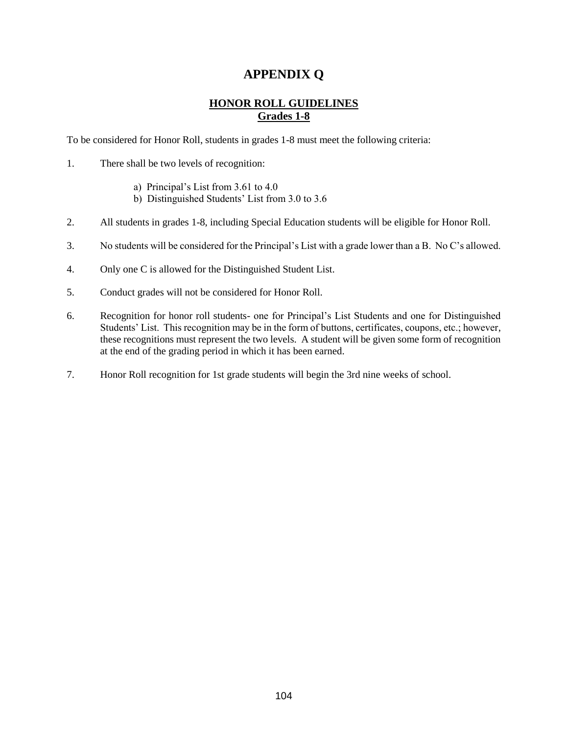# **APPENDIX Q**

## **HONOR ROLL GUIDELINES Grades 1-8**

To be considered for Honor Roll, students in grades 1-8 must meet the following criteria:

- 1. There shall be two levels of recognition:
	- a) Principal's List from 3.61 to 4.0
	- b) Distinguished Students' List from 3.0 to 3.6
- 2. All students in grades 1-8, including Special Education students will be eligible for Honor Roll.
- 3. No students will be considered for the Principal's List with a grade lower than a B. No C's allowed.
- 4. Only one C is allowed for the Distinguished Student List.
- 5. Conduct grades will not be considered for Honor Roll.
- 6. Recognition for honor roll students- one for Principal's List Students and one for Distinguished Students' List. This recognition may be in the form of buttons, certificates, coupons, etc.; however, these recognitions must represent the two levels. A student will be given some form of recognition at the end of the grading period in which it has been earned.
- 7. Honor Roll recognition for 1st grade students will begin the 3rd nine weeks of school.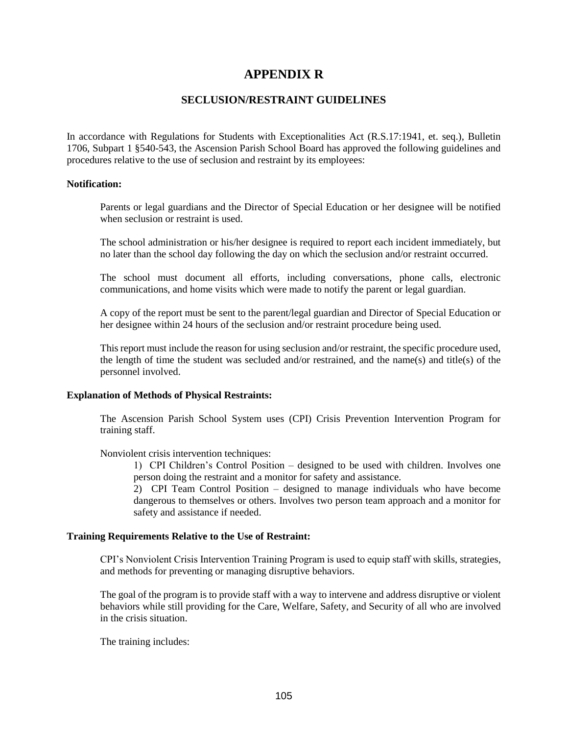# **APPENDIX R**

## **SECLUSION/RESTRAINT GUIDELINES**

In accordance with Regulations for Students with Exceptionalities Act (R.S.17:1941, et. seq.), Bulletin 1706, Subpart 1 §540-543, the Ascension Parish School Board has approved the following guidelines and procedures relative to the use of seclusion and restraint by its employees:

### **Notification:**

Parents or legal guardians and the Director of Special Education or her designee will be notified when seclusion or restraint is used.

The school administration or his/her designee is required to report each incident immediately, but no later than the school day following the day on which the seclusion and/or restraint occurred.

The school must document all efforts, including conversations, phone calls, electronic communications, and home visits which were made to notify the parent or legal guardian.

A copy of the report must be sent to the parent/legal guardian and Director of Special Education or her designee within 24 hours of the seclusion and/or restraint procedure being used.

This report must include the reason for using seclusion and/or restraint, the specific procedure used, the length of time the student was secluded and/or restrained, and the name(s) and title(s) of the personnel involved.

### **Explanation of Methods of Physical Restraints:**

The Ascension Parish School System uses (CPI) Crisis Prevention Intervention Program for training staff.

Nonviolent crisis intervention techniques:

1) CPI Children's Control Position – designed to be used with children. Involves one person doing the restraint and a monitor for safety and assistance.

2) CPI Team Control Position – designed to manage individuals who have become dangerous to themselves or others. Involves two person team approach and a monitor for safety and assistance if needed.

### **Training Requirements Relative to the Use of Restraint:**

CPI's Nonviolent Crisis Intervention Training Program is used to equip staff with skills, strategies, and methods for preventing or managing disruptive behaviors.

The goal of the program is to provide staff with a way to intervene and address disruptive or violent behaviors while still providing for the Care, Welfare, Safety, and Security of all who are involved in the crisis situation.

The training includes: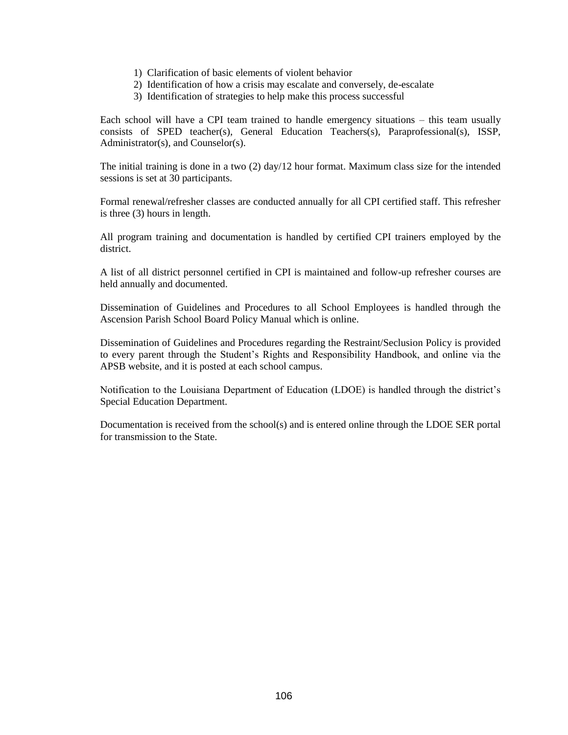- 1) Clarification of basic elements of violent behavior
- 2) Identification of how a crisis may escalate and conversely, de-escalate
- 3) Identification of strategies to help make this process successful

Each school will have a CPI team trained to handle emergency situations – this team usually consists of SPED teacher(s), General Education Teachers(s), Paraprofessional(s), ISSP, Administrator(s), and Counselor(s).

The initial training is done in a two (2) day/12 hour format. Maximum class size for the intended sessions is set at 30 participants.

Formal renewal/refresher classes are conducted annually for all CPI certified staff. This refresher is three (3) hours in length.

All program training and documentation is handled by certified CPI trainers employed by the district.

A list of all district personnel certified in CPI is maintained and follow-up refresher courses are held annually and documented.

Dissemination of Guidelines and Procedures to all School Employees is handled through the Ascension Parish School Board Policy Manual which is online.

Dissemination of Guidelines and Procedures regarding the Restraint/Seclusion Policy is provided to every parent through the Student's Rights and Responsibility Handbook, and online via the APSB website, and it is posted at each school campus.

Notification to the Louisiana Department of Education (LDOE) is handled through the district's Special Education Department.

Documentation is received from the school(s) and is entered online through the LDOE SER portal for transmission to the State.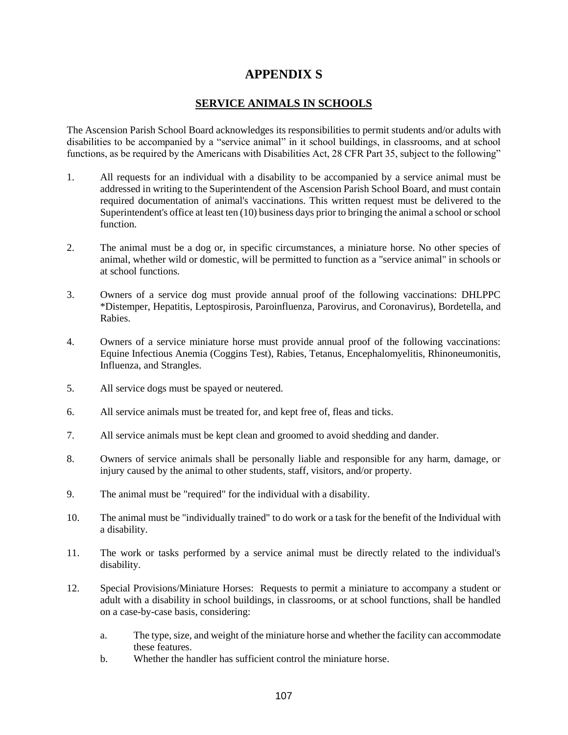# **APPENDIX S**

## **SERVICE ANIMALS IN SCHOOLS**

The Ascension Parish School Board acknowledges its responsibilities to permit students and/or adults with disabilities to be accompanied by a "service animal" in it school buildings, in classrooms, and at school functions, as be required by the Americans with Disabilities Act, 28 CFR Part 35, subject to the following"

- 1. All requests for an individual with a disability to be accompanied by a service animal must be addressed in writing to the Superintendent of the Ascension Parish School Board, and must contain required documentation of animal's vaccinations. This written request must be delivered to the Superintendent's office at least ten (10) business days prior to bringing the animal a school or school function.
- 2. The animal must be a dog or, in specific circumstances, a miniature horse. No other species of animal, whether wild or domestic, will be permitted to function as a "service animal" in schools or at school functions.
- 3. Owners of a service dog must provide annual proof of the following vaccinations: DHLPPC \*Distemper, Hepatitis, Leptospirosis, Paroinfluenza, Parovirus, and Coronavirus), Bordetella, and Rabies.
- 4. Owners of a service miniature horse must provide annual proof of the following vaccinations: Equine Infectious Anemia (Coggins Test), Rabies, Tetanus, Encephalomyelitis, Rhinoneumonitis, Influenza, and Strangles.
- 5. All service dogs must be spayed or neutered.
- 6. All service animals must be treated for, and kept free of, fleas and ticks.
- 7. All service animals must be kept clean and groomed to avoid shedding and dander.
- 8. Owners of service animals shall be personally liable and responsible for any harm, damage, or injury caused by the animal to other students, staff, visitors, and/or property.
- 9. The animal must be "required" for the individual with a disability.
- 10. The animal must be "individually trained" to do work or a task for the benefit of the Individual with a disability.
- 11. The work or tasks performed by a service animal must be directly related to the individual's disability.
- 12. Special Provisions/Miniature Horses: Requests to permit a miniature to accompany a student or adult with a disability in school buildings, in classrooms, or at school functions, shall be handled on a case-by-case basis, considering:
	- a. The type, size, and weight of the miniature horse and whether the facility can accommodate these features.
	- b. Whether the handler has sufficient control the miniature horse.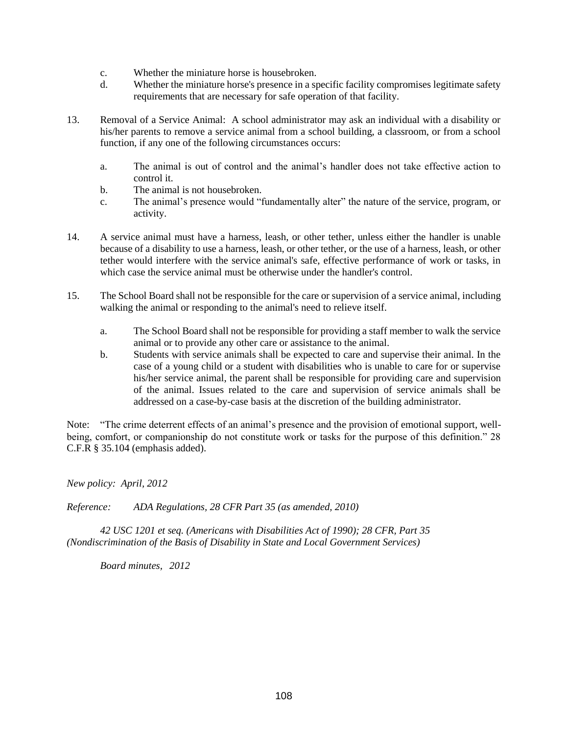- c. Whether the miniature horse is housebroken.
- d. Whether the miniature horse's presence in a specific facility compromises legitimate safety requirements that are necessary for safe operation of that facility.
- 13. Removal of a Service Animal: A school administrator may ask an individual with a disability or his/her parents to remove a service animal from a school building, a classroom, or from a school function, if any one of the following circumstances occurs:
	- a. The animal is out of control and the animal's handler does not take effective action to control it.
	- b. The animal is not housebroken.
	- c. The animal's presence would "fundamentally alter" the nature of the service, program, or activity.
- 14. A service animal must have a harness, leash, or other tether, unless either the handler is unable because of a disability to use a harness, leash, or other tether, or the use of a harness, leash, or other tether would interfere with the service animal's safe, effective performance of work or tasks, in which case the service animal must be otherwise under the handler's control.
- 15. The School Board shall not be responsible for the care or supervision of a service animal, including walking the animal or responding to the animal's need to relieve itself.
	- a. The School Board shall not be responsible for providing a staff member to walk the service animal or to provide any other care or assistance to the animal.
	- b. Students with service animals shall be expected to care and supervise their animal. In the case of a young child or a student with disabilities who is unable to care for or supervise his/her service animal, the parent shall be responsible for providing care and supervision of the animal. Issues related to the care and supervision of service animals shall be addressed on a case-by-case basis at the discretion of the building administrator.

Note: "The crime deterrent effects of an animal's presence and the provision of emotional support, wellbeing, comfort, or companionship do not constitute work or tasks for the purpose of this definition." 28 C.F.R § 35.104 (emphasis added).

*New policy: April, 2012* 

*Reference: ADA Regulations, 28 CFR Part 35 (as amended, 2010)* 

 *42 USC 1201 et seq. (Americans with Disabilities Act of 1990); 28 CFR, Part 35 (Nondiscrimination of the Basis of Disability in State and Local Government Services)* 

 *Board minutes, 2012*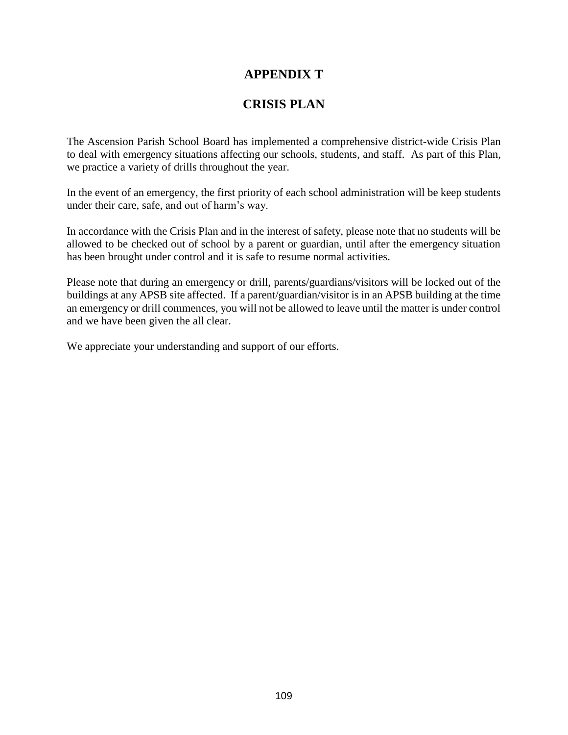# **APPENDIX T**

# **CRISIS PLAN**

The Ascension Parish School Board has implemented a comprehensive district-wide Crisis Plan to deal with emergency situations affecting our schools, students, and staff. As part of this Plan, we practice a variety of drills throughout the year.

In the event of an emergency, the first priority of each school administration will be keep students under their care, safe, and out of harm's way.

In accordance with the Crisis Plan and in the interest of safety, please note that no students will be allowed to be checked out of school by a parent or guardian, until after the emergency situation has been brought under control and it is safe to resume normal activities.

Please note that during an emergency or drill, parents/guardians/visitors will be locked out of the buildings at any APSB site affected. If a parent/guardian/visitor is in an APSB building at the time an emergency or drill commences, you will not be allowed to leave until the matter is under control and we have been given the all clear.

We appreciate your understanding and support of our efforts.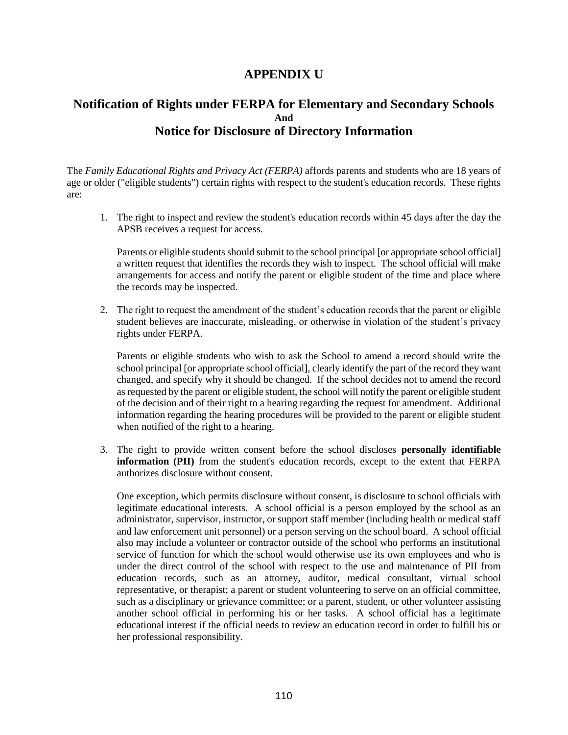# **APPENDIX U**

# **Notification of Rights under FERPA for Elementary and Secondary Schools And Notice for Disclosure of Directory Information**

The *Family Educational Rights and Privacy Act (FERPA)* affords parents and students who are 18 years of age or older ("eligible students") certain rights with respect to the student's education records. These rights are:

1. The right to inspect and review the student's education records within 45 days after the day the APSB receives a request for access.

Parents or eligible students should submit to the school principal [or appropriate school official] a written request that identifies the records they wish to inspect. The school official will make arrangements for access and notify the parent or eligible student of the time and place where the records may be inspected.

2. The right to request the amendment of the student's education records that the parent or eligible student believes are inaccurate, misleading, or otherwise in violation of the student's privacy rights under FERPA.

Parents or eligible students who wish to ask the School to amend a record should write the school principal [or appropriate school official], clearly identify the part of the record they want changed, and specify why it should be changed. If the school decides not to amend the record as requested by the parent or eligible student, the school will notify the parent or eligible student of the decision and of their right to a hearing regarding the request for amendment. Additional information regarding the hearing procedures will be provided to the parent or eligible student when notified of the right to a hearing.

3. The right to provide written consent before the school discloses **personally identifiable information (PII)** from the student's education records, except to the extent that FERPA authorizes disclosure without consent.

One exception, which permits disclosure without consent, is disclosure to school officials with legitimate educational interests. A school official is a person employed by the school as an administrator, supervisor, instructor, or support staff member (including health or medical staff and law enforcement unit personnel) or a person serving on the school board. A school official also may include a volunteer or contractor outside of the school who performs an institutional service of function for which the school would otherwise use its own employees and who is under the direct control of the school with respect to the use and maintenance of PII from education records, such as an attorney, auditor, medical consultant, virtual school representative, or therapist; a parent or student volunteering to serve on an official committee, such as a disciplinary or grievance committee; or a parent, student, or other volunteer assisting another school official in performing his or her tasks. A school official has a legitimate educational interest if the official needs to review an education record in order to fulfill his or her professional responsibility.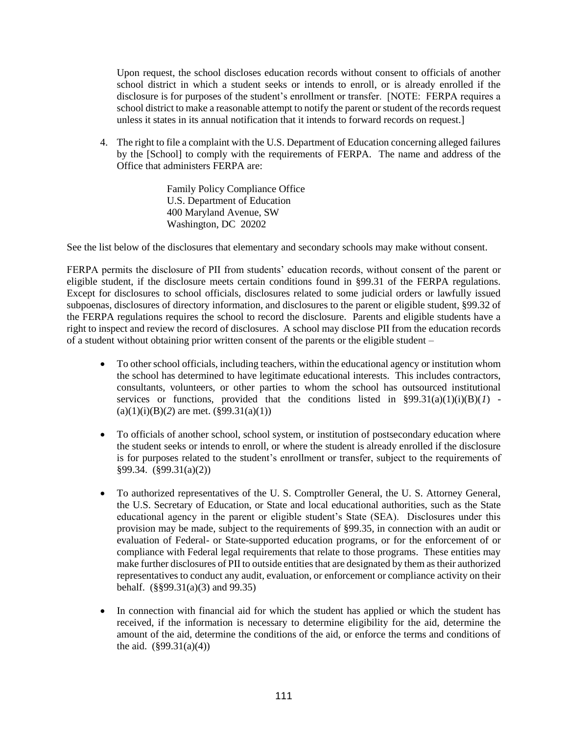Upon request, the school discloses education records without consent to officials of another school district in which a student seeks or intends to enroll, or is already enrolled if the disclosure is for purposes of the student's enrollment or transfer. [NOTE: FERPA requires a school district to make a reasonable attempt to notify the parent or student of the records request unless it states in its annual notification that it intends to forward records on request.]

4. The right to file a complaint with the U.S. Department of Education concerning alleged failures by the [School] to comply with the requirements of FERPA. The name and address of the Office that administers FERPA are:

> Family Policy Compliance Office U.S. Department of Education 400 Maryland Avenue, SW Washington, DC 20202

See the list below of the disclosures that elementary and secondary schools may make without consent.

FERPA permits the disclosure of PII from students' education records, without consent of the parent or eligible student, if the disclosure meets certain conditions found in §99.31 of the FERPA regulations. Except for disclosures to school officials, disclosures related to some judicial orders or lawfully issued subpoenas, disclosures of directory information, and disclosures to the parent or eligible student, §99.32 of the FERPA regulations requires the school to record the disclosure. Parents and eligible students have a right to inspect and review the record of disclosures. A school may disclose PII from the education records of a student without obtaining prior written consent of the parents or the eligible student –

- To other school officials, including teachers, within the educational agency or institution whom the school has determined to have legitimate educational interests. This includes contractors, consultants, volunteers, or other parties to whom the school has outsourced institutional services or functions, provided that the conditions listed in  $\S 99.31(a)(1)(i)(B)(1)$  - $(a)(1)(i)(B)(2)$  are met.  $(\S 99.31(a)(1))$
- To officials of another school, school system, or institution of postsecondary education where the student seeks or intends to enroll, or where the student is already enrolled if the disclosure is for purposes related to the student's enrollment or transfer, subject to the requirements of §99.34. (§99.31(a)(2))
- To authorized representatives of the U. S. Comptroller General, the U. S. Attorney General, the U.S. Secretary of Education, or State and local educational authorities, such as the State educational agency in the parent or eligible student's State (SEA). Disclosures under this provision may be made, subject to the requirements of §99.35, in connection with an audit or evaluation of Federal- or State-supported education programs, or for the enforcement of or compliance with Federal legal requirements that relate to those programs. These entities may make further disclosures of PII to outside entities that are designated by them as their authorized representatives to conduct any audit, evaluation, or enforcement or compliance activity on their behalf. (§§99.31(a)(3) and 99.35)
- In connection with financial aid for which the student has applied or which the student has received, if the information is necessary to determine eligibility for the aid, determine the amount of the aid, determine the conditions of the aid, or enforce the terms and conditions of the aid.  $(\frac{699.31(a)(4)}{4})$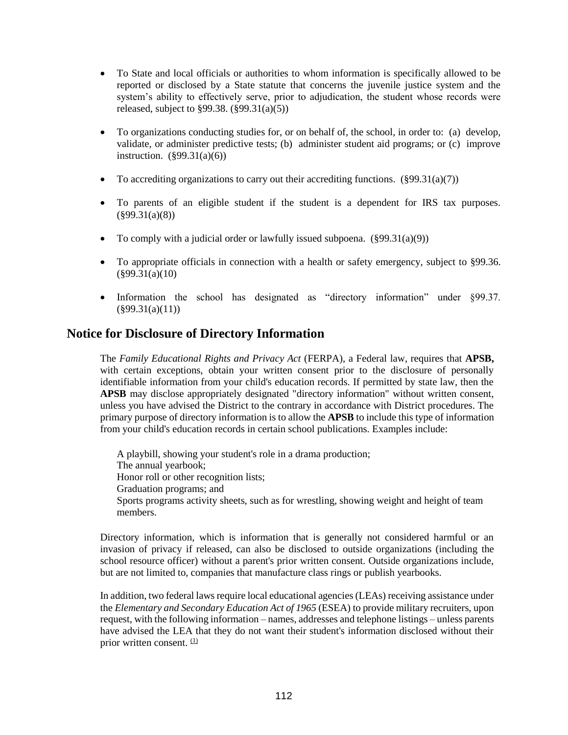- To State and local officials or authorities to whom information is specifically allowed to be reported or disclosed by a State statute that concerns the juvenile justice system and the system's ability to effectively serve, prior to adjudication, the student whose records were released, subject to  $\S 99.38$ .  $(\S 99.31(a)(5))$
- To organizations conducting studies for, or on behalf of, the school, in order to: (a) develop, validate, or administer predictive tests; (b) administer student aid programs; or (c) improve instruction.  $(\S 99.31(a)(6))$
- To accrediting organizations to carry out their accrediting functions.  $(\frac{6}{9}9.31(a)(7))$
- To parents of an eligible student if the student is a dependent for IRS tax purposes.  $(\$99.31(a)(8))$
- To comply with a judicial order or lawfully issued subpoena.  $(\frac{899.31(a)(9))}{2}$
- To appropriate officials in connection with a health or safety emergency, subject to §99.36. (§99.31(a)(10)
- Information the school has designated as "directory information" under §99.37.  $(\$99.31(a)(11))$

# **Notice for Disclosure of Directory Information**

The *Family Educational Rights and Privacy Act* (FERPA), a Federal law, requires that **APSB,** with certain exceptions, obtain your written consent prior to the disclosure of personally identifiable information from your child's education records. If permitted by state law, then the **APSB** may disclose appropriately designated "directory information" without written consent, unless you have advised the District to the contrary in accordance with District procedures. The primary purpose of directory information is to allow the **APSB** to include this type of information from your child's education records in certain school publications. Examples include:

A playbill, showing your student's role in a drama production; The annual yearbook; Honor roll or other recognition lists; Graduation programs; and Sports programs activity sheets, such as for wrestling, showing weight and height of team members.

Directory information, which is information that is generally not considered harmful or an invasion of privacy if released, can also be disclosed to outside organizations (including the school resource officer) without a parent's prior written consent. Outside organizations include, but are not limited to, companies that manufacture class rings or publish yearbooks.

In addition, two federal laws require local educational agencies (LEAs) receiving assistance under the *Elementary and Secondary Education Act of 1965* (ESEA) to provide military recruiters, upon request, with the following information – names, addresses and telephone listings – unless parents have advised the LEA that they do not want their student's information disclosed without their prior written consent.  $(1)$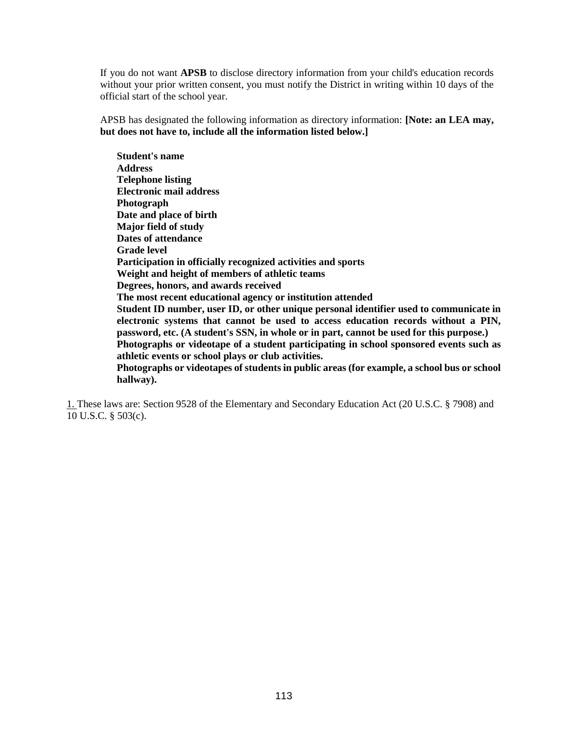If you do not want **APSB** to disclose directory information from your child's education records without your prior written consent, you must notify the District in writing within 10 days of the official start of the school year.

APSB has designated the following information as directory information: **[Note: an LEA may, but does not have to, include all the information listed below.]**

**Student's name Address Telephone listing Electronic mail address Photograph Date and place of birth Major field of study Dates of attendance Grade level Participation in officially recognized activities and sports Weight and height of members of athletic teams Degrees, honors, and awards received The most recent educational agency or institution attended Student ID number, user ID, or other unique personal identifier used to communicate in electronic systems that cannot be used to access education records without a PIN, password, etc. (A student's SSN, in whole or in part, cannot be used for this purpose.) Photographs or videotape of a student participating in school sponsored events such as athletic events or school plays or club activities. Photographs or videotapes of students in public areas (for example, a school bus or school hallway).** 

1. These laws are: Section 9528 of the Elementary and Secondary Education Act (20 U.S.C. § 7908) and 10 U.S.C. § 503(c).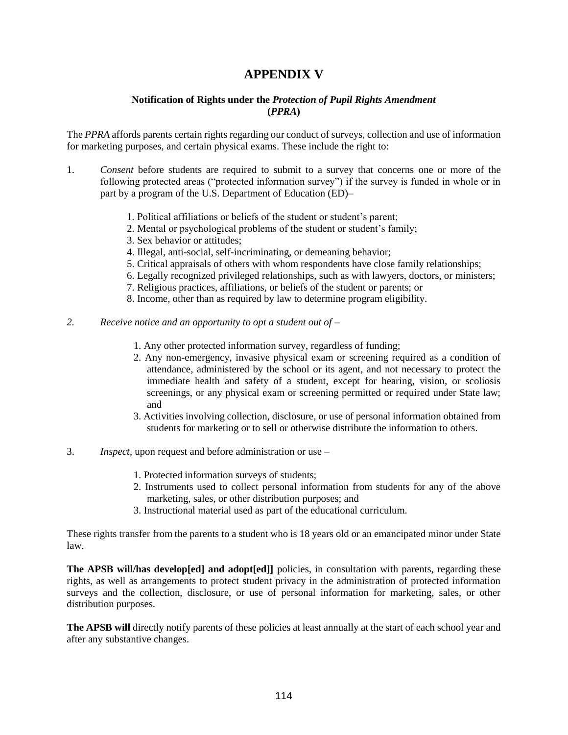# **APPENDIX V**

## **Notification of Rights under the** *Protection of Pupil Rights Amendment* **(***PPRA***)**

The *PPRA* affords parents certain rights regarding our conduct of surveys, collection and use of information for marketing purposes, and certain physical exams. These include the right to:

- 1. *Consent* before students are required to submit to a survey that concerns one or more of the following protected areas ("protected information survey") if the survey is funded in whole or in part by a program of the U.S. Department of Education (ED)–
	- 1. Political affiliations or beliefs of the student or student's parent;
	- 2. Mental or psychological problems of the student or student's family;
	- 3. Sex behavior or attitudes;
	- 4. Illegal, anti-social, self-incriminating, or demeaning behavior;
	- 5. Critical appraisals of others with whom respondents have close family relationships;
	- 6. Legally recognized privileged relationships, such as with lawyers, doctors, or ministers;
	- 7. Religious practices, affiliations, or beliefs of the student or parents; or
	- 8. Income, other than as required by law to determine program eligibility.
- 2. Receive notice and an opportunity to opt a student out of
	- 1. Any other protected information survey, regardless of funding;
	- 2. Any non-emergency, invasive physical exam or screening required as a condition of attendance, administered by the school or its agent, and not necessary to protect the immediate health and safety of a student, except for hearing, vision, or scoliosis screenings, or any physical exam or screening permitted or required under State law; and
	- 3. Activities involving collection, disclosure, or use of personal information obtained from students for marketing or to sell or otherwise distribute the information to others.
- 3. *Inspect*, upon request and before administration or use
	- 1. Protected information surveys of students;
	- 2. Instruments used to collect personal information from students for any of the above marketing, sales, or other distribution purposes; and
	- 3. Instructional material used as part of the educational curriculum.

These rights transfer from the parents to a student who is 18 years old or an emancipated minor under State law.

**The APSB will/has develop[ed] and adopt[ed]]** policies, in consultation with parents, regarding these rights, as well as arrangements to protect student privacy in the administration of protected information surveys and the collection, disclosure, or use of personal information for marketing, sales, or other distribution purposes.

**The APSB will** directly notify parents of these policies at least annually at the start of each school year and after any substantive changes.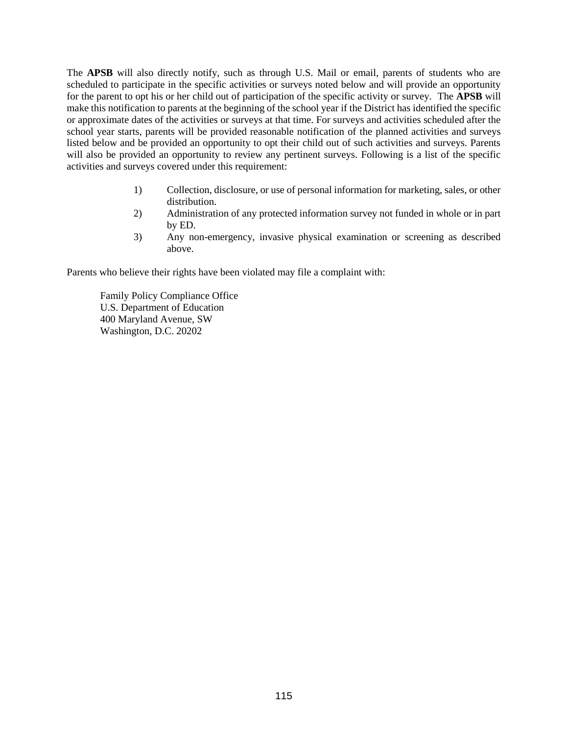The **APSB** will also directly notify, such as through U.S. Mail or email, parents of students who are scheduled to participate in the specific activities or surveys noted below and will provide an opportunity for the parent to opt his or her child out of participation of the specific activity or survey. The **APSB** will make this notification to parents at the beginning of the school year if the District has identified the specific or approximate dates of the activities or surveys at that time. For surveys and activities scheduled after the school year starts, parents will be provided reasonable notification of the planned activities and surveys listed below and be provided an opportunity to opt their child out of such activities and surveys. Parents will also be provided an opportunity to review any pertinent surveys. Following is a list of the specific activities and surveys covered under this requirement:

- 1) Collection, disclosure, or use of personal information for marketing, sales, or other distribution.
- 2) Administration of any protected information survey not funded in whole or in part by ED.
- 3) Any non-emergency, invasive physical examination or screening as described above.

Parents who believe their rights have been violated may file a complaint with:

Family Policy Compliance Office U.S. Department of Education 400 Maryland Avenue, SW Washington, D.C. 20202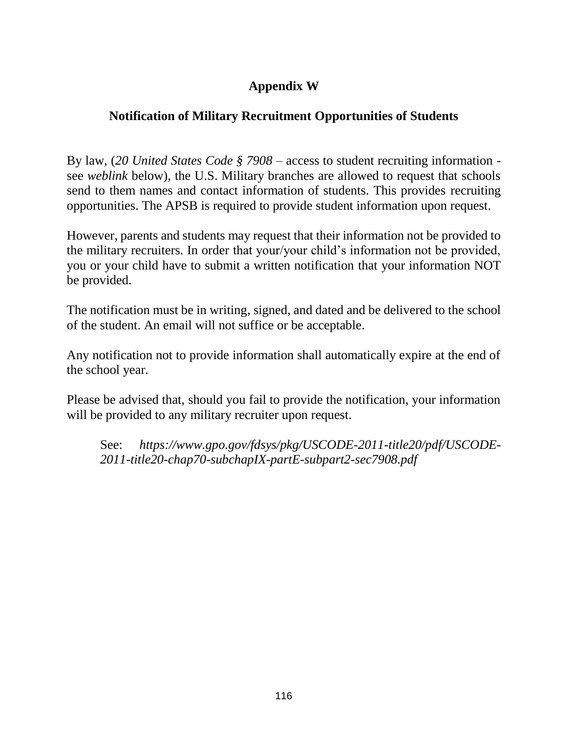# **Appendix W**

# **Notification of Military Recruitment Opportunities of Students**

By law, (*20 United States Code § 7908* – access to student recruiting information see *weblink* below), the U.S. Military branches are allowed to request that schools send to them names and contact information of students. This provides recruiting opportunities. The APSB is required to provide student information upon request.

However, parents and students may request that their information not be provided to the military recruiters. In order that your/your child's information not be provided, you or your child have to submit a written notification that your information NOT be provided.

The notification must be in writing, signed, and dated and be delivered to the school of the student. An email will not suffice or be acceptable.

Any notification not to provide information shall automatically expire at the end of the school year.

Please be advised that, should you fail to provide the notification, your information will be provided to any military recruiter upon request.

See: *https://www.gpo.gov/fdsys/pkg/USCODE-2011-title20/pdf/USCODE-2011-title20-chap70-subchapIX-partE-subpart2-sec7908.pdf*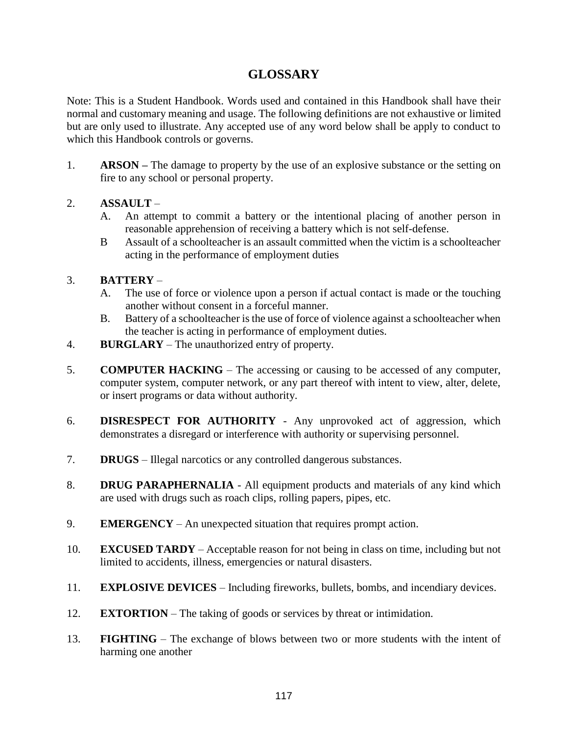# **GLOSSARY**

Note: This is a Student Handbook. Words used and contained in this Handbook shall have their normal and customary meaning and usage. The following definitions are not exhaustive or limited but are only used to illustrate. Any accepted use of any word below shall be apply to conduct to which this Handbook controls or governs.

1. **ARSON –** The damage to property by the use of an explosive substance or the setting on fire to any school or personal property.

# 2. **ASSAULT** –

- A. An attempt to commit a battery or the intentional placing of another person in reasonable apprehension of receiving a battery which is not self-defense.
- B Assault of a schoolteacher is an assault committed when the victim is a schoolteacher acting in the performance of employment duties

# 3. **BATTERY** –

- A. The use of force or violence upon a person if actual contact is made or the touching another without consent in a forceful manner.
- B. Battery of a schoolteacher is the use of force of violence against a schoolteacher when the teacher is acting in performance of employment duties.
- 4. **BURGLARY** The unauthorized entry of property.
- 5. **COMPUTER HACKING** The accessing or causing to be accessed of any computer, computer system, computer network, or any part thereof with intent to view, alter, delete, or insert programs or data without authority.
- 6. **DISRESPECT FOR AUTHORITY**  Any unprovoked act of aggression, which demonstrates a disregard or interference with authority or supervising personnel.
- 7. **DRUGS**  Illegal narcotics or any controlled dangerous substances.
- 8. **DRUG PARAPHERNALIA**  All equipment products and materials of any kind which are used with drugs such as roach clips, rolling papers, pipes, etc.
- 9. **EMERGENCY**  An unexpected situation that requires prompt action.
- 10. **EXCUSED TARDY**  Acceptable reason for not being in class on time, including but not limited to accidents, illness, emergencies or natural disasters.
- 11. **EXPLOSIVE DEVICES**  Including fireworks, bullets, bombs, and incendiary devices.
- 12. **EXTORTION** The taking of goods or services by threat or intimidation.
- 13. **FIGHTING**  The exchange of blows between two or more students with the intent of harming one another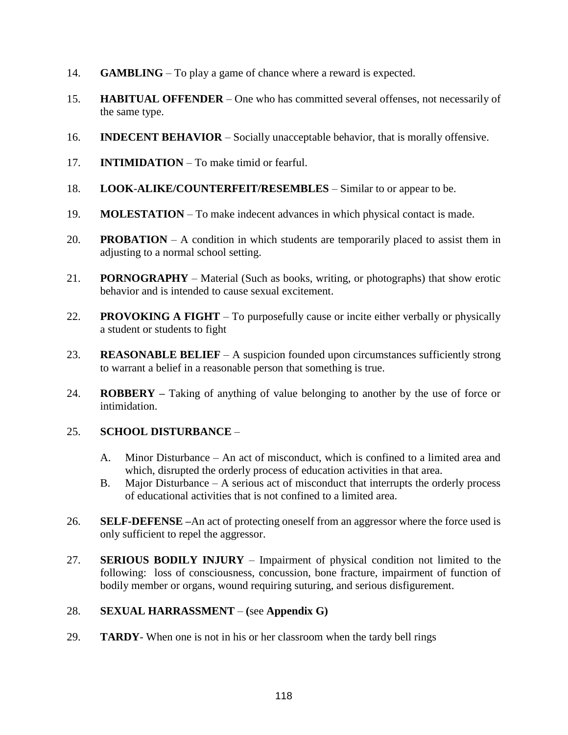- 14. **GAMBLING**  To play a game of chance where a reward is expected.
- 15. **HABITUAL OFFENDER**  One who has committed several offenses, not necessarily of the same type.
- 16. **INDECENT BEHAVIOR**  Socially unacceptable behavior, that is morally offensive.
- 17. **INTIMIDATION**  To make timid or fearful.
- 18. **LOOK**-**ALIKE/COUNTERFEIT/RESEMBLES** Similar to or appear to be.
- 19. **MOLESTATION**  To make indecent advances in which physical contact is made.
- 20. **PROBATION**  A condition in which students are temporarily placed to assist them in adjusting to a normal school setting.
- 21. **PORNOGRAPHY**  Material (Such as books, writing, or photographs) that show erotic behavior and is intended to cause sexual excitement.
- 22. **PROVOKING A FIGHT**  To purposefully cause or incite either verbally or physically a student or students to fight
- 23. **REASONABLE BELIEF**  A suspicion founded upon circumstances sufficiently strong to warrant a belief in a reasonable person that something is true.
- 24. **ROBBERY –** Taking of anything of value belonging to another by the use of force or intimidation.

# 25. **SCHOOL DISTURBANCE** –

- A. Minor Disturbance An act of misconduct, which is confined to a limited area and which, disrupted the orderly process of education activities in that area.
- B. Major Disturbance A serious act of misconduct that interrupts the orderly process of educational activities that is not confined to a limited area.
- 26. **SELF-DEFENSE –**An act of protecting oneself from an aggressor where the force used is only sufficient to repel the aggressor.
- 27. **SERIOUS BODILY INJURY** Impairment of physical condition not limited to the following: loss of consciousness, concussion, bone fracture, impairment of function of bodily member or organs, wound requiring suturing, and serious disfigurement.

# 28. **SEXUAL HARRASSMENT** – **(**see **Appendix G)**

29. **TARDY**- When one is not in his or her classroom when the tardy bell rings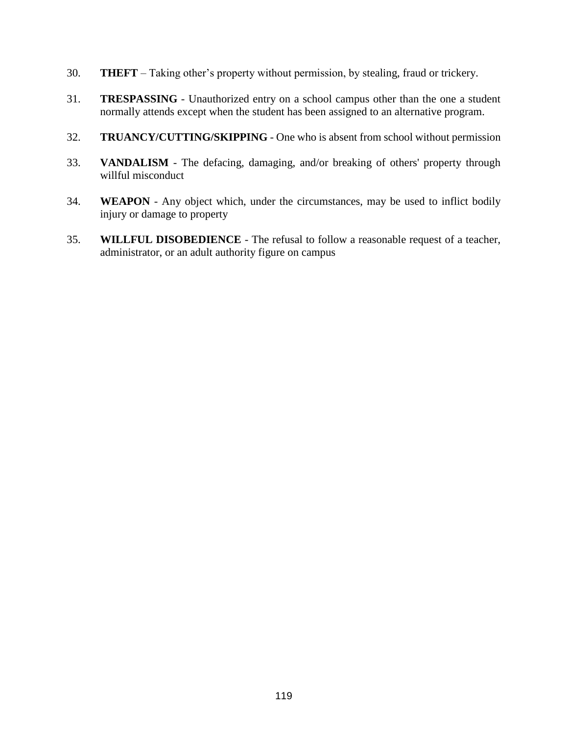- 30. **THEFT**  Taking other's property without permission, by stealing, fraud or trickery.
- 31. **TRESPASSING** Unauthorized entry on a school campus other than the one a student normally attends except when the student has been assigned to an alternative program.
- 32. **TRUANCY/CUTTING/SKIPPING**  One who is absent from school without permission
- 33. **VANDALISM**  The defacing, damaging, and/or breaking of others' property through willful misconduct
- 34. **WEAPON** Any object which, under the circumstances, may be used to inflict bodily injury or damage to property
- 35. **WILLFUL DISOBEDIENCE**  The refusal to follow a reasonable request of a teacher, administrator, or an adult authority figure on campus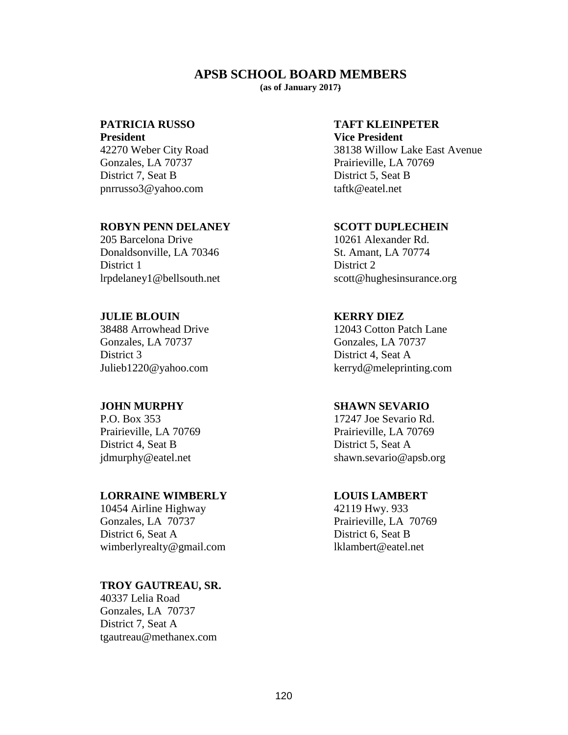## **APSB SCHOOL BOARD MEMBERS**

**(as of January 2017)** 

## **PATRICIA RUSSO TAFT KLEINPETER**

**President Vice President 1986** Gonzales, LA 70737 Prairieville, LA 70769 District 7, Seat B District 5, Seat B pnrrusso3@yahoo.com taftk@eatel.net

## **ROBYN PENN DELANEY SCOTT DUPLECHEIN**

205 Barcelona Drive 10261 Alexander Rd. Donaldsonville, LA 70346 St. Amant, LA 70774 District 1 District 2

## **JULIE BLOUIN KERRY DIEZ**

Gonzales, LA 70737 Gonzales, LA 70737 District 3 District 4, Seat A

P.O. Box 353 17247 Joe Sevario Rd. District 4, Seat B District 5, Seat A

## **LORRAINE WIMBERLY LOUIS LAMBERT**

10454 Airline Highway 42119 Hwy. 933<br>
Gonzales, LA 70737 Prairieville, LA District 6, Seat A District 6, Seat B wimberlyrealty@gmail.com lklambert@eatel.net

## **TROY GAUTREAU, SR.**

40337 Lelia Road Gonzales, LA 70737 District 7, Seat A tgautreau@methanex.com

42270 Weber City Road 38138 Willow Lake East Avenue

lrpdelaney1@bellsouth.net scott@hughesinsurance.org

38488 Arrowhead Drive 12043 Cotton Patch Lane Julieb1220@yahoo.com kerryd@meleprinting.com

## **JOHN MURPHY SHAWN SEVARIO**

Prairieville, LA 70769 Prairieville, LA 70769 jdmurphy@eatel.net shawn.sevario@apsb.org

Prairieville, LA 70769